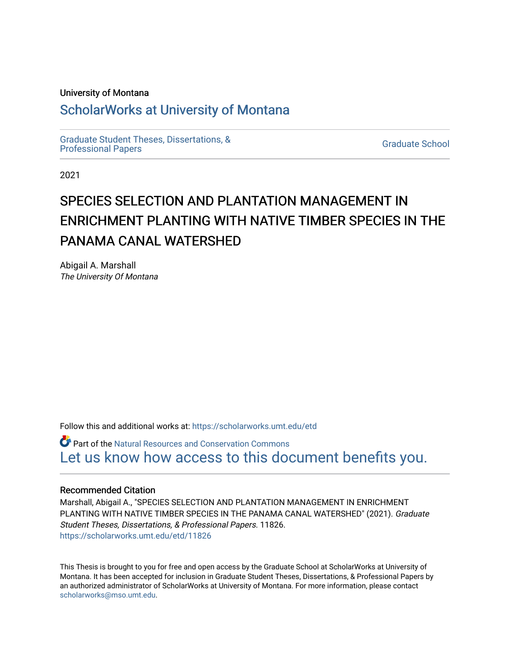#### University of Montana

# [ScholarWorks at University of Montana](https://scholarworks.umt.edu/)

[Graduate Student Theses, Dissertations, &](https://scholarworks.umt.edu/etd) Graduate Student Theses, Dissertations, & Contract Control of the Graduate School [Professional Papers](https://scholarworks.umt.edu/etd) Contract Control of the Contract Control of the Contract Control of the Contract Contract Contract Control of the Contra

2021

# SPECIES SELECTION AND PLANTATION MANAGEMENT IN ENRICHMENT PLANTING WITH NATIVE TIMBER SPECIES IN THE PANAMA CANAL WATERSHED

Abigail A. Marshall The University Of Montana

Follow this and additional works at: [https://scholarworks.umt.edu/etd](https://scholarworks.umt.edu/etd?utm_source=scholarworks.umt.edu%2Fetd%2F11826&utm_medium=PDF&utm_campaign=PDFCoverPages) 

Part of the [Natural Resources and Conservation Commons](https://network.bepress.com/hgg/discipline/168?utm_source=scholarworks.umt.edu%2Fetd%2F11826&utm_medium=PDF&utm_campaign=PDFCoverPages)  [Let us know how access to this document benefits you.](https://goo.gl/forms/s2rGfXOLzz71qgsB2) 

#### Recommended Citation

Marshall, Abigail A., "SPECIES SELECTION AND PLANTATION MANAGEMENT IN ENRICHMENT PLANTING WITH NATIVE TIMBER SPECIES IN THE PANAMA CANAL WATERSHED" (2021). Graduate Student Theses, Dissertations, & Professional Papers. 11826. [https://scholarworks.umt.edu/etd/11826](https://scholarworks.umt.edu/etd/11826?utm_source=scholarworks.umt.edu%2Fetd%2F11826&utm_medium=PDF&utm_campaign=PDFCoverPages) 

This Thesis is brought to you for free and open access by the Graduate School at ScholarWorks at University of Montana. It has been accepted for inclusion in Graduate Student Theses, Dissertations, & Professional Papers by an authorized administrator of ScholarWorks at University of Montana. For more information, please contact [scholarworks@mso.umt.edu.](mailto:scholarworks@mso.umt.edu)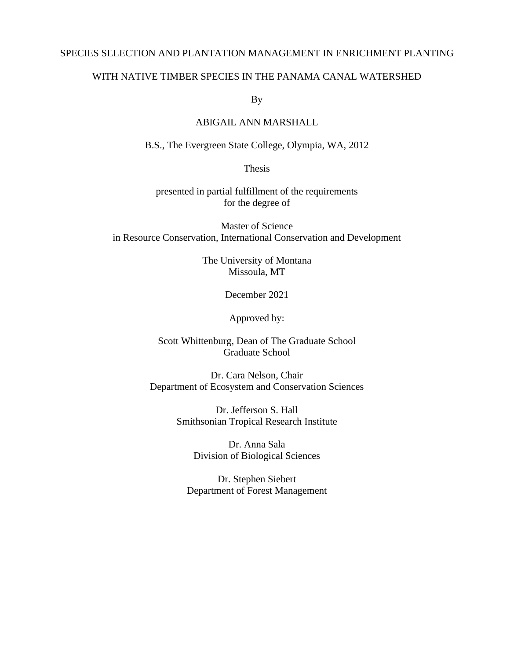#### SPECIES SELECTION AND PLANTATION MANAGEMENT IN ENRICHMENT PLANTING

## WITH NATIVE TIMBER SPECIES IN THE PANAMA CANAL WATERSHED

By

#### ABIGAIL ANN MARSHALL

B.S., The Evergreen State College, Olympia, WA, 2012

Thesis

presented in partial fulfillment of the requirements for the degree of

Master of Science in Resource Conservation, International Conservation and Development

> The University of Montana Missoula, MT

> > December 2021

Approved by:

Scott Whittenburg, Dean of The Graduate School Graduate School

Dr. Cara Nelson, Chair Department of Ecosystem and Conservation Sciences

> Dr. Jefferson S. Hall Smithsonian Tropical Research Institute

> > Dr. Anna Sala Division of Biological Sciences

<span id="page-1-0"></span>Dr. Stephen Siebert Department of Forest Management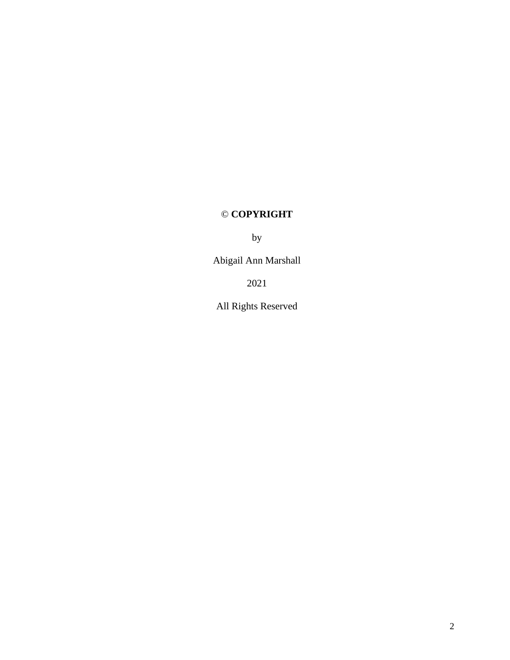# © **COPYRIGHT**

by

Abigail Ann Marshall

2021

All Rights Reserved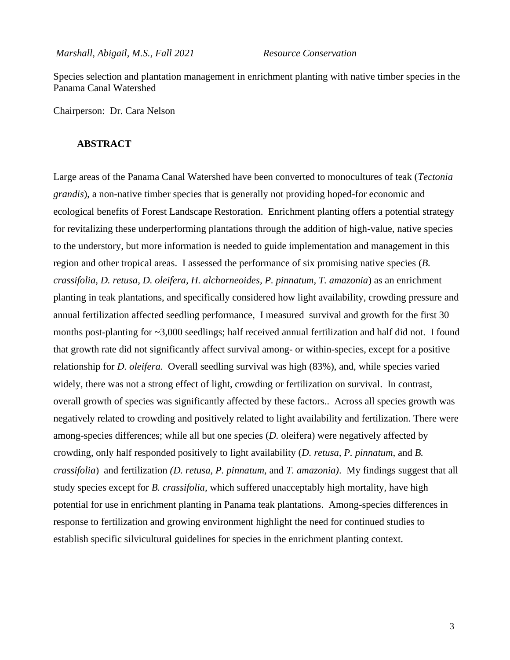*Marshall, Abigail, M.S., Fall 2021 Resource Conservation*

Species selection and plantation management in enrichment planting with native timber species in the Panama Canal Watershed

<span id="page-3-0"></span>Chairperson: Dr. Cara Nelson

## **ABSTRACT**

Large areas of the Panama Canal Watershed have been converted to monocultures of teak (*Tectonia grandis*), a non-native timber species that is generally not providing hoped-for economic and ecological benefits of Forest Landscape Restoration. Enrichment planting offers a potential strategy for revitalizing these underperforming plantations through the addition of high-value, native species to the understory, but more information is needed to guide implementation and management in this region and other tropical areas. I assessed the performance of six promising native species (*B. crassifolia, D. retusa, D. oleifera, H. alchorneoides, P. pinnatum, T. amazonia*) as an enrichment planting in teak plantations, and specifically considered how light availability, crowding pressure and annual fertilization affected seedling performance, I measured survival and growth for the first 30 months post-planting for ~3,000 seedlings; half received annual fertilization and half did not. I found that growth rate did not significantly affect survival among- or within-species, except for a positive relationship for *D. oleifera.* Overall seedling survival was high (83%), and, while species varied widely, there was not a strong effect of light, crowding or fertilization on survival. In contrast, overall growth of species was significantly affected by these factors.. Across all species growth was negatively related to crowding and positively related to light availability and fertilization. There were among-species differences; while all but one species (*D.* oleifera) were negatively affected by crowding, only half responded positively to light availability (*D. retusa, P. pinnatum,* and *B. crassifolia*) and fertilization *(D. retusa, P. pinnatum,* and *T. amazonia)*. My findings suggest that all study species except for *B. crassifolia,* which suffered unacceptably high mortality, have high potential for use in enrichment planting in Panama teak plantations. Among-species differences in response to fertilization and growing environment highlight the need for continued studies to establish specific silvicultural guidelines for species in the enrichment planting context.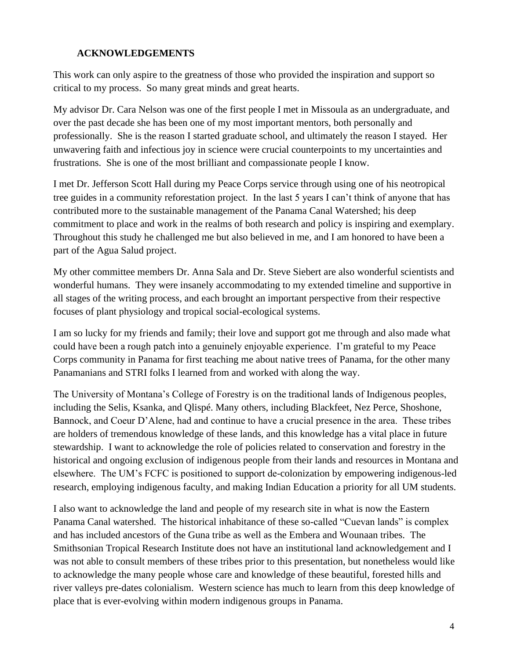# **ACKNOWLEDGEMENTS**

<span id="page-4-1"></span><span id="page-4-0"></span>This work can only aspire to the greatness of those who provided the inspiration and support so critical to my process. So many great minds and great hearts.

My advisor Dr. Cara Nelson was one of the first people I met in Missoula as an undergraduate, and over the past decade she has been one of my most important mentors, both personally and professionally. She is the reason I started graduate school, and ultimately the reason I stayed. Her unwavering faith and infectious joy in science were crucial counterpoints to my uncertainties and frustrations. She is one of the most brilliant and compassionate people I know.

I met Dr. Jefferson Scott Hall during my Peace Corps service through using one of his neotropical tree guides in a community reforestation project. In the last 5 years I can't think of anyone that has contributed more to the sustainable management of the Panama Canal Watershed; his deep commitment to place and work in the realms of both research and policy is inspiring and exemplary. Throughout this study he challenged me but also believed in me, and I am honored to have been a part of the Agua Salud project.

My other committee members Dr. Anna Sala and Dr. Steve Siebert are also wonderful scientists and wonderful humans. They were insanely accommodating to my extended timeline and supportive in all stages of the writing process, and each brought an important perspective from their respective focuses of plant physiology and tropical social-ecological systems.

I am so lucky for my friends and family; their love and support got me through and also made what could have been a rough patch into a genuinely enjoyable experience. I'm grateful to my Peace Corps community in Panama for first teaching me about native trees of Panama, for the other many Panamanians and STRI folks I learned from and worked with along the way.

The University of Montana's College of Forestry is on the traditional lands of Indigenous peoples, including the Selis, Ksanka, and Qlispé. Many others, including Blackfeet, Nez Perce, Shoshone, Bannock, and Coeur D'Alene, had and continue to have a crucial presence in the area. These tribes are holders of tremendous knowledge of these lands, and this knowledge has a vital place in future stewardship. I want to acknowledge the role of policies related to conservation and forestry in the historical and ongoing exclusion of indigenous people from their lands and resources in Montana and elsewhere. The UM's FCFC is positioned to support de-colonization by empowering indigenous-led research, employing indigenous faculty, and making Indian Education a priority for all UM students.

I also want to acknowledge the land and people of my research site in what is now the Eastern Panama Canal watershed. The historical inhabitance of these so-called "Cuevan lands" is complex and has included ancestors of the Guna tribe as well as the Embera and Wounaan tribes. The Smithsonian Tropical Research Institute does not have an institutional land acknowledgement and I was not able to consult members of these tribes prior to this presentation, but nonetheless would like to acknowledge the many people whose care and knowledge of these beautiful, forested hills and river valleys pre-dates colonialism. Western science has much to learn from this deep knowledge of place that is ever-evolving within modern indigenous groups in Panama.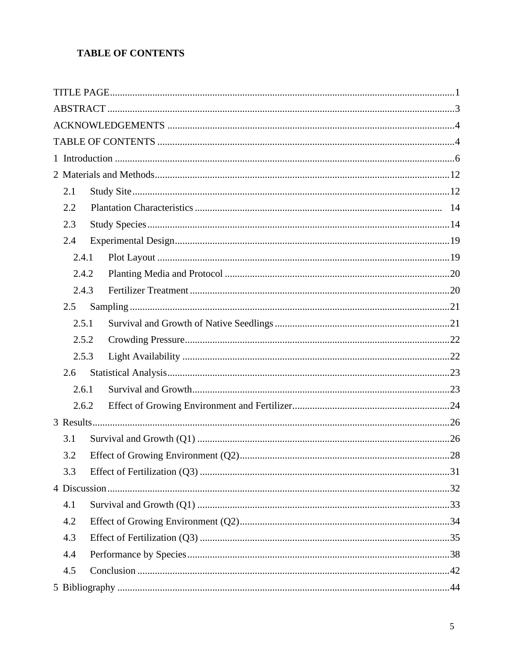# TABLE OF CONTENTS

| 2.1   |  |  |
|-------|--|--|
| 2.2   |  |  |
| 2.3   |  |  |
| 2.4   |  |  |
| 2.4.1 |  |  |
| 2.4.2 |  |  |
| 2.4.3 |  |  |
| 2.5   |  |  |
| 2.5.1 |  |  |
| 2.5.2 |  |  |
| 2.5.3 |  |  |
| 2.6   |  |  |
| 2.6.1 |  |  |
| 2.6.2 |  |  |
|       |  |  |
| 3.1   |  |  |
| 3.2   |  |  |
| 3.3   |  |  |
|       |  |  |
| 4.1   |  |  |
| 4.2   |  |  |
| 4.3   |  |  |
| 4.4   |  |  |
| 4.5   |  |  |
|       |  |  |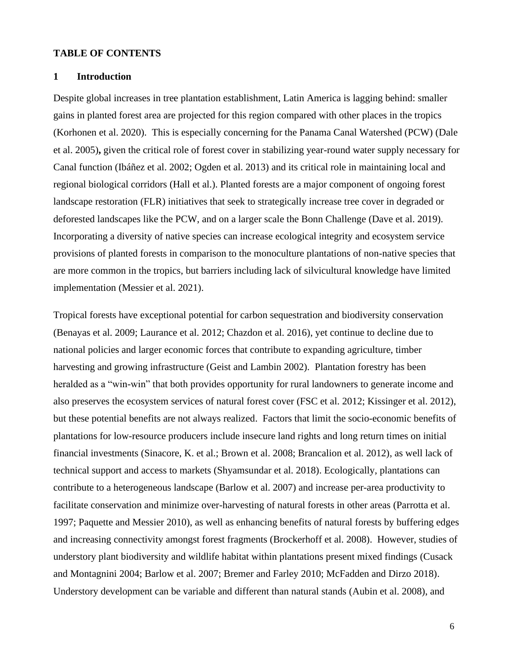#### **TABLE OF CONTENTS**

#### <span id="page-6-0"></span>**1 Introduction**

Despite global increases in tree plantation establishment, Latin America is lagging behind: smaller gains in planted forest area are projected for this region compared with other places in the tropics (Korhonen et al. 2020). This is especially concerning for the Panama Canal Watershed (PCW) (Dale et al. 2005)**,** given the critical role of forest cover in stabilizing year-round water supply necessary for Canal function (Ibáñez et al. 2002; Ogden et al. 2013) and its critical role in maintaining local and regional biological corridors (Hall et al.). Planted forests are a major component of ongoing forest landscape restoration (FLR) initiatives that seek to strategically increase tree cover in degraded or deforested landscapes like the PCW, and on a larger scale the Bonn Challenge (Dave et al. 2019). Incorporating a diversity of native species can increase ecological integrity and ecosystem service provisions of planted forests in comparison to the monoculture plantations of non-native species that are more common in the tropics, but barriers including lack of silvicultural knowledge have limited implementation (Messier et al. 2021).

Tropical forests have exceptional potential for carbon sequestration and biodiversity conservation (Benayas et al. 2009; Laurance et al. 2012; Chazdon et al. 2016), yet continue to decline due to national policies and larger economic forces that contribute to expanding agriculture, timber harvesting and growing infrastructure (Geist and Lambin 2002). Plantation forestry has been heralded as a "win-win" that both provides opportunity for rural landowners to generate income and also preserves the ecosystem services of natural forest cover (FSC et al. 2012; Kissinger et al. 2012), but these potential benefits are not always realized. Factors that limit the socio-economic benefits of plantations for low-resource producers include insecure land rights and long return times on initial financial investments (Sinacore, K. et al.; Brown et al. 2008; Brancalion et al. 2012), as well lack of technical support and access to markets (Shyamsundar et al. 2018). Ecologically, plantations can contribute to a heterogeneous landscape (Barlow et al. 2007) and increase per-area productivity to facilitate conservation and minimize over-harvesting of natural forests in other areas (Parrotta et al. 1997; Paquette and Messier 2010), as well as enhancing benefits of natural forests by buffering edges and increasing connectivity amongst forest fragments (Brockerhoff et al. 2008). However, studies of understory plant biodiversity and wildlife habitat within plantations present mixed findings (Cusack and Montagnini 2004; Barlow et al. 2007; Bremer and Farley 2010; McFadden and Dirzo 2018). Understory development can be variable and different than natural stands (Aubin et al. 2008), and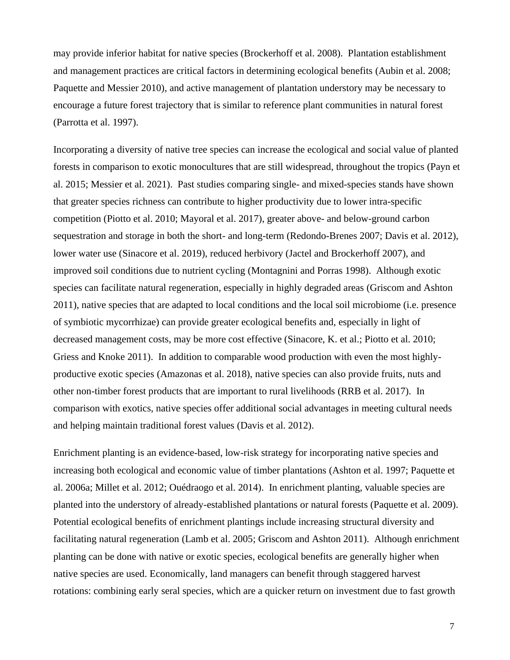may provide inferior habitat for native species (Brockerhoff et al. 2008). Plantation establishment and management practices are critical factors in determining ecological benefits (Aubin et al. 2008; Paquette and Messier 2010), and active management of plantation understory may be necessary to encourage a future forest trajectory that is similar to reference plant communities in natural forest (Parrotta et al. 1997).

Incorporating a diversity of native tree species can increase the ecological and social value of planted forests in comparison to exotic monocultures that are still widespread, throughout the tropics (Payn et al. 2015; Messier et al. 2021). Past studies comparing single- and mixed-species stands have shown that greater species richness can contribute to higher productivity due to lower intra-specific competition (Piotto et al. 2010; Mayoral et al. 2017), greater above- and below-ground carbon sequestration and storage in both the short- and long-term (Redondo-Brenes 2007; Davis et al. 2012), lower water use (Sinacore et al. 2019), reduced herbivory (Jactel and Brockerhoff 2007), and improved soil conditions due to nutrient cycling (Montagnini and Porras 1998). Although exotic species can facilitate natural regeneration, especially in highly degraded areas (Griscom and Ashton 2011), native species that are adapted to local conditions and the local soil microbiome (i.e. presence of symbiotic mycorrhizae) can provide greater ecological benefits and, especially in light of decreased management costs, may be more cost effective (Sinacore, K. et al.; Piotto et al. 2010; Griess and Knoke 2011). In addition to comparable wood production with even the most highlyproductive exotic species (Amazonas et al. 2018), native species can also provide fruits, nuts and other non-timber forest products that are important to rural livelihoods (RRB et al. 2017). In comparison with exotics, native species offer additional social advantages in meeting cultural needs and helping maintain traditional forest values (Davis et al. 2012).

Enrichment planting is an evidence-based, low-risk strategy for incorporating native species and increasing both ecological and economic value of timber plantations (Ashton et al. 1997; Paquette et al. 2006a; Millet et al. 2012; Ouédraogo et al. 2014). In enrichment planting, valuable species are planted into the understory of already-established plantations or natural forests (Paquette et al. 2009). Potential ecological benefits of enrichment plantings include increasing structural diversity and facilitating natural regeneration (Lamb et al. 2005; Griscom and Ashton 2011). Although enrichment planting can be done with native or exotic species, ecological benefits are generally higher when native species are used. Economically, land managers can benefit through staggered harvest rotations: combining early seral species, which are a quicker return on investment due to fast growth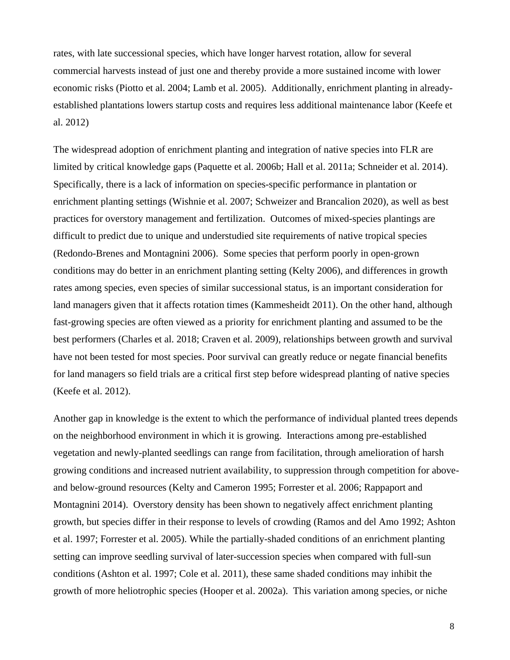rates, with late successional species, which have longer harvest rotation, allow for several commercial harvests instead of just one and thereby provide a more sustained income with lower economic risks (Piotto et al. 2004; Lamb et al. 2005). Additionally, enrichment planting in alreadyestablished plantations lowers startup costs and requires less additional maintenance labor (Keefe et al. 2012)

The widespread adoption of enrichment planting and integration of native species into FLR are limited by critical knowledge gaps (Paquette et al. 2006b; Hall et al. 2011a; Schneider et al. 2014). Specifically, there is a lack of information on species-specific performance in plantation or enrichment planting settings (Wishnie et al. 2007; Schweizer and Brancalion 2020), as well as best practices for overstory management and fertilization. Outcomes of mixed-species plantings are difficult to predict due to unique and understudied site requirements of native tropical species (Redondo-Brenes and Montagnini 2006). Some species that perform poorly in open-grown conditions may do better in an enrichment planting setting (Kelty 2006), and differences in growth rates among species, even species of similar successional status, is an important consideration for land managers given that it affects rotation times (Kammesheidt 2011). On the other hand, although fast-growing species are often viewed as a priority for enrichment planting and assumed to be the best performers (Charles et al. 2018; Craven et al. 2009), relationships between growth and survival have not been tested for most species. Poor survival can greatly reduce or negate financial benefits for land managers so field trials are a critical first step before widespread planting of native species (Keefe et al. 2012).

Another gap in knowledge is the extent to which the performance of individual planted trees depends on the neighborhood environment in which it is growing. Interactions among pre-established vegetation and newly-planted seedlings can range from facilitation, through amelioration of harsh growing conditions and increased nutrient availability, to suppression through competition for aboveand below-ground resources (Kelty and Cameron 1995; Forrester et al. 2006; Rappaport and Montagnini 2014). Overstory density has been shown to negatively affect enrichment planting growth, but species differ in their response to levels of crowding (Ramos and del Amo 1992; Ashton et al. 1997; Forrester et al. 2005). While the partially-shaded conditions of an enrichment planting setting can improve seedling survival of later-succession species when compared with full-sun conditions (Ashton et al. 1997; Cole et al. 2011), these same shaded conditions may inhibit the growth of more heliotrophic species (Hooper et al. 2002a). This variation among species, or niche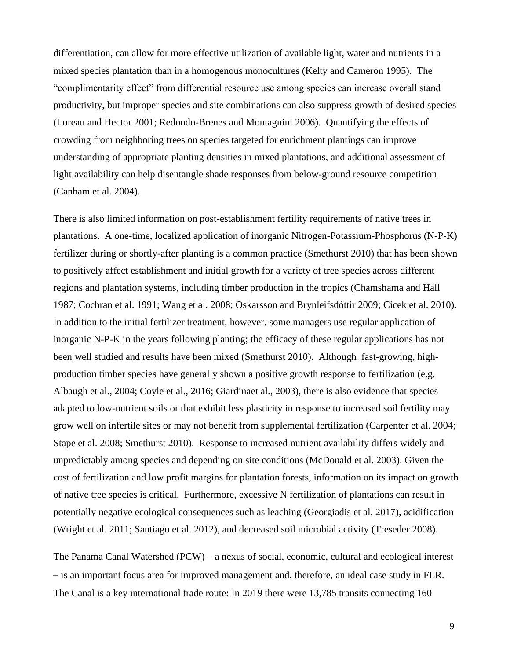differentiation, can allow for more effective utilization of available light, water and nutrients in a mixed species plantation than in a homogenous monocultures (Kelty and Cameron 1995). The "complimentarity effect" from differential resource use among species can increase overall stand productivity, but improper species and site combinations can also suppress growth of desired species (Loreau and Hector 2001; Redondo-Brenes and Montagnini 2006). Quantifying the effects of crowding from neighboring trees on species targeted for enrichment plantings can improve understanding of appropriate planting densities in mixed plantations, and additional assessment of light availability can help disentangle shade responses from below-ground resource competition (Canham et al. 2004).

There is also limited information on post-establishment fertility requirements of native trees in plantations. A one-time, localized application of inorganic Nitrogen-Potassium-Phosphorus (N-P-K) fertilizer during or shortly-after planting is a common practice (Smethurst 2010) that has been shown to positively affect establishment and initial growth for a variety of tree species across different regions and plantation systems, including timber production in the tropics (Chamshama and Hall 1987; Cochran et al. 1991; Wang et al. 2008; Oskarsson and Brynleifsdóttir 2009; Cicek et al. 2010). In addition to the initial fertilizer treatment, however, some managers use regular application of inorganic N-P-K in the years following planting; the efficacy of these regular applications has not been well studied and results have been mixed (Smethurst 2010). Although fast-growing, highproduction timber species have generally shown a positive growth response to fertilization (e.g. Albaugh et al., 2004; Coyle et al., 2016; Giardinaet al., 2003), there is also evidence that species adapted to low-nutrient soils or that exhibit less plasticity in response to increased soil fertility may grow well on infertile sites or may not benefit from supplemental fertilization (Carpenter et al. 2004; Stape et al. 2008; Smethurst 2010). Response to increased nutrient availability differs widely and unpredictably among species and depending on site conditions (McDonald et al. 2003). Given the cost of fertilization and low profit margins for plantation forests, information on its impact on growth of native tree species is critical. Furthermore, excessive N fertilization of plantations can result in potentially negative ecological consequences such as leaching (Georgiadis et al. 2017), acidification (Wright et al. 2011; Santiago et al. 2012), and decreased soil microbial activity (Treseder 2008).

The Panama Canal Watershed (PCW) – a nexus of social, economic, cultural and ecological interest ─ is an important focus area for improved management and, therefore, an ideal case study in FLR. The Canal is a key international trade route: In 2019 there were 13,785 transits connecting 160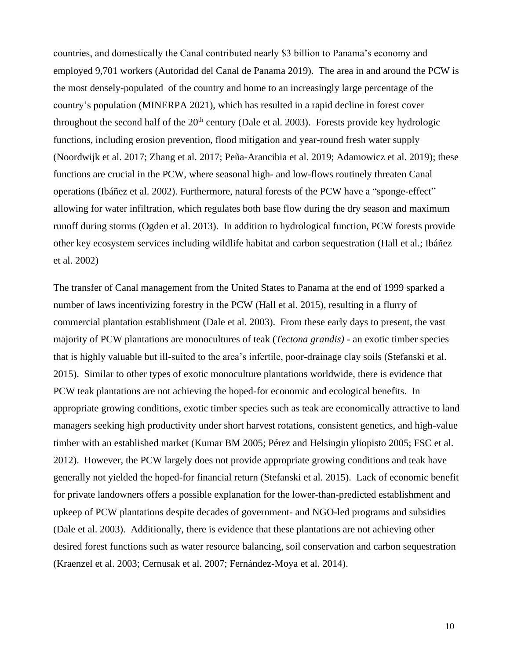countries, and domestically the Canal contributed nearly \$3 billion to Panama's economy and employed 9,701 workers (Autoridad del Canal de Panama 2019). The area in and around the PCW is the most densely-populated of the country and home to an increasingly large percentage of the country's population (MINERPA 2021), which has resulted in a rapid decline in forest cover throughout the second half of the  $20<sup>th</sup>$  century (Dale et al. 2003). Forests provide key hydrologic functions, including erosion prevention, flood mitigation and year-round fresh water supply (Noordwijk et al. 2017; Zhang et al. 2017; Peña-Arancibia et al. 2019; Adamowicz et al. 2019); these functions are crucial in the PCW, where seasonal high- and low-flows routinely threaten Canal operations (Ibáñez et al. 2002). Furthermore, natural forests of the PCW have a "sponge-effect" allowing for water infiltration, which regulates both base flow during the dry season and maximum runoff during storms (Ogden et al. 2013). In addition to hydrological function, PCW forests provide other key ecosystem services including wildlife habitat and carbon sequestration (Hall et al.; Ibáñez et al. 2002)

The transfer of Canal management from the United States to Panama at the end of 1999 sparked a number of laws incentivizing forestry in the PCW (Hall et al. 2015), resulting in a flurry of commercial plantation establishment (Dale et al. 2003). From these early days to present, the vast majority of PCW plantations are monocultures of teak (*Tectona grandis)* - an exotic timber species that is highly valuable but ill-suited to the area's infertile, poor-drainage clay soils (Stefanski et al. 2015).Similar to other types of exotic monoculture plantations worldwide, there is evidence that PCW teak plantations are not achieving the hoped-for economic and ecological benefits. In appropriate growing conditions, exotic timber species such as teak are economically attractive to land managers seeking high productivity under short harvest rotations, consistent genetics, and high-value timber with an established market (Kumar BM 2005; Pérez and Helsingin yliopisto 2005; FSC et al. 2012). However, the PCW largely does not provide appropriate growing conditions and teak have generally not yielded the hoped-for financial return (Stefanski et al. 2015). Lack of economic benefit for private landowners offers a possible explanation for the lower-than-predicted establishment and upkeep of PCW plantations despite decades of government- and NGO-led programs and subsidies (Dale et al. 2003). Additionally, there is evidence that these plantations are not achieving other desired forest functions such as water resource balancing, soil conservation and carbon sequestration (Kraenzel et al. 2003; Cernusak et al. 2007; Fernández-Moya et al. 2014).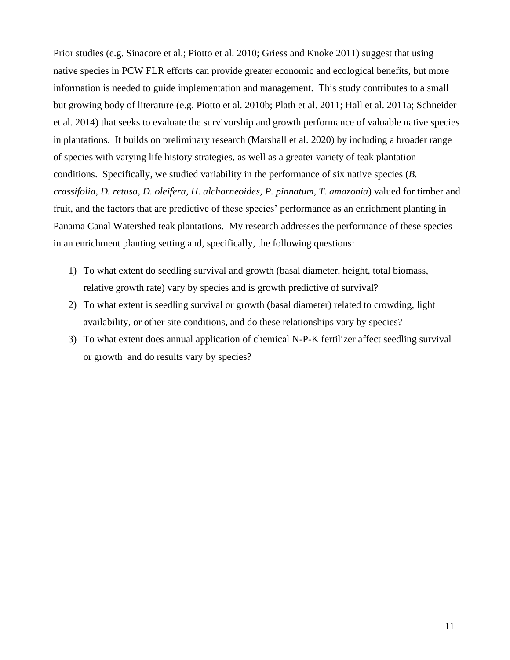Prior studies (e.g. Sinacore et al.; Piotto et al. 2010; Griess and Knoke 2011) suggest that using native species in PCW FLR efforts can provide greater economic and ecological benefits, but more information is needed to guide implementation and management. This study contributes to a small but growing body of literature (e.g. Piotto et al. 2010b; Plath et al. 2011; Hall et al. 2011a; Schneider et al. 2014) that seeks to evaluate the survivorship and growth performance of valuable native species in plantations. It builds on preliminary research (Marshall et al. 2020) by including a broader range of species with varying life history strategies, as well as a greater variety of teak plantation conditions. Specifically, we studied variability in the performance of six native species (*B. crassifolia, D. retusa, D. oleifera, H. alchorneoides, P. pinnatum, T. amazonia*) valued for timber and fruit, and the factors that are predictive of these species' performance as an enrichment planting in Panama Canal Watershed teak plantations. My research addresses the performance of these species in an enrichment planting setting and, specifically, the following questions:

- 1) To what extent do seedling survival and growth (basal diameter, height, total biomass, relative growth rate) vary by species and is growth predictive of survival?
- 2) To what extent is seedling survival or growth (basal diameter) related to crowding, light availability, or other site conditions, and do these relationships vary by species?
- 3) To what extent does annual application of chemical N-P-K fertilizer affect seedling survival or growth and do results vary by species?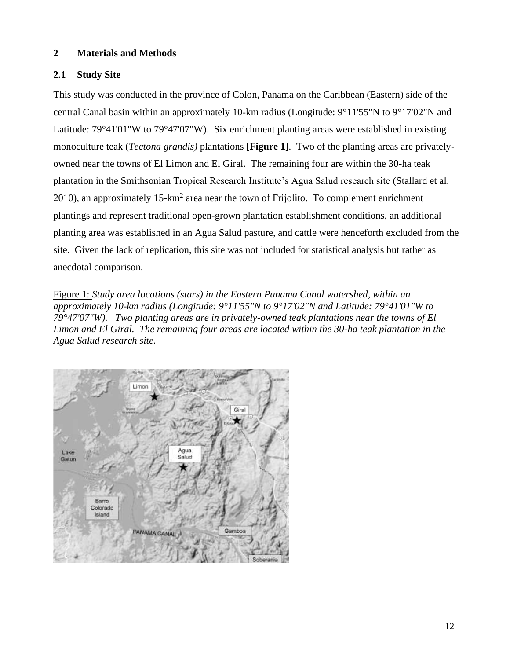# <span id="page-12-0"></span>**2 Materials and Methods**

# <span id="page-12-1"></span>**2.1 Study Site**

This study was conducted in the province of Colon, Panama on the Caribbean (Eastern) side of the central Canal basin within an approximately 10-km radius (Longitude: 9°11'55"N to 9°17'02"N and Latitude: 79°41'01"W to 79°47'07"W). Six enrichment planting areas were established in existing monoculture teak (*Tectona grandis)* plantations **[Figure 1]**. Two of the planting areas are privatelyowned near the towns of El Limon and El Giral. The remaining four are within the 30-ha teak plantation in the Smithsonian Tropical Research Institute's Agua Salud research site (Stallard et al. 2010), an approximately  $15\text{-}km^2$  area near the town of Frijolito. To complement enrichment plantings and represent traditional open-grown plantation establishment conditions, an additional planting area was established in an Agua Salud pasture, and cattle were henceforth excluded from the site. Given the lack of replication, this site was not included for statistical analysis but rather as anecdotal comparison.

Figure 1: *Study area locations (stars) in the Eastern Panama Canal watershed, within an approximately 10-km radius (Longitude: 9°11'55"N to 9°17'02"N and Latitude: 79°41'01"W to 79°47'07"W). Two planting areas are in privately-owned teak plantations near the towns of El Limon and El Giral. The remaining four areas are located within the 30-ha teak plantation in the Agua Salud research site.*

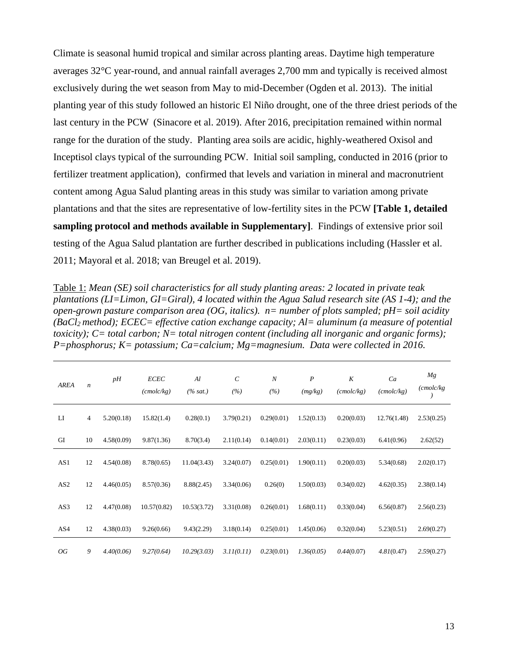Climate is seasonal humid tropical and similar across planting areas. Daytime high temperature averages 32°C year-round, and annual rainfall averages 2,700 mm and typically is received almost exclusively during the wet season from May to mid-December (Ogden et al. 2013). The initial planting year of this study followed an historic El Niño drought, one of the three driest periods of the last century in the PCW (Sinacore et al. 2019). After 2016, precipitation remained within normal range for the duration of the study. Planting area soils are acidic, highly-weathered Oxisol and Inceptisol clays typical of the surrounding PCW. Initial soil sampling, conducted in 2016 (prior to fertilizer treatment application), confirmed that levels and variation in mineral and macronutrient content among Agua Salud planting areas in this study was similar to variation among private plantations and that the sites are representative of low-fertility sites in the PCW **[Table 1, detailed sampling protocol and methods available in Supplementary]**. Findings of extensive prior soil testing of the Agua Salud plantation are further described in publications including (Hassler et al. 2011; Mayoral et al. 2018; van Breugel et al. 2019).

Table 1: *Mean (SE) soil characteristics for all study planting areas: 2 located in private teak plantations (LI=Limon, GI=Giral), 4 located within the Agua Salud research site (AS 1-4); and the open-grown pasture comparison area (OG, italics). n= number of plots sampled; pH= soil acidity (BaCl2 method); ECEC= effective cation exchange capacity; Al= aluminum (a measure of potential toxicity); C= total carbon; N= total nitrogen content (including all inorganic and organic forms); P=phosphorus; K= potassium; Ca=calcium; Mg=magnesium. Data were collected in 2016.*

| <b>AREA</b>     | $\boldsymbol{n}$ | pH         | <b>ECEC</b><br>(cmolc/kg) | Al<br>$(\% sat.)$ | $\mathcal{C}$<br>(%) | $\boldsymbol{N}$<br>(%) | $\boldsymbol{P}$<br>(mg/kg) | K<br>(cmolc/kg) | Ca<br>(cmolc/kg) | Mg<br>(cmolc/kg) |
|-----------------|------------------|------------|---------------------------|-------------------|----------------------|-------------------------|-----------------------------|-----------------|------------------|------------------|
| LI              | 4                | 5.20(0.18) | 15.82(1.4)                | 0.28(0.1)         | 3.79(0.21)           | 0.29(0.01)              | 1.52(0.13)                  | 0.20(0.03)      | 12.76(1.48)      | 2.53(0.25)       |
| GI              | 10               | 4.58(0.09) | 9.87(1.36)                | 8.70(3.4)         | 2.11(0.14)           | 0.14(0.01)              | 2.03(0.11)                  | 0.23(0.03)      | 6.41(0.96)       | 2.62(52)         |
| AS1             | 12               | 4.54(0.08) | 8.78(0.65)                | 11.04(3.43)       | 3.24(0.07)           | 0.25(0.01)              | 1.90(0.11)                  | 0.20(0.03)      | 5.34(0.68)       | 2.02(0.17)       |
| AS <sub>2</sub> | 12               | 4.46(0.05) | 8.57(0.36)                | 8.88(2.45)        | 3.34(0.06)           | 0.26(0)                 | 1.50(0.03)                  | 0.34(0.02)      | 4.62(0.35)       | 2.38(0.14)       |
| AS3             | 12               | 4.47(0.08) | 10.57(0.82)               | 10.53(3.72)       | 3.31(0.08)           | 0.26(0.01)              | 1.68(0.11)                  | 0.33(0.04)      | 6.56(0.87)       | 2.56(0.23)       |
| AS4             | 12               | 4.38(0.03) | 9.26(0.66)                | 9.43(2.29)        | 3.18(0.14)           | 0.25(0.01)              | 1.45(0.06)                  | 0.32(0.04)      | 5.23(0.51)       | 2.69(0.27)       |
| OG              | 9                | 4.40(0.06) | 9.27(0.64)                | 10.29(3.03)       | 3.11(0.11)           | 0.23(0.01)              | 1.36(0.05)                  | 0.44(0.07)      | 4.81(0.47)       | 2.59(0.27)       |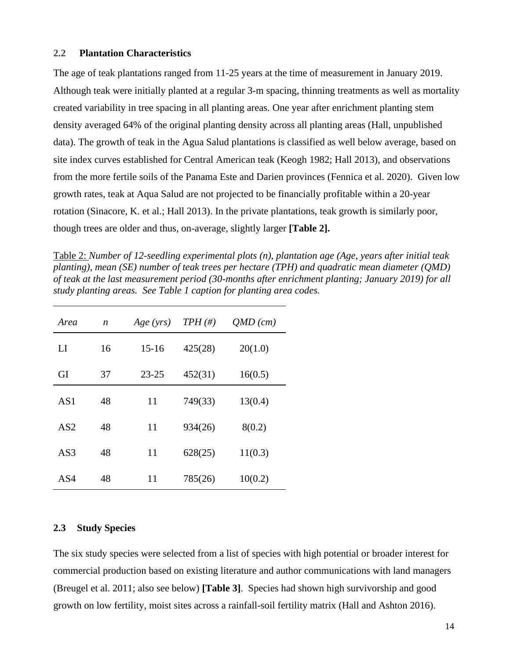#### <span id="page-14-0"></span>**2.2 Plantation Characteristics**

The age of teak plantations ranged from 11-25 years at the time of measurement in January 2019. Although teak were initially planted at a regular 3-m spacing, thinning treatments as well as mortality created variability in tree spacing in all planting areas. One year after enrichment planting stem density averaged 64% of the original planting density across all planting areas (Hall, unpublished data). The growth of teak in the Agua Salud plantations is classified as well below average, based on site index curves established for Central American teak (Keogh 1982; Hall 2013), and observations from the more fertile soils of the Panama Este and Darien provinces (Fennica et al. 2020). Given low growth rates, teak at Aqua Salud are not projected to be financially profitable within a 20-year rotation (Sinacore, K. et al.; Hall 2013). In the private plantations, teak growth is similarly poor, though trees are older and thus, on-average, slightly larger **[Table 2].**

Table 2: *Number of 12-seedling experimental plots (n), plantation age (Age, years after initial teak planting), mean (SE) number of teak trees per hectare (TPH) and quadratic mean diameter (QMD) of teak at the last measurement period (30-months after enrichment planting; January 2019) for all study planting areas. See Table 1 caption for planting area codes.*

| Area            | n  | Age (yrs) | $TPH(\#)$ | $QMD$ (cm) |
|-----------------|----|-----------|-----------|------------|
| LI              | 16 | $15 - 16$ | 425(28)   | 20(1.0)    |
| GI              | 37 | $23 - 25$ | 452(31)   | 16(0.5)    |
| AS1             | 48 | 11        | 749(33)   | 13(0.4)    |
| AS <sub>2</sub> | 48 | 11        | 934(26)   | 8(0.2)     |
| AS <sub>3</sub> | 48 | 11        | 628(25)   | 11(0.3)    |
| AS4             | 48 | 11        | 785(26)   | 10(0.2)    |

## <span id="page-14-1"></span>**2.3 Study Species**

The six study species were selected from a list of species with high potential or broader interest for commercial production based on existing literature and author communications with land managers (Breugel et al. 2011; also see below) **[Table 3]**. Species had shown high survivorship and good growth on low fertility, moist sites across a rainfall-soil fertility matrix (Hall and Ashton 2016).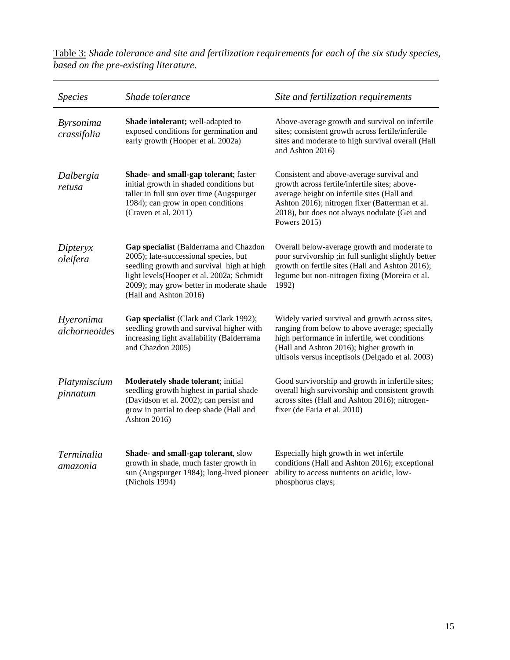| <b>Species</b>                  | Shade tolerance                                                                                                                                                                                                                                  | Site and fertilization requirements                                                                                                                                                                                                                         |
|---------------------------------|--------------------------------------------------------------------------------------------------------------------------------------------------------------------------------------------------------------------------------------------------|-------------------------------------------------------------------------------------------------------------------------------------------------------------------------------------------------------------------------------------------------------------|
| <b>Byrsonima</b><br>crassifolia | Shade intolerant; well-adapted to<br>exposed conditions for germination and<br>early growth (Hooper et al. 2002a)                                                                                                                                | Above-average growth and survival on infertile<br>sites; consistent growth across fertile/infertile<br>sites and moderate to high survival overall (Hall<br>and Ashton 2016)                                                                                |
| Dalbergia<br>retusa             | Shade- and small-gap tolerant; faster<br>initial growth in shaded conditions but<br>taller in full sun over time (Augspurger<br>1984); can grow in open conditions<br>(Craven et al. 2011)                                                       | Consistent and above-average survival and<br>growth across fertile/infertile sites; above-<br>average height on infertile sites (Hall and<br>Ashton 2016); nitrogen fixer (Batterman et al.<br>2018), but does not always nodulate (Gei and<br>Powers 2015) |
| Dipteryx<br>oleifera            | Gap specialist (Balderrama and Chazdon<br>2005); late-successional species, but<br>seedling growth and survival high at high<br>light levels (Hooper et al. 2002a; Schmidt<br>2009); may grow better in moderate shade<br>(Hall and Ashton 2016) | Overall below-average growth and moderate to<br>poor survivorship ;in full sunlight slightly better<br>growth on fertile sites (Hall and Ashton 2016);<br>legume but non-nitrogen fixing (Moreira et al.<br>1992)                                           |
| Hyeronima<br>alchorneoides      | Gap specialist (Clark and Clark 1992);<br>seedling growth and survival higher with<br>increasing light availability (Balderrama<br>and Chazdon 2005)                                                                                             | Widely varied survival and growth across sites,<br>ranging from below to above average; specially<br>high performance in infertile, wet conditions<br>(Hall and Ashton 2016); higher growth in<br>ultisols versus inceptisols (Delgado et al. 2003)         |
| Platymiscium<br>pinnatum        | Moderately shade tolerant; initial<br>seedling growth highest in partial shade<br>(Davidson et al. 2002); can persist and<br>grow in partial to deep shade (Hall and<br>Ashton 2016)                                                             | Good survivorship and growth in infertile sites;<br>overall high survivorship and consistent growth<br>across sites (Hall and Ashton 2016); nitrogen-<br>fixer (de Faria et al. 2010)                                                                       |
| Terminalia<br>amazonia          | Shade- and small-gap tolerant, slow<br>growth in shade, much faster growth in<br>sun (Augspurger 1984); long-lived pioneer<br>(Nichols 1994)                                                                                                     | Especially high growth in wet infertile<br>conditions (Hall and Ashton 2016); exceptional<br>ability to access nutrients on acidic, low-<br>phosphorus clays;                                                                                               |

Table 3: *Shade tolerance and site and fertilization requirements for each of the six study species, based on the pre-existing literature.*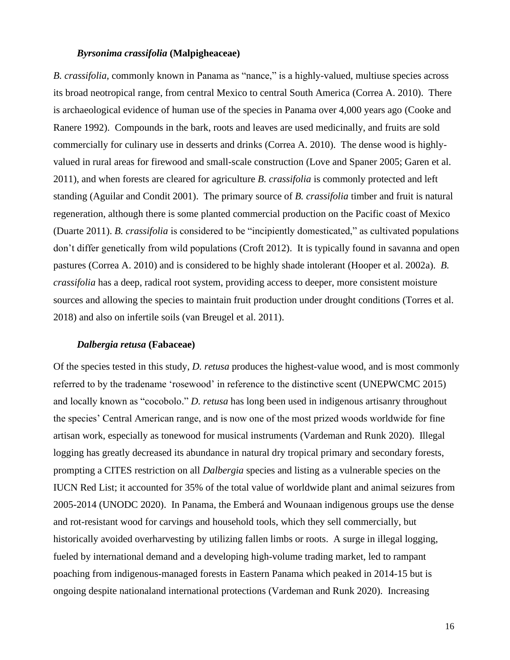#### *Byrsonima crassifolia* **(Malpigheaceae)**

*B. crassifolia,* commonly known in Panama as "nance," is a highly-valued, multiuse species across its broad neotropical range, from central Mexico to central South America (Correa A. 2010). There is archaeological evidence of human use of the species in Panama over 4,000 years ago (Cooke and Ranere 1992). Compounds in the bark, roots and leaves are used medicinally, and fruits are sold commercially for culinary use in desserts and drinks (Correa A. 2010). The dense wood is highlyvalued in rural areas for firewood and small-scale construction (Love and Spaner 2005; Garen et al. 2011), and when forests are cleared for agriculture *B. crassifolia* is commonly protected and left standing (Aguilar and Condit 2001). The primary source of *B. crassifolia* timber and fruit is natural regeneration, although there is some planted commercial production on the Pacific coast of Mexico (Duarte 2011). *B. crassifolia* is considered to be "incipiently domesticated," as cultivated populations don't differ genetically from wild populations (Croft 2012). It is typically found in savanna and open pastures (Correa A. 2010) and is considered to be highly shade intolerant (Hooper et al. 2002a). *B. crassifolia* has a deep, radical root system, providing access to deeper, more consistent moisture sources and allowing the species to maintain fruit production under drought conditions (Torres et al. 2018) and also on infertile soils (van Breugel et al. 2011).

## *Dalbergia retusa* **(Fabaceae)**

Of the species tested in this study, *D. retusa* produces the highest-value wood, and is most commonly referred to by the tradename 'rosewood' in reference to the distinctive scent (UNEPWCMC 2015) and locally known as "cocobolo." *D. retusa* has long been used in indigenous artisanry throughout the species' Central American range, and is now one of the most prized woods worldwide for fine artisan work, especially as tonewood for musical instruments (Vardeman and Runk 2020). Illegal logging has greatly decreased its abundance in natural dry tropical primary and secondary forests, prompting a CITES restriction on all *Dalbergia* species and listing as a vulnerable species on the IUCN Red List; it accounted for 35% of the total value of worldwide plant and animal seizures from 2005-2014 (UNODC 2020). In Panama, the Emberá and Wounaan indigenous groups use the dense and rot-resistant wood for carvings and household tools, which they sell commercially, but historically avoided overharvesting by utilizing fallen limbs or roots. A surge in illegal logging, fueled by international demand and a developing high-volume trading market, led to rampant poaching from indigenous-managed forests in Eastern Panama which peaked in 2014-15 but is ongoing despite nationaland international protections (Vardeman and Runk 2020). Increasing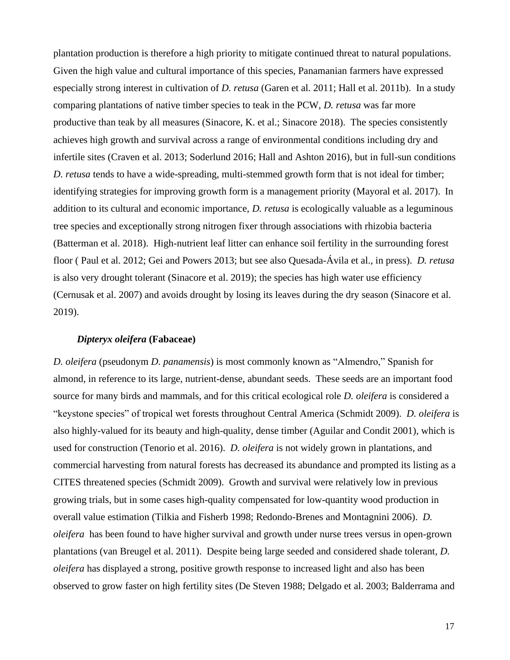plantation production is therefore a high priority to mitigate continued threat to natural populations. Given the high value and cultural importance of this species, Panamanian farmers have expressed especially strong interest in cultivation of *D. retusa* (Garen et al. 2011; Hall et al. 2011b). In a study comparing plantations of native timber species to teak in the PCW, *D. retusa* was far more productive than teak by all measures (Sinacore, K. et al.; Sinacore 2018). The species consistently achieves high growth and survival across a range of environmental conditions including dry and infertile sites (Craven et al. 2013; Soderlund 2016; Hall and Ashton 2016), but in full-sun conditions *D. retusa* tends to have a wide-spreading, multi-stemmed growth form that is not ideal for timber; identifying strategies for improving growth form is a management priority (Mayoral et al. 2017). In addition to its cultural and economic importance, *D. retusa* is ecologically valuable as a leguminous tree species and exceptionally strong nitrogen fixer through associations with rhizobia bacteria (Batterman et al. 2018). High-nutrient leaf litter can enhance soil fertility in the surrounding forest floor ( Paul et al. 2012; Gei and Powers 2013; but see also Quesada-Ávila et al., in press). *D. retusa* is also very drought tolerant (Sinacore et al. 2019); the species has high water use efficiency (Cernusak et al. 2007) and avoids drought by losing its leaves during the dry season (Sinacore et al. 2019).

## *Dipteryx oleifera* **(Fabaceae)**

*D. oleifera* (pseudonym *D. panamensis*) is most commonly known as "Almendro," Spanish for almond, in reference to its large, nutrient-dense, abundant seeds. These seeds are an important food source for many birds and mammals, and for this critical ecological role *D. oleifera* is considered a "keystone species" of tropical wet forests throughout Central America (Schmidt 2009). *D. oleifera* is also highly-valued for its beauty and high-quality, dense timber (Aguilar and Condit 2001), which is used for construction (Tenorio et al. 2016). *D. oleifera* is not widely grown in plantations, and commercial harvesting from natural forests has decreased its abundance and prompted its listing as a CITES threatened species (Schmidt 2009). Growth and survival were relatively low in previous growing trials, but in some cases high-quality compensated for low-quantity wood production in overall value estimation (Tilkia and Fisherb 1998; Redondo-Brenes and Montagnini 2006). *D. oleifera* has been found to have higher survival and growth under nurse trees versus in open-grown plantations (van Breugel et al. 2011). Despite being large seeded and considered shade tolerant, *D. oleifera* has displayed a strong, positive growth response to increased light and also has been observed to grow faster on high fertility sites (De Steven 1988; Delgado et al. 2003; Balderrama and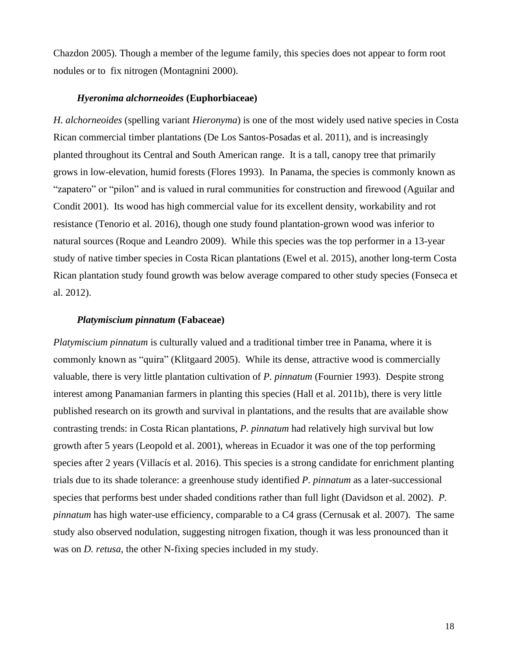Chazdon 2005). Though a member of the legume family, this species does not appear to form root nodules or to fix nitrogen (Montagnini 2000).

## *Hyeronima alchorneoides* **(Euphorbiaceae)**

*H. alchorneoides* (spelling variant *Hieronyma*) is one of the most widely used native species in Costa Rican commercial timber plantations (De Los Santos-Posadas et al. 2011), and is increasingly planted throughout its Central and South American range. It is a tall, canopy tree that primarily grows in low-elevation, humid forests (Flores 1993). In Panama, the species is commonly known as "zapatero" or "pilon" and is valued in rural communities for construction and firewood (Aguilar and Condit 2001). Its wood has high commercial value for its excellent density, workability and rot resistance (Tenorio et al. 2016), though one study found plantation-grown wood was inferior to natural sources (Roque and Leandro 2009). While this species was the top performer in a 13-year study of native timber species in Costa Rican plantations (Ewel et al. 2015), another long-term Costa Rican plantation study found growth was below average compared to other study species (Fonseca et al. 2012).

#### *Platymiscium pinnatum* **(Fabaceae)**

*Platymiscium pinnatum* is culturally valued and a traditional timber tree in Panama, where it is commonly known as "quira" (Klitgaard 2005). While its dense, attractive wood is commercially valuable, there is very little plantation cultivation of *P. pinnatum* (Fournier 1993). Despite strong interest among Panamanian farmers in planting this species (Hall et al. 2011b), there is very little published research on its growth and survival in plantations, and the results that are available show contrasting trends: in Costa Rican plantations, *P. pinnatum* had relatively high survival but low growth after 5 years (Leopold et al. 2001), whereas in Ecuador it was one of the top performing species after 2 years (Villacís et al. 2016). This species is a strong candidate for enrichment planting trials due to its shade tolerance: a greenhouse study identified *P. pinnatum* as a later-successional species that performs best under shaded conditions rather than full light (Davidson et al. 2002). *P. pinnatum* has high water-use efficiency, comparable to a C4 grass (Cernusak et al. 2007)*.* The same study also observed nodulation, suggesting nitrogen fixation, though it was less pronounced than it was on *D. retusa,* the other N-fixing species included in my study*.*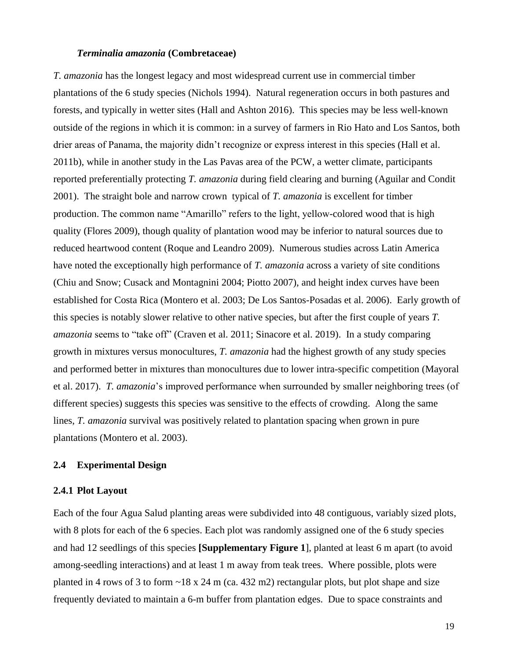#### *Terminalia amazonia* **(Combretaceae)**

*T. amazonia* has the longest legacy and most widespread current use in commercial timber plantations of the 6 study species (Nichols 1994). Natural regeneration occurs in both pastures and forests, and typically in wetter sites (Hall and Ashton 2016). This species may be less well-known outside of the regions in which it is common: in a survey of farmers in Rio Hato and Los Santos, both drier areas of Panama, the majority didn't recognize or express interest in this species (Hall et al. 2011b), while in another study in the Las Pavas area of the PCW, a wetter climate, participants reported preferentially protecting *T. amazonia* during field clearing and burning (Aguilar and Condit 2001). The straight bole and narrow crown typical of *T. amazonia* is excellent for timber production. The common name "Amarillo" refers to the light, yellow-colored wood that is high quality (Flores 2009), though quality of plantation wood may be inferior to natural sources due to reduced heartwood content (Roque and Leandro 2009). Numerous studies across Latin America have noted the exceptionally high performance of *T. amazonia* across a variety of site conditions (Chiu and Snow; Cusack and Montagnini 2004; Piotto 2007), and height index curves have been established for Costa Rica (Montero et al. 2003; De Los Santos-Posadas et al. 2006). Early growth of this species is notably slower relative to other native species, but after the first couple of years *T. amazonia* seems to "take off" (Craven et al. 2011; Sinacore et al. 2019). In a study comparing growth in mixtures versus monocultures, *T. amazonia* had the highest growth of any study species and performed better in mixtures than monocultures due to lower intra-specific competition (Mayoral et al. 2017). *T. amazonia*'s improved performance when surrounded by smaller neighboring trees (of different species) suggests this species was sensitive to the effects of crowding. Along the same lines, *T. amazonia* survival was positively related to plantation spacing when grown in pure plantations (Montero et al. 2003).

#### <span id="page-19-0"></span>**2.4 Experimental Design**

#### <span id="page-19-1"></span>**2.4.1 Plot Layout**

Each of the four Agua Salud planting areas were subdivided into 48 contiguous, variably sized plots, with 8 plots for each of the 6 species. Each plot was randomly assigned one of the 6 study species and had 12 seedlings of this species **[Supplementary Figure 1**], planted at least 6 m apart (to avoid among-seedling interactions) and at least 1 m away from teak trees. Where possible, plots were planted in 4 rows of 3 to form  $\sim$ 18 x 24 m (ca. 432 m2) rectangular plots, but plot shape and size frequently deviated to maintain a 6-m buffer from plantation edges. Due to space constraints and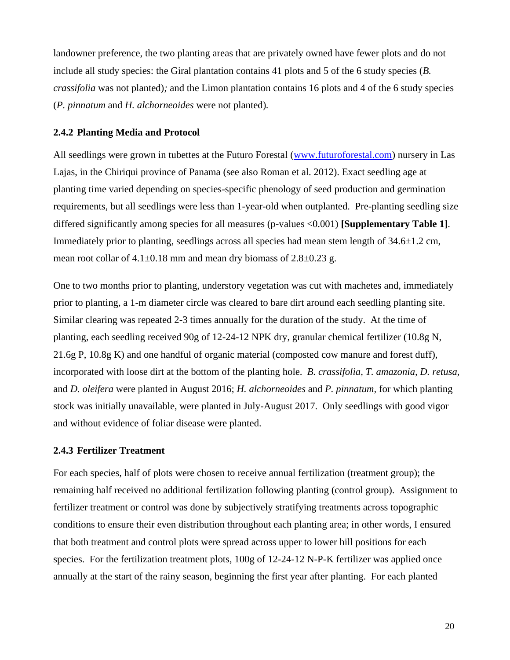landowner preference, the two planting areas that are privately owned have fewer plots and do not include all study species: the Giral plantation contains 41 plots and 5 of the 6 study species (*B. crassifolia* was not planted)*;* and the Limon plantation contains 16 plots and 4 of the 6 study species (*P. pinnatum* and *H. alchorneoides* were not planted)*.*

## <span id="page-20-0"></span>**2.4.2 Planting Media and Protocol**

All seedlings were grown in tubettes at the Futuro Forestal [\(www.futuroforestal.com\)](http://www.futuroforestal.com/) nursery in Las Lajas, in the Chiriqui province of Panama (see also Roman et al. 2012). Exact seedling age at planting time varied depending on species-specific phenology of seed production and germination requirements, but all seedlings were less than 1-year-old when outplanted. Pre-planting seedling size differed significantly among species for all measures (p-values <0.001) **[Supplementary Table 1]**. Immediately prior to planting, seedlings across all species had mean stem length of  $34.6\pm1.2$  cm, mean root collar of  $4.1\pm0.18$  mm and mean dry biomass of  $2.8\pm0.23$  g.

One to two months prior to planting, understory vegetation was cut with machetes and, immediately prior to planting, a 1-m diameter circle was cleared to bare dirt around each seedling planting site. Similar clearing was repeated 2-3 times annually for the duration of the study. At the time of planting, each seedling received 90g of 12-24-12 NPK dry, granular chemical fertilizer (10.8g N, 21.6g P, 10.8g K) and one handful of organic material (composted cow manure and forest duff), incorporated with loose dirt at the bottom of the planting hole. *B. crassifolia, T. amazonia, D. retusa,*  and *D. oleifera* were planted in August 2016; *H. alchorneoides* and *P. pinnatum,* for which planting stock was initially unavailable, were planted in July-August 2017. Only seedlings with good vigor and without evidence of foliar disease were planted.

## <span id="page-20-1"></span>**2.4.3 Fertilizer Treatment**

For each species, half of plots were chosen to receive annual fertilization (treatment group); the remaining half received no additional fertilization following planting (control group). Assignment to fertilizer treatment or control was done by subjectively stratifying treatments across topographic conditions to ensure their even distribution throughout each planting area; in other words, I ensured that both treatment and control plots were spread across upper to lower hill positions for each species. For the fertilization treatment plots, 100g of 12-24-12 N-P-K fertilizer was applied once annually at the start of the rainy season, beginning the first year after planting. For each planted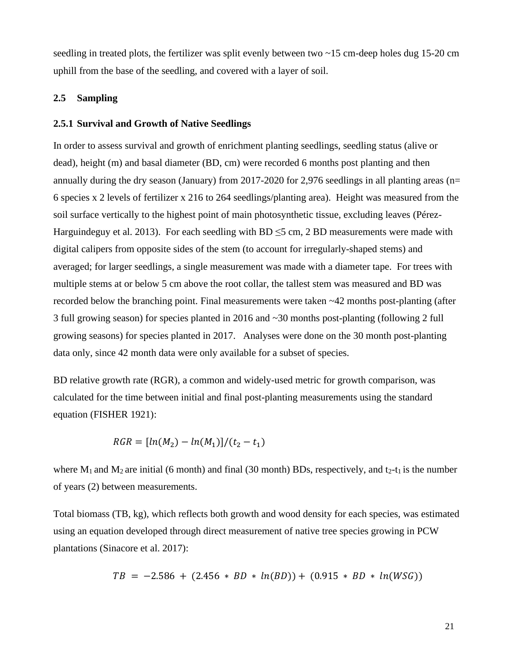seedling in treated plots, the fertilizer was split evenly between two ~15 cm-deep holes dug 15-20 cm uphill from the base of the seedling, and covered with a layer of soil.

# <span id="page-21-0"></span>**2.5 Sampling**

## <span id="page-21-1"></span>**2.5.1 Survival and Growth of Native Seedlings**

In order to assess survival and growth of enrichment planting seedlings, seedling status (alive or dead), height (m) and basal diameter (BD, cm) were recorded 6 months post planting and then annually during the dry season (January) from 2017-2020 for 2,976 seedlings in all planting areas (n= 6 species x 2 levels of fertilizer x 216 to 264 seedlings/planting area). Height was measured from the soil surface vertically to the highest point of main photosynthetic tissue, excluding leaves (Pérez-Harguindeguy et al. 2013). For each seedling with BD  $\leq$ 5 cm, 2 BD measurements were made with digital calipers from opposite sides of the stem (to account for irregularly-shaped stems) and averaged; for larger seedlings, a single measurement was made with a diameter tape. For trees with multiple stems at or below 5 cm above the root collar, the tallest stem was measured and BD was recorded below the branching point. Final measurements were taken ~42 months post-planting (after 3 full growing season) for species planted in 2016 and ~30 months post-planting (following 2 full growing seasons) for species planted in 2017. Analyses were done on the 30 month post-planting data only, since 42 month data were only available for a subset of species.

BD relative growth rate (RGR), a common and widely-used metric for growth comparison, was calculated for the time between initial and final post-planting measurements using the standard equation (FISHER 1921):

$$
RGR = [ln(M_2) - ln(M_1)]/(t_2 - t_1)
$$

where  $M_1$  and  $M_2$  are initial (6 month) and final (30 month) BDs, respectively, and t<sub>2</sub>-t<sub>1</sub> is the number of years (2) between measurements.

Total biomass (TB, kg), which reflects both growth and wood density for each species, was estimated using an equation developed through direct measurement of native tree species growing in PCW plantations (Sinacore et al. 2017):

$$
TB = -2.586 + (2.456 * BD * ln(BD)) + (0.915 * BD * ln(WSG))
$$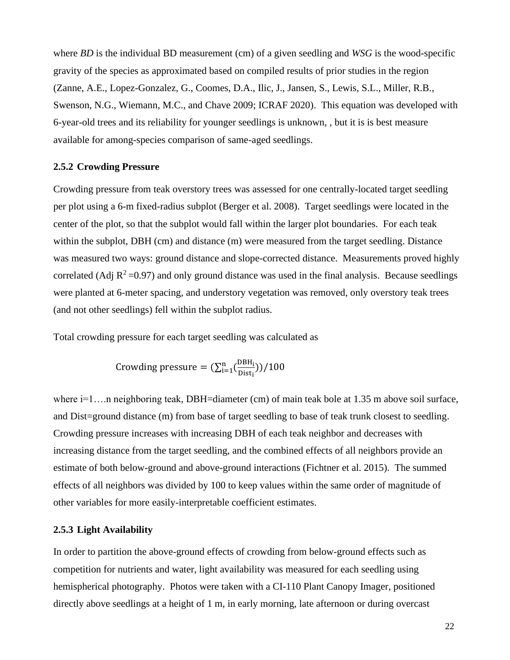where *BD* is the individual BD measurement (cm) of a given seedling and *WSG* is the wood-specific gravity of the species as approximated based on compiled results of prior studies in the region (Zanne, A.E., Lopez-Gonzalez, G., Coomes, D.A., Ilic, J., Jansen, S., Lewis, S.L., Miller, R.B., Swenson, N.G., Wiemann, M.C., and Chave 2009; ICRAF 2020). This equation was developed with 6-year-old trees and its reliability for younger seedlings is unknown, , but it is is best measure available for among-species comparison of same-aged seedlings.

## <span id="page-22-0"></span>**2.5.2 Crowding Pressure**

Crowding pressure from teak overstory trees was assessed for one centrally-located target seedling per plot using a 6-m fixed-radius subplot (Berger et al. 2008). Target seedlings were located in the center of the plot, so that the subplot would fall within the larger plot boundaries. For each teak within the subplot, DBH (cm) and distance (m) were measured from the target seedling. Distance was measured two ways: ground distance and slope-corrected distance. Measurements proved highly correlated (Adj  $R^2$ =0.97) and only ground distance was used in the final analysis. Because seedlings were planted at 6-meter spacing, and understory vegetation was removed, only overstory teak trees (and not other seedlings) fell within the subplot radius.

Total crowding pressure for each target seedling was calculated as

Crowding pressure = 
$$
(\sum_{i=1}^{n} (\frac{DBH_i}{Dist_i})) / 100
$$

where i=1....n neighboring teak, DBH=diameter (cm) of main teak bole at 1.35 m above soil surface, and Dist=ground distance (m) from base of target seedling to base of teak trunk closest to seedling. Crowding pressure increases with increasing DBH of each teak neighbor and decreases with increasing distance from the target seedling, and the combined effects of all neighbors provide an estimate of both below-ground and above-ground interactions (Fichtner et al. 2015). The summed effects of all neighbors was divided by 100 to keep values within the same order of magnitude of other variables for more easily-interpretable coefficient estimates.

#### <span id="page-22-1"></span>**2.5.3 Light Availability**

In order to partition the above-ground effects of crowding from below-ground effects such as competition for nutrients and water, light availability was measured for each seedling using hemispherical photography. Photos were taken with a CI-110 Plant Canopy Imager, positioned directly above seedlings at a height of 1 m, in early morning, late afternoon or during overcast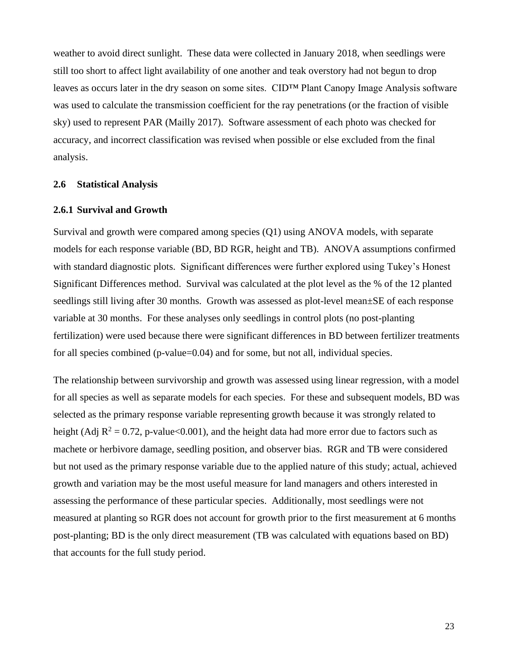weather to avoid direct sunlight. These data were collected in January 2018, when seedlings were still too short to affect light availability of one another and teak overstory had not begun to drop leaves as occurs later in the dry season on some sites. CID™ Plant Canopy Image Analysis software was used to calculate the transmission coefficient for the ray penetrations (or the fraction of visible sky) used to represent PAR (Mailly 2017). Software assessment of each photo was checked for accuracy, and incorrect classification was revised when possible or else excluded from the final analysis.

## <span id="page-23-0"></span>**2.6 Statistical Analysis**

#### <span id="page-23-1"></span>**2.6.1 Survival and Growth**

Survival and growth were compared among species (Q1) using ANOVA models, with separate models for each response variable (BD, BD RGR, height and TB). ANOVA assumptions confirmed with standard diagnostic plots. Significant differences were further explored using Tukey's Honest Significant Differences method. Survival was calculated at the plot level as the % of the 12 planted seedlings still living after 30 months. Growth was assessed as plot-level mean±SE of each response variable at 30 months. For these analyses only seedlings in control plots (no post-planting fertilization) were used because there were significant differences in BD between fertilizer treatments for all species combined (p-value=0.04) and for some, but not all, individual species.

The relationship between survivorship and growth was assessed using linear regression, with a model for all species as well as separate models for each species. For these and subsequent models, BD was selected as the primary response variable representing growth because it was strongly related to height (Adj  $R^2 = 0.72$ , p-value<0.001), and the height data had more error due to factors such as machete or herbivore damage, seedling position, and observer bias. RGR and TB were considered but not used as the primary response variable due to the applied nature of this study; actual, achieved growth and variation may be the most useful measure for land managers and others interested in assessing the performance of these particular species. Additionally, most seedlings were not measured at planting so RGR does not account for growth prior to the first measurement at 6 months post-planting; BD is the only direct measurement (TB was calculated with equations based on BD) that accounts for the full study period.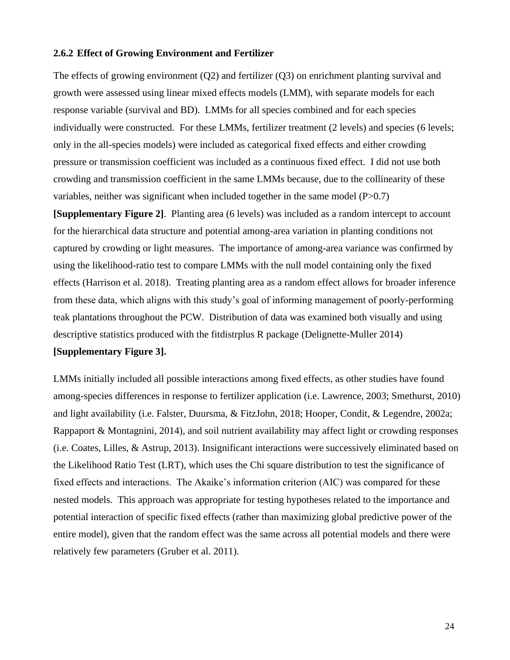#### <span id="page-24-0"></span>**2.6.2 Effect of Growing Environment and Fertilizer**

The effects of growing environment (Q2) and fertilizer (Q3) on enrichment planting survival and growth were assessed using linear mixed effects models (LMM), with separate models for each response variable (survival and BD). LMMs for all species combined and for each species individually were constructed. For these LMMs, fertilizer treatment (2 levels) and species (6 levels; only in the all-species models) were included as categorical fixed effects and either crowding pressure or transmission coefficient was included as a continuous fixed effect. I did not use both crowding and transmission coefficient in the same LMMs because, due to the collinearity of these variables, neither was significant when included together in the same model  $(P>0.7)$ 

**[Supplementary Figure 2]**. Planting area (6 levels) was included as a random intercept to account for the hierarchical data structure and potential among-area variation in planting conditions not captured by crowding or light measures. The importance of among-area variance was confirmed by using the likelihood-ratio test to compare LMMs with the null model containing only the fixed effects (Harrison et al. 2018). Treating planting area as a random effect allows for broader inference from these data, which aligns with this study's goal of informing management of poorly-performing teak plantations throughout the PCW. Distribution of data was examined both visually and using descriptive statistics produced with the fitdistrplus R package (Delignette-Muller 2014)

## **[Supplementary Figure 3].**

LMMs initially included all possible interactions among fixed effects, as other studies have found among-species differences in response to fertilizer application (i.e. Lawrence, 2003; Smethurst, 2010) and light availability (i.e. Falster, Duursma, & FitzJohn, 2018; Hooper, Condit, & Legendre, 2002a; Rappaport & Montagnini, 2014), and soil nutrient availability may affect light or crowding responses (i.e. Coates, Lilles, & Astrup, 2013). Insignificant interactions were successively eliminated based on the Likelihood Ratio Test (LRT), which uses the Chi square distribution to test the significance of fixed effects and interactions. The Akaike's information criterion (AIC) was compared for these nested models. This approach was appropriate for testing hypotheses related to the importance and potential interaction of specific fixed effects (rather than maximizing global predictive power of the entire model), given that the random effect was the same across all potential models and there were relatively few parameters (Gruber et al. 2011).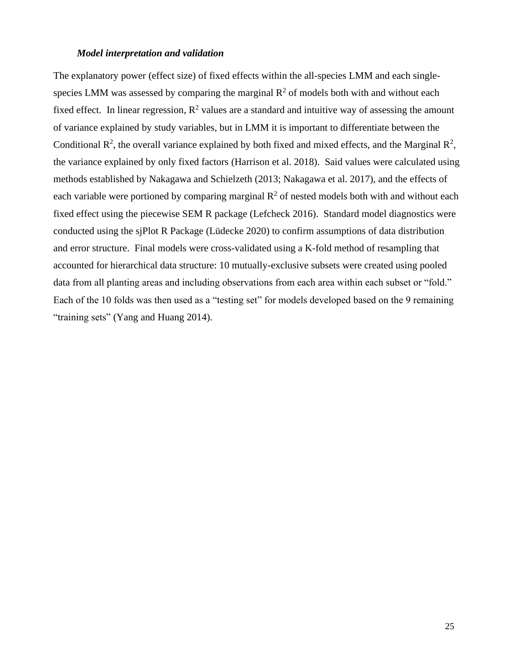#### *Model interpretation and validation*

The explanatory power (effect size) of fixed effects within the all-species LMM and each singlespecies LMM was assessed by comparing the marginal  $\mathbb{R}^2$  of models both with and without each fixed effect. In linear regression,  $R^2$  values are a standard and intuitive way of assessing the amount of variance explained by study variables, but in LMM it is important to differentiate between the Conditional  $\mathbb{R}^2$ , the overall variance explained by both fixed and mixed effects, and the Marginal  $\mathbb{R}^2$ , the variance explained by only fixed factors (Harrison et al. 2018). Said values were calculated using methods established by Nakagawa and Schielzeth (2013; Nakagawa et al. 2017), and the effects of each variable were portioned by comparing marginal  $\mathbb{R}^2$  of nested models both with and without each fixed effect using the piecewise SEM R package (Lefcheck 2016). Standard model diagnostics were conducted using the sjPlot R Package (Lüdecke 2020) to confirm assumptions of data distribution and error structure. Final models were cross-validated using a K-fold method of resampling that accounted for hierarchical data structure: 10 mutually-exclusive subsets were created using pooled data from all planting areas and including observations from each area within each subset or "fold." Each of the 10 folds was then used as a "testing set" for models developed based on the 9 remaining "training sets" (Yang and Huang 2014).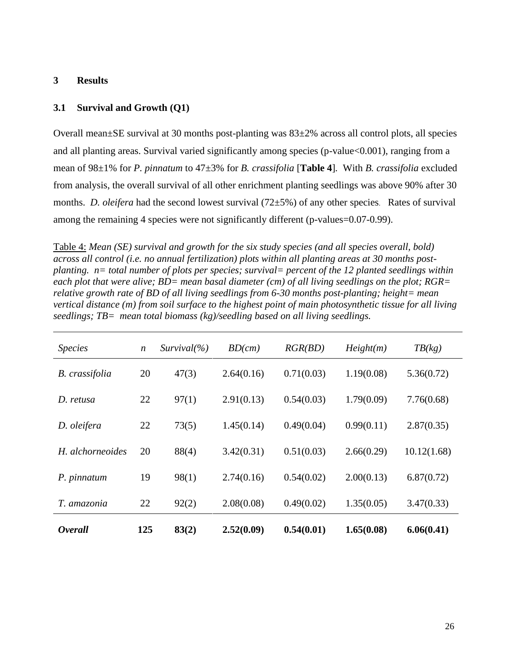## <span id="page-26-0"></span>**3 Results**

## <span id="page-26-1"></span>**3.1 Survival and Growth (Q1)**

Overall mean $\pm$ SE survival at 30 months post-planting was  $83\pm2\%$  across all control plots, all species and all planting areas. Survival varied significantly among species (p-value<0.001), ranging from a mean of 98±1% for *P. pinnatum* to 47±3% for *B. crassifolia* [**Table 4**]*.* With *B. crassifolia* excluded from analysis, the overall survival of all other enrichment planting seedlings was above 90% after 30 months. *D. oleifera* had the second lowest survival (72±5%) of any other species. Rates of survival among the remaining 4 species were not significantly different (p-values=0.07-0.99).

Table 4: *Mean (SE) survival and growth for the six study species (and all species overall, bold) across all control (i.e. no annual fertilization) plots within all planting areas at 30 months postplanting. n= total number of plots per species; survival= percent of the 12 planted seedlings within each plot that were alive; BD= mean basal diameter (cm) of all living seedlings on the plot; RGR= relative growth rate of BD of all living seedlings from 6-30 months post-planting; height= mean vertical distance (m) from soil surface to the highest point of main photosynthetic tissue for all living seedlings; TB= mean total biomass (kg)/seedling based on all living seedlings.*

| <i>Species</i>   | $\boldsymbol{n}$ | Survival(% | BD(cm)     | RGR(BD)    | Height(m)  | TB(kg)      |
|------------------|------------------|------------|------------|------------|------------|-------------|
| B. crassifolia   | 20               | 47(3)      | 2.64(0.16) | 0.71(0.03) | 1.19(0.08) | 5.36(0.72)  |
| D. retusa        | 22               | 97(1)      | 2.91(0.13) | 0.54(0.03) | 1.79(0.09) | 7.76(0.68)  |
| D. oleifera      | 22               | 73(5)      | 1.45(0.14) | 0.49(0.04) | 0.99(0.11) | 2.87(0.35)  |
| H. alchorneoides | 20               | 88(4)      | 3.42(0.31) | 0.51(0.03) | 2.66(0.29) | 10.12(1.68) |
| P. pinnatum      | 19               | 98(1)      | 2.74(0.16) | 0.54(0.02) | 2.00(0.13) | 6.87(0.72)  |
| T. amazonia      | 22               | 92(2)      | 2.08(0.08) | 0.49(0.02) | 1.35(0.05) | 3.47(0.33)  |
| <b>Overall</b>   | 125              | 83(2)      | 2.52(0.09) | 0.54(0.01) | 1.65(0.08) | 6.06(0.41)  |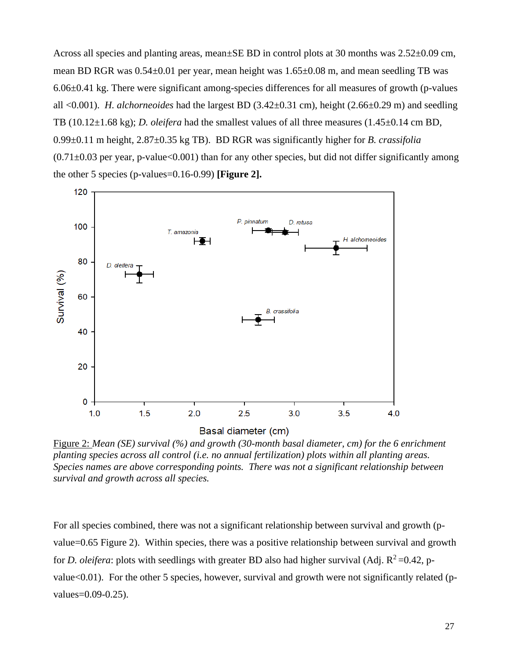Across all species and planting areas, mean±SE BD in control plots at 30 months was 2.52±0.09 cm, mean BD RGR was 0.54±0.01 per year, mean height was 1.65±0.08 m, and mean seedling TB was 6.06±0.41 kg. There were significant among-species differences for all measures of growth (p-values all <0.001). *H. alchorneoides* had the largest BD (3.42±0.31 cm), height (2.66±0.29 m) and seedling TB (10.12±1.68 kg); *D. oleifera* had the smallest values of all three measures (1.45±0.14 cm BD, 0.99±0.11 m height, 2.87±0.35 kg TB). BD RGR was significantly higher for *B. crassifolia*  $(0.71\pm0.03$  per year, p-value<0.001) than for any other species, but did not differ significantly among the other 5 species (p-values=0.16-0.99) **[Figure 2].**



Figure 2: *Mean (SE) survival (%) and growth (30-month basal diameter, cm) for the 6 enrichment planting species across all control (i.e. no annual fertilization) plots within all planting areas. Species names are above corresponding points. There was not a significant relationship between survival and growth across all species.*

For all species combined, there was not a significant relationship between survival and growth (pvalue=0.65 Figure 2). Within species, there was a positive relationship between survival and growth for *D. oleifera*: plots with seedlings with greater BD also had higher survival (Adj.  $R^2 = 0.42$ , pvalue<0.01). For the other 5 species, however, survival and growth were not significantly related (pvalues=0.09-0.25).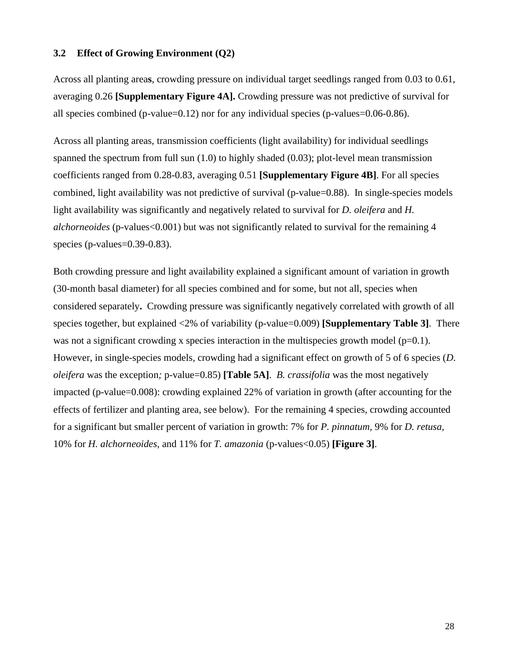## <span id="page-28-0"></span>**3.2 Effect of Growing Environment (Q2)**

Across all planting area**s**, crowding pressure on individual target seedlings ranged from 0.03 to 0.61, averaging 0.26 **[Supplementary Figure 4A].** Crowding pressure was not predictive of survival for all species combined (p-value=0.12) nor for any individual species (p-values=0.06-0.86).

Across all planting areas, transmission coefficients (light availability) for individual seedlings spanned the spectrum from full sun (1.0) to highly shaded (0.03); plot-level mean transmission coefficients ranged from 0.28-0.83, averaging 0.51 **[Supplementary Figure 4B]**. For all species combined, light availability was not predictive of survival (p-value=0.88). In single-species models light availability was significantly and negatively related to survival for *D. oleifera* and *H. alchorneoides* (p-values<0.001) but was not significantly related to survival for the remaining 4 species (p-values=0.39-0.83).

Both crowding pressure and light availability explained a significant amount of variation in growth (30-month basal diameter) for all species combined and for some, but not all, species when considered separately**.** Crowding pressure was significantly negatively correlated with growth of all species together, but explained <2% of variability (p-value=0.009) **[Supplementary Table 3]**. There was not a significant crowding x species interaction in the multispecies growth model  $(p=0.1)$ . However, in single-species models, crowding had a significant effect on growth of 5 of 6 species (*D. oleifera* was the exception*;* p-value=0.85) **[Table 5A]**. *B. crassifolia* was the most negatively impacted (p-value=0.008): crowding explained 22% of variation in growth (after accounting for the effects of fertilizer and planting area, see below). For the remaining 4 species, crowding accounted for a significant but smaller percent of variation in growth: 7% for *P. pinnatum,* 9% for *D. retusa,* 10% for *H. alchorneoides,* and 11% for *T. amazonia* (p-values<0.05) **[Figure 3]**.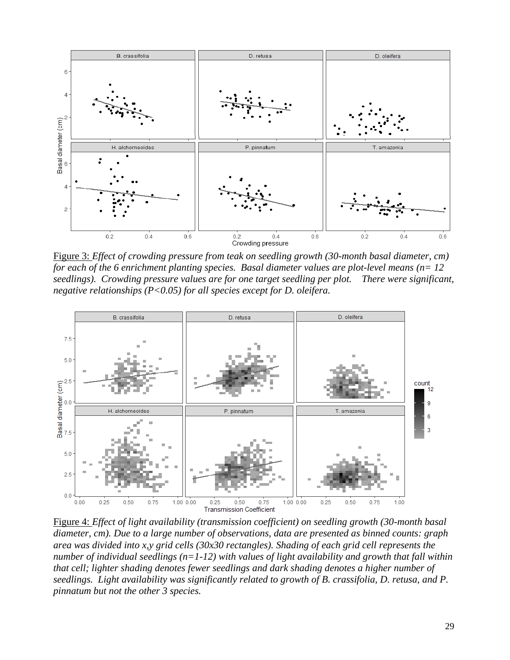

Figure 3: *Effect of crowding pressure from teak on seedling growth (30-month basal diameter, cm) for each of the 6 enrichment planting species. Basal diameter values are plot-level means (n= 12 seedlings). Crowding pressure values are for one target seedling per plot. There were significant, negative relationships (P<0.05) for all species except for D. oleifera.*



Figure 4: *Effect of light availability (transmission coefficient) on seedling growth (30-month basal diameter, cm). Due to a large number of observations, data are presented as binned counts: graph area was divided into x,y grid cells (30x30 rectangles). Shading of each grid cell represents the number of individual seedlings (n=1-12) with values of light availability and growth that fall within that cell; lighter shading denotes fewer seedlings and dark shading denotes a higher number of seedlings. Light availability was significantly related to growth of B. crassifolia, D. retusa, and P. pinnatum but not the other 3 species.*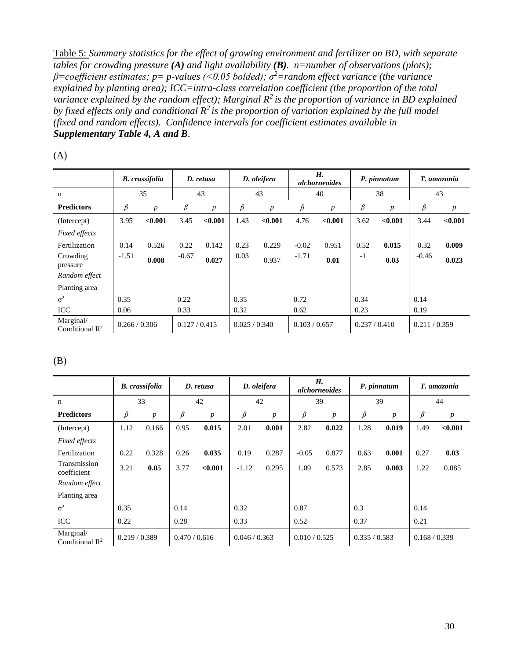Table 5: *Summary statistics for the effect of growing environment and fertilizer on BD, with separate tables for crowding pressure (A) and light availability (B). n=number of observations (plots); β=coefficient estimates; p= p-values (<0.05 bolded); σ<sup>2</sup>=random effect variance (the variance explained by planting area); ICC=intra-class correlation coefficient (the proportion of the total variance explained by the random effect); Marginal R<sup>2</sup>is the proportion of variance in BD explained by fixed effects only and conditional R<sup>2</sup>is the proportion of variation explained by the full model (fixed and random effects). Confidence intervals for coefficient estimates available in Supplementary Table 4, A and B.* 

|                                         | <b>B.</b> crassifolia |                  |               |                  | D. retusa     |                  |               | D. oleifera      |               | H.<br><i>alchorneoides</i> |               | P. pinnatum      |  | T. amazonia |
|-----------------------------------------|-----------------------|------------------|---------------|------------------|---------------|------------------|---------------|------------------|---------------|----------------------------|---------------|------------------|--|-------------|
| $\mathbf n$                             |                       | 35               | 43            |                  | 43            |                  | 40            |                  | 38            |                            | 43            |                  |  |             |
| <b>Predictors</b>                       | β                     | $\boldsymbol{p}$ | β             | $\boldsymbol{p}$ | β             | $\boldsymbol{p}$ | $\beta$       | $\boldsymbol{p}$ | β             | $\boldsymbol{p}$           | β             | $\boldsymbol{p}$ |  |             |
| (Intercept)                             | 3.95                  | < 0.001          | 3.45          | < 0.001          | 1.43          | < 0.001          | 4.76          | < 0.001          | 3.62          | < 0.001                    | 3.44          | < 0.001          |  |             |
| <b>Fixed effects</b>                    |                       |                  |               |                  |               |                  |               |                  |               |                            |               |                  |  |             |
| Fertilization                           | 0.14                  | 0.526            | 0.22          | 0.142            | 0.23          | 0.229            | $-0.02$       | 0.951            | 0.52          | 0.015                      | 0.32          | 0.009            |  |             |
| Crowding<br>pressure                    | $-1.51$               | 0.008            | $-0.67$       | 0.027            | 0.03          | 0.937            | $-1.71$       | 0.01             | $-1$          | 0.03                       | $-0.46$       | 0.023            |  |             |
| Random effect                           |                       |                  |               |                  |               |                  |               |                  |               |                            |               |                  |  |             |
| Planting area                           |                       |                  |               |                  |               |                  |               |                  |               |                            |               |                  |  |             |
| $\sigma^2$                              | 0.35                  |                  | 0.22          |                  | 0.35          |                  | 0.72          |                  | 0.34          |                            | 0.14          |                  |  |             |
| <b>ICC</b>                              | 0.06                  |                  | 0.33          |                  | 0.32          |                  | 0.62          |                  | 0.23          |                            | 0.19          |                  |  |             |
| Marginal/<br>Conditional $\mathbb{R}^2$ | 0.266 / 0.306         |                  | 0.127 / 0.415 |                  | 0.025 / 0.340 |                  | 0.103 / 0.657 |                  | 0.237 / 0.410 |                            | 0.211 / 0.359 |                  |  |             |

(A)

(B)

|                                         | <b>B.</b> crassifolia |                  | D. retusa     |                  | D. oleifera   |                  | H.<br><i>alchorneoides</i> |                  |               | P. pinnatum      |               | T. amazonia      |
|-----------------------------------------|-----------------------|------------------|---------------|------------------|---------------|------------------|----------------------------|------------------|---------------|------------------|---------------|------------------|
| $\mathbf n$                             | 33                    |                  | 42            |                  | 42            |                  | 39                         |                  |               | 39               | 44            |                  |
| <b>Predictors</b>                       | β                     | $\boldsymbol{p}$ | β             | $\boldsymbol{p}$ | β             | $\boldsymbol{p}$ | β                          | $\boldsymbol{p}$ | β             | $\boldsymbol{p}$ | β             | $\boldsymbol{p}$ |
| (Intercept)                             | 1.12                  | 0.166            | 0.95          | 0.015            | 2.01          | 0.001            | 2.82                       | 0.022            | 1.28          | 0.019            | 1.49          | < 0.001          |
| <b>Fixed effects</b>                    |                       |                  |               |                  |               |                  |                            |                  |               |                  |               |                  |
| Fertilization                           | 0.22                  | 0.328            | 0.26          | 0.035            | 0.19          | 0.287            | $-0.05$                    | 0.877            | 0.63          | 0.001            | 0.27          | 0.03             |
| Transmission<br>coefficient             | 3.21                  | 0.05             | 3.77          | < 0.001          | $-1.12$       | 0.295            | 1.09                       | 0.573            | 2.85          | 0.003            | 1.22          | 0.085            |
| Random effect                           |                       |                  |               |                  |               |                  |                            |                  |               |                  |               |                  |
| Planting area                           |                       |                  |               |                  |               |                  |                            |                  |               |                  |               |                  |
| $\sigma^2$                              | 0.35                  |                  | 0.14          |                  | 0.32          |                  | 0.87                       |                  | 0.3           |                  | 0.14          |                  |
| <b>ICC</b>                              | 0.22                  |                  | 0.28          |                  | 0.33          |                  | 0.52                       |                  | 0.37          |                  | 0.21          |                  |
| Marginal/<br>Conditional $\mathbb{R}^2$ | 0.219 / 0.389         |                  | 0.470 / 0.616 |                  | 0.046 / 0.363 |                  | 0.010 / 0.525              |                  | 0.335 / 0.583 |                  | 0.168 / 0.339 |                  |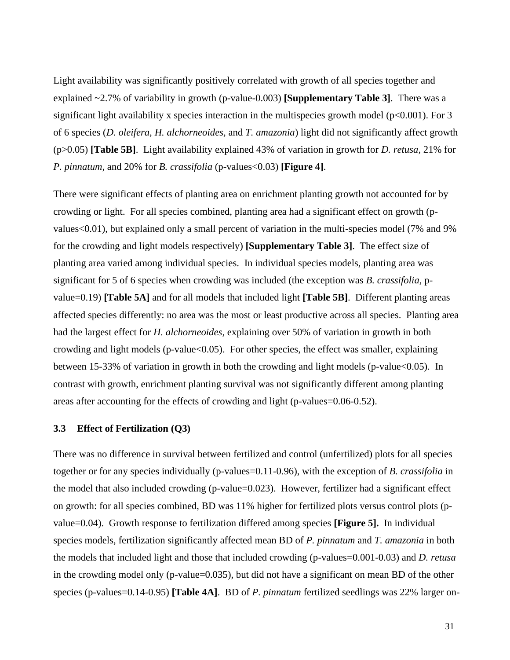Light availability was significantly positively correlated with growth of all species together and explained ~2.7% of variability in growth (p-value-0.003) **[Supplementary Table 3]**. There was a significant light availability x species interaction in the multispecies growth model ( $p<0.001$ ). For 3 of 6 species (*D. oleifera, H. alchorneoides,* and *T. amazonia*) light did not significantly affect growth (p>0.05) **[Table 5B]**. Light availability explained 43% of variation in growth for *D. retusa,* 21% for *P. pinnatum,* and 20% for *B. crassifolia* (p-values<0.03) **[Figure 4]**.

There were significant effects of planting area on enrichment planting growth not accounted for by crowding or light. For all species combined, planting area had a significant effect on growth (pvalues<0.01), but explained only a small percent of variation in the multi-species model (7% and 9% for the crowding and light models respectively) **[Supplementary Table 3]**. The effect size of planting area varied among individual species. In individual species models, planting area was significant for 5 of 6 species when crowding was included (the exception was *B. crassifolia,* pvalue=0.19) **[Table 5A]** and for all models that included light **[Table 5B]**. Different planting areas affected species differently: no area was the most or least productive across all species. Planting area had the largest effect for *H. alchorneoides,* explaining over 50% of variation in growth in both crowding and light models (p-value $<0.05$ ). For other species, the effect was smaller, explaining between 15-33% of variation in growth in both the crowding and light models (p-value<0.05). In contrast with growth, enrichment planting survival was not significantly different among planting areas after accounting for the effects of crowding and light (p-values=0.06-0.52).

#### <span id="page-31-0"></span>**3.3 Effect of Fertilization (Q3)**

There was no difference in survival between fertilized and control (unfertilized) plots for all species together or for any species individually (p-values=0.11-0.96), with the exception of *B. crassifolia* in the model that also included crowding (p-value=0.023). However, fertilizer had a significant effect on growth: for all species combined, BD was 11% higher for fertilized plots versus control plots (pvalue=0.04). Growth response to fertilization differed among species **[Figure 5].** In individual species models, fertilization significantly affected mean BD of *P. pinnatum* and *T. amazonia* in both the models that included light and those that included crowding (p-values=0.001-0.03) and *D. retusa*  in the crowding model only (p-value=0.035), but did not have a significant on mean BD of the other species (p-values=0.14-0.95) **[Table 4A]**. BD of *P. pinnatum* fertilized seedlings was 22% larger on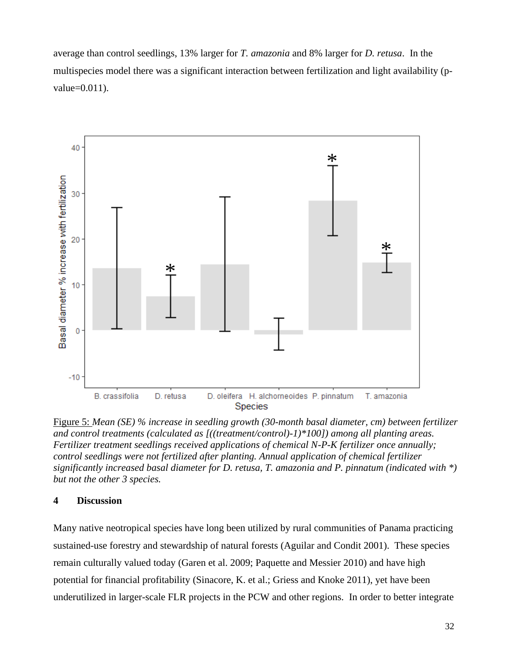average than control seedlings, 13% larger for *T. amazonia* and 8% larger for *D. retusa*. In the multispecies model there was a significant interaction between fertilization and light availability (pvalue=0.011).



Figure 5: *Mean (SE) % increase in seedling growth (30-month basal diameter, cm) between fertilizer and control treatments (calculated as [((treatment/control)-1)\*100]) among all planting areas. Fertilizer treatment seedlings received applications of chemical N-P-K fertilizer once annually; control seedlings were not fertilized after planting. Annual application of chemical fertilizer significantly increased basal diameter for D. retusa, T. amazonia and P. pinnatum (indicated with \*) but not the other 3 species.*

# <span id="page-32-0"></span>**4 Discussion**

Many native neotropical species have long been utilized by rural communities of Panama practicing sustained-use forestry and stewardship of natural forests (Aguilar and Condit 2001). These species remain culturally valued today (Garen et al. 2009; Paquette and Messier 2010) and have high potential for financial profitability (Sinacore, K. et al.; Griess and Knoke 2011), yet have been underutilized in larger-scale FLR projects in the PCW and other regions. In order to better integrate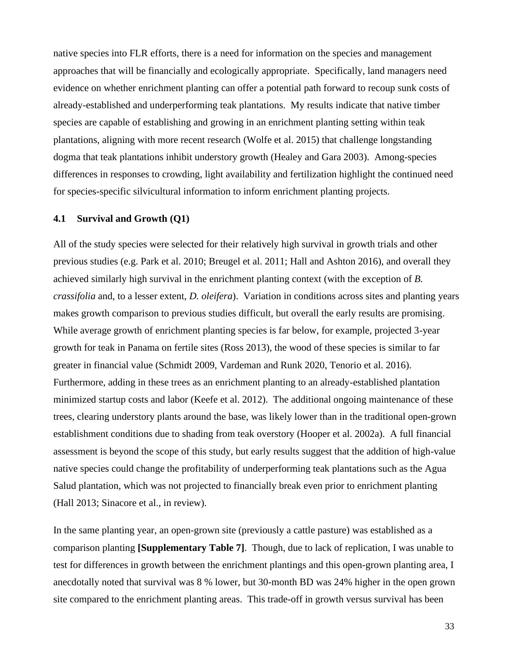native species into FLR efforts, there is a need for information on the species and management approaches that will be financially and ecologically appropriate. Specifically, land managers need evidence on whether enrichment planting can offer a potential path forward to recoup sunk costs of already-established and underperforming teak plantations. My results indicate that native timber species are capable of establishing and growing in an enrichment planting setting within teak plantations, aligning with more recent research (Wolfe et al. 2015) that challenge longstanding dogma that teak plantations inhibit understory growth (Healey and Gara 2003). Among-species differences in responses to crowding, light availability and fertilization highlight the continued need for species-specific silvicultural information to inform enrichment planting projects.

#### <span id="page-33-0"></span>**4.1 Survival and Growth (Q1)**

All of the study species were selected for their relatively high survival in growth trials and other previous studies (e.g. Park et al. 2010; Breugel et al. 2011; Hall and Ashton 2016), and overall they achieved similarly high survival in the enrichment planting context (with the exception of *B. crassifolia* and, to a lesser extent, *D. oleifera*). Variation in conditions across sites and planting years makes growth comparison to previous studies difficult, but overall the early results are promising. While average growth of enrichment planting species is far below, for example, projected 3-year growth for teak in Panama on fertile sites (Ross 2013), the wood of these species is similar to far greater in financial value (Schmidt 2009, Vardeman and Runk 2020, Tenorio et al. 2016). Furthermore, adding in these trees as an enrichment planting to an already-established plantation minimized startup costs and labor (Keefe et al. 2012). The additional ongoing maintenance of these trees, clearing understory plants around the base, was likely lower than in the traditional open-grown establishment conditions due to shading from teak overstory (Hooper et al. 2002a). A full financial assessment is beyond the scope of this study, but early results suggest that the addition of high-value native species could change the profitability of underperforming teak plantations such as the Agua Salud plantation, which was not projected to financially break even prior to enrichment planting (Hall 2013; Sinacore et al., in review).

In the same planting year, an open-grown site (previously a cattle pasture) was established as a comparison planting **[Supplementary Table 7]**. Though, due to lack of replication, I was unable to test for differences in growth between the enrichment plantings and this open-grown planting area, I anecdotally noted that survival was 8 % lower, but 30-month BD was 24% higher in the open grown site compared to the enrichment planting areas. This trade-off in growth versus survival has been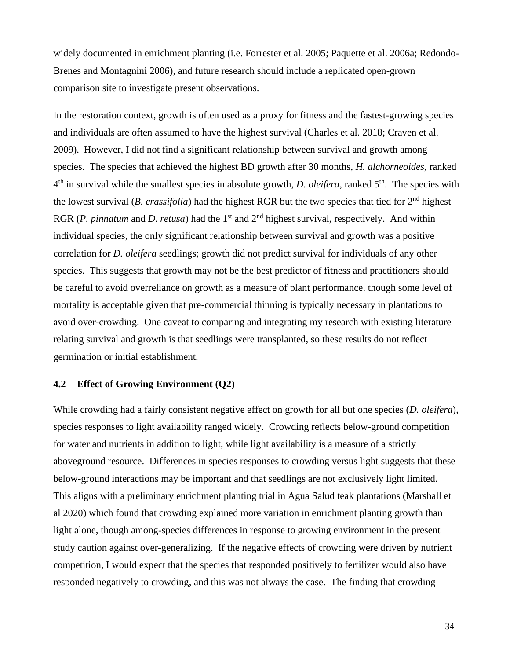widely documented in enrichment planting (i.e. Forrester et al. 2005; Paquette et al. 2006a; Redondo-Brenes and Montagnini 2006), and future research should include a replicated open-grown comparison site to investigate present observations.

In the restoration context, growth is often used as a proxy for fitness and the fastest-growing species and individuals are often assumed to have the highest survival (Charles et al. 2018; Craven et al. 2009). However, I did not find a significant relationship between survival and growth among species. The species that achieved the highest BD growth after 30 months, *H. alchorneoides,* ranked 4 th in survival while the smallest species in absolute growth, *D. oleifera,* ranked 5th. The species with the lowest survival (*B. crassifolia*) had the highest RGR but the two species that tied for 2nd highest RGR (*P. pinnatum* and *D. retusa*) had the 1<sup>st</sup> and 2<sup>nd</sup> highest survival, respectively. And within individual species, the only significant relationship between survival and growth was a positive correlation for *D. oleifera* seedlings; growth did not predict survival for individuals of any other species. This suggests that growth may not be the best predictor of fitness and practitioners should be careful to avoid overreliance on growth as a measure of plant performance. though some level of mortality is acceptable given that pre-commercial thinning is typically necessary in plantations to avoid over-crowding. One caveat to comparing and integrating my research with existing literature relating survival and growth is that seedlings were transplanted, so these results do not reflect germination or initial establishment.

## <span id="page-34-0"></span>**4.2 Effect of Growing Environment (Q2)**

While crowding had a fairly consistent negative effect on growth for all but one species (*D. oleifera*), species responses to light availability ranged widely. Crowding reflects below-ground competition for water and nutrients in addition to light, while light availability is a measure of a strictly aboveground resource. Differences in species responses to crowding versus light suggests that these below-ground interactions may be important and that seedlings are not exclusively light limited. This aligns with a preliminary enrichment planting trial in Agua Salud teak plantations (Marshall et al 2020) which found that crowding explained more variation in enrichment planting growth than light alone, though among-species differences in response to growing environment in the present study caution against over-generalizing. If the negative effects of crowding were driven by nutrient competition, I would expect that the species that responded positively to fertilizer would also have responded negatively to crowding, and this was not always the case. The finding that crowding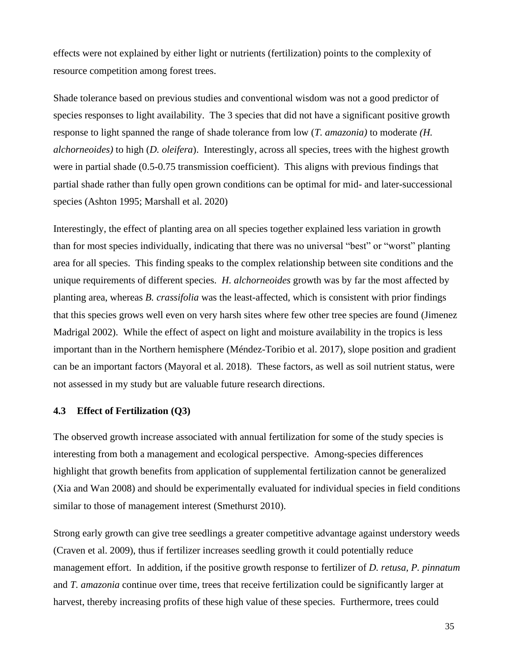effects were not explained by either light or nutrients (fertilization) points to the complexity of resource competition among forest trees.

Shade tolerance based on previous studies and conventional wisdom was not a good predictor of species responses to light availability. The 3 species that did not have a significant positive growth response to light spanned the range of shade tolerance from low (*T. amazonia)* to moderate *(H. alchorneoides)* to high (*D. oleifera*). Interestingly, across all species, trees with the highest growth were in partial shade (0.5-0.75 transmission coefficient). This aligns with previous findings that partial shade rather than fully open grown conditions can be optimal for mid- and later-successional species (Ashton 1995; Marshall et al. 2020)

Interestingly, the effect of planting area on all species together explained less variation in growth than for most species individually, indicating that there was no universal "best" or "worst" planting area for all species. This finding speaks to the complex relationship between site conditions and the unique requirements of different species. *H. alchorneoides* growth was by far the most affected by planting area, whereas *B. crassifolia* was the least-affected, which is consistent with prior findings that this species grows well even on very harsh sites where few other tree species are found (Jimenez Madrigal 2002). While the effect of aspect on light and moisture availability in the tropics is less important than in the Northern hemisphere (Méndez-Toribio et al. 2017), slope position and gradient can be an important factors (Mayoral et al. 2018). These factors, as well as soil nutrient status, were not assessed in my study but are valuable future research directions.

### <span id="page-35-0"></span>**4.3 Effect of Fertilization (Q3)**

The observed growth increase associated with annual fertilization for some of the study species is interesting from both a management and ecological perspective. Among-species differences highlight that growth benefits from application of supplemental fertilization cannot be generalized (Xia and Wan 2008) and should be experimentally evaluated for individual species in field conditions similar to those of management interest (Smethurst 2010).

Strong early growth can give tree seedlings a greater competitive advantage against understory weeds (Craven et al. 2009), thus if fertilizer increases seedling growth it could potentially reduce management effort. In addition, if the positive growth response to fertilizer of *D. retusa, P. pinnatum*  and *T. amazonia* continue over time, trees that receive fertilization could be significantly larger at harvest, thereby increasing profits of these high value of these species. Furthermore, trees could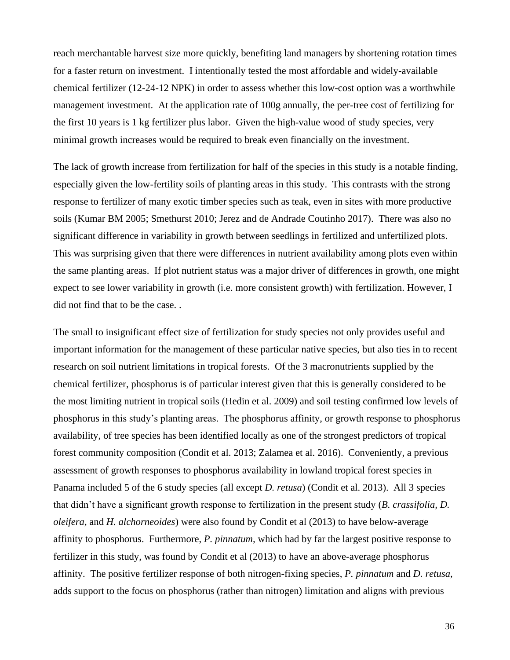reach merchantable harvest size more quickly, benefiting land managers by shortening rotation times for a faster return on investment. I intentionally tested the most affordable and widely-available chemical fertilizer (12-24-12 NPK) in order to assess whether this low-cost option was a worthwhile management investment. At the application rate of 100g annually, the per-tree cost of fertilizing for the first 10 years is 1 kg fertilizer plus labor. Given the high-value wood of study species, very minimal growth increases would be required to break even financially on the investment.

The lack of growth increase from fertilization for half of the species in this study is a notable finding, especially given the low-fertility soils of planting areas in this study. This contrasts with the strong response to fertilizer of many exotic timber species such as teak, even in sites with more productive soils (Kumar BM 2005; Smethurst 2010; Jerez and de Andrade Coutinho 2017). There was also no significant difference in variability in growth between seedlings in fertilized and unfertilized plots. This was surprising given that there were differences in nutrient availability among plots even within the same planting areas. If plot nutrient status was a major driver of differences in growth, one might expect to see lower variability in growth (i.e. more consistent growth) with fertilization. However, I did not find that to be the case. .

The small to insignificant effect size of fertilization for study species not only provides useful and important information for the management of these particular native species, but also ties in to recent research on soil nutrient limitations in tropical forests. Of the 3 macronutrients supplied by the chemical fertilizer, phosphorus is of particular interest given that this is generally considered to be the most limiting nutrient in tropical soils (Hedin et al. 2009) and soil testing confirmed low levels of phosphorus in this study's planting areas. The phosphorus affinity, or growth response to phosphorus availability, of tree species has been identified locally as one of the strongest predictors of tropical forest community composition (Condit et al. 2013; Zalamea et al. 2016). Conveniently, a previous assessment of growth responses to phosphorus availability in lowland tropical forest species in Panama included 5 of the 6 study species (all except *D. retusa*) (Condit et al. 2013). All 3 species that didn't have a significant growth response to fertilization in the present study (*B. crassifolia, D. oleifera,* and *H. alchorneoides*) were also found by Condit et al (2013) to have below-average affinity to phosphorus. Furthermore, *P. pinnatum,* which had by far the largest positive response to fertilizer in this study, was found by Condit et al (2013) to have an above-average phosphorus affinity. The positive fertilizer response of both nitrogen-fixing species, *P. pinnatum* and *D. retusa,*  adds support to the focus on phosphorus (rather than nitrogen) limitation and aligns with previous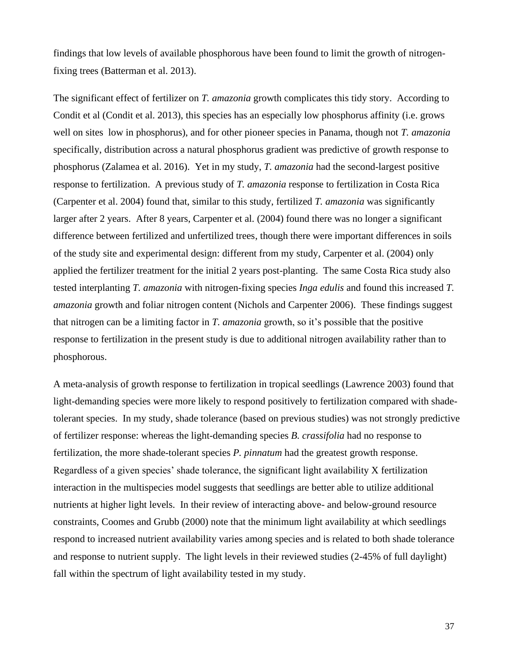findings that low levels of available phosphorous have been found to limit the growth of nitrogenfixing trees (Batterman et al. 2013).

The significant effect of fertilizer on *T. amazonia* growth complicates this tidy story. According to Condit et al (Condit et al. 2013), this species has an especially low phosphorus affinity (i.e. grows well on sites low in phosphorus), and for other pioneer species in Panama, though not *T. amazonia*  specifically, distribution across a natural phosphorus gradient was predictive of growth response to phosphorus (Zalamea et al. 2016). Yet in my study, *T. amazonia* had the second-largest positive response to fertilization. A previous study of *T. amazonia* response to fertilization in Costa Rica (Carpenter et al. 2004) found that, similar to this study, fertilized *T. amazonia* was significantly larger after 2 years. After 8 years, Carpenter et al. (2004) found there was no longer a significant difference between fertilized and unfertilized trees, though there were important differences in soils of the study site and experimental design: different from my study, Carpenter et al. (2004) only applied the fertilizer treatment for the initial 2 years post-planting. The same Costa Rica study also tested interplanting *T. amazonia* with nitrogen-fixing species *Inga edulis* and found this increased *T. amazonia* growth and foliar nitrogen content (Nichols and Carpenter 2006). These findings suggest that nitrogen can be a limiting factor in *T. amazonia* growth, so it's possible that the positive response to fertilization in the present study is due to additional nitrogen availability rather than to phosphorous.

A meta-analysis of growth response to fertilization in tropical seedlings (Lawrence 2003) found that light-demanding species were more likely to respond positively to fertilization compared with shadetolerant species. In my study, shade tolerance (based on previous studies) was not strongly predictive of fertilizer response: whereas the light-demanding species *B. crassifolia* had no response to fertilization, the more shade-tolerant species *P. pinnatum* had the greatest growth response. Regardless of a given species' shade tolerance, the significant light availability X fertilization interaction in the multispecies model suggests that seedlings are better able to utilize additional nutrients at higher light levels. In their review of interacting above- and below-ground resource constraints, Coomes and Grubb (2000) note that the minimum light availability at which seedlings respond to increased nutrient availability varies among species and is related to both shade tolerance and response to nutrient supply. The light levels in their reviewed studies (2-45% of full daylight) fall within the spectrum of light availability tested in my study.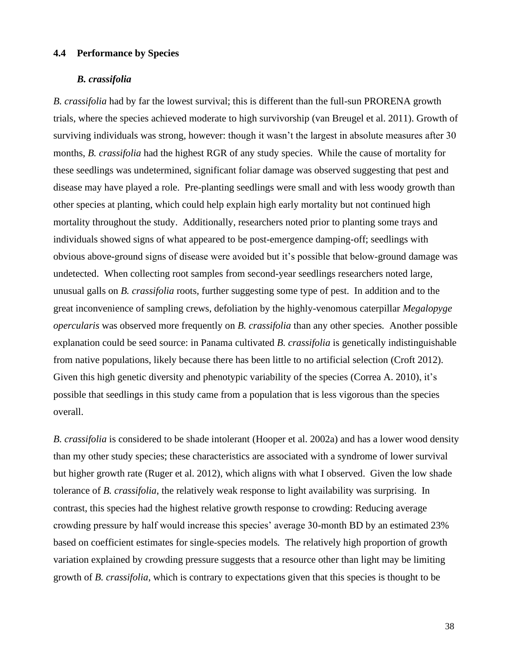#### <span id="page-38-0"></span>**4.4 Performance by Species**

#### *B. crassifolia*

*B. crassifolia* had by far the lowest survival; this is different than the full-sun PRORENA growth trials, where the species achieved moderate to high survivorship (van Breugel et al. 2011). Growth of surviving individuals was strong, however: though it wasn't the largest in absolute measures after 30 months, *B. crassifolia* had the highest RGR of any study species. While the cause of mortality for these seedlings was undetermined, significant foliar damage was observed suggesting that pest and disease may have played a role. Pre-planting seedlings were small and with less woody growth than other species at planting, which could help explain high early mortality but not continued high mortality throughout the study. Additionally, researchers noted prior to planting some trays and individuals showed signs of what appeared to be post-emergence damping-off; seedlings with obvious above-ground signs of disease were avoided but it's possible that below-ground damage was undetected. When collecting root samples from second-year seedlings researchers noted large, unusual galls on *B. crassifolia* roots*,* further suggesting some type of pest. In addition and to the great inconvenience of sampling crews, defoliation by the highly-venomous caterpillar *Megalopyge opercularis* was observed more frequently on *B. crassifolia* than any other species*.* Another possible explanation could be seed source: in Panama cultivated *B. crassifolia* is genetically indistinguishable from native populations, likely because there has been little to no artificial selection (Croft 2012). Given this high genetic diversity and phenotypic variability of the species (Correa A. 2010), it's possible that seedlings in this study came from a population that is less vigorous than the species overall.

*B. crassifolia* is considered to be shade intolerant (Hooper et al. 2002a) and has a lower wood density than my other study species; these characteristics are associated with a syndrome of lower survival but higher growth rate (Ruger et al. 2012), which aligns with what I observed. Given the low shade tolerance of *B. crassifolia*, the relatively weak response to light availability was surprising. In contrast, this species had the highest relative growth response to crowding: Reducing average crowding pressure by half would increase this species' average 30-month BD by an estimated 23% based on coefficient estimates for single-species models*.* The relatively high proportion of growth variation explained by crowding pressure suggests that a resource other than light may be limiting growth of *B. crassifolia*, which is contrary to expectations given that this species is thought to be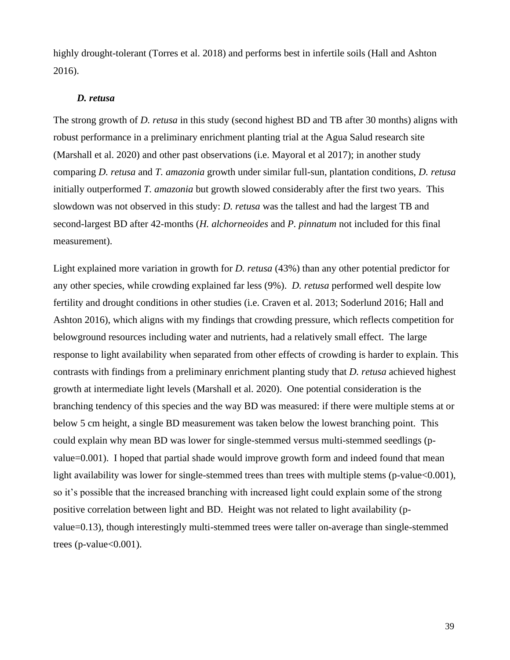highly drought-tolerant (Torres et al. 2018) and performs best in infertile soils (Hall and Ashton 2016).

### *D. retusa*

The strong growth of *D. retusa* in this study (second highest BD and TB after 30 months) aligns with robust performance in a preliminary enrichment planting trial at the Agua Salud research site (Marshall et al. 2020) and other past observations (i.e. Mayoral et al 2017); in another study comparing *D. retusa* and *T. amazonia* growth under similar full-sun, plantation conditions, *D. retusa*  initially outperformed *T. amazonia* but growth slowed considerably after the first two years. This slowdown was not observed in this study: *D. retusa* was the tallest and had the largest TB and second-largest BD after 42-months (*H. alchorneoides* and *P. pinnatum* not included for this final measurement).

Light explained more variation in growth for *D. retusa* (43%) than any other potential predictor for any other species, while crowding explained far less (9%). *D. retusa* performed well despite low fertility and drought conditions in other studies (i.e. Craven et al. 2013; Soderlund 2016; Hall and Ashton 2016), which aligns with my findings that crowding pressure, which reflects competition for belowground resources including water and nutrients, had a relatively small effect. The large response to light availability when separated from other effects of crowding is harder to explain. This contrasts with findings from a preliminary enrichment planting study that *D. retusa* achieved highest growth at intermediate light levels (Marshall et al. 2020). One potential consideration is the branching tendency of this species and the way BD was measured: if there were multiple stems at or below 5 cm height, a single BD measurement was taken below the lowest branching point. This could explain why mean BD was lower for single-stemmed versus multi-stemmed seedlings (pvalue=0.001). I hoped that partial shade would improve growth form and indeed found that mean light availability was lower for single-stemmed trees than trees with multiple stems (p-value<0.001), so it's possible that the increased branching with increased light could explain some of the strong positive correlation between light and BD. Height was not related to light availability (pvalue=0.13), though interestingly multi-stemmed trees were taller on-average than single-stemmed trees (p-value $<0.001$ ).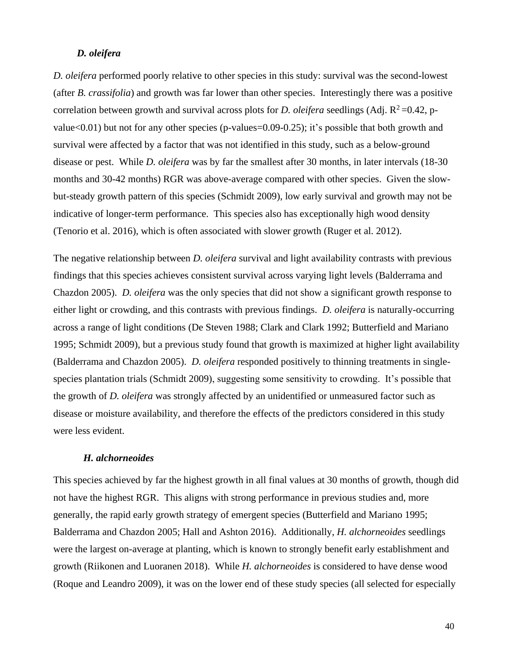#### *D. oleifera*

*D. oleifera* performed poorly relative to other species in this study: survival was the second-lowest (after *B. crassifolia*) and growth was far lower than other species. Interestingly there was a positive correlation between growth and survival across plots for *D. oleifera* seedlings (Adj.  $R^2$ =0.42, pvalue<0.01) but not for any other species (p-values=0.09-0.25); it's possible that both growth and survival were affected by a factor that was not identified in this study, such as a below-ground disease or pest. While *D. oleifera* was by far the smallest after 30 months, in later intervals (18-30 months and 30-42 months) RGR was above-average compared with other species. Given the slowbut-steady growth pattern of this species (Schmidt 2009), low early survival and growth may not be indicative of longer-term performance. This species also has exceptionally high wood density (Tenorio et al. 2016), which is often associated with slower growth (Ruger et al. 2012).

The negative relationship between *D. oleifera* survival and light availability contrasts with previous findings that this species achieves consistent survival across varying light levels (Balderrama and Chazdon 2005). *D. oleifera* was the only species that did not show a significant growth response to either light or crowding, and this contrasts with previous findings. *D. oleifera* is naturally-occurring across a range of light conditions (De Steven 1988; Clark and Clark 1992; Butterfield and Mariano 1995; Schmidt 2009), but a previous study found that growth is maximized at higher light availability (Balderrama and Chazdon 2005). *D. oleifera* responded positively to thinning treatments in singlespecies plantation trials (Schmidt 2009), suggesting some sensitivity to crowding. It's possible that the growth of *D. oleifera* was strongly affected by an unidentified or unmeasured factor such as disease or moisture availability, and therefore the effects of the predictors considered in this study were less evident.

#### *H. alchorneoides*

This species achieved by far the highest growth in all final values at 30 months of growth, though did not have the highest RGR. This aligns with strong performance in previous studies and, more generally, the rapid early growth strategy of emergent species (Butterfield and Mariano 1995; Balderrama and Chazdon 2005; Hall and Ashton 2016). Additionally, *H. alchorneoides* seedlings were the largest on-average at planting, which is known to strongly benefit early establishment and growth (Riikonen and Luoranen 2018). While *H. alchorneoides* is considered to have dense wood (Roque and Leandro 2009), it was on the lower end of these study species (all selected for especially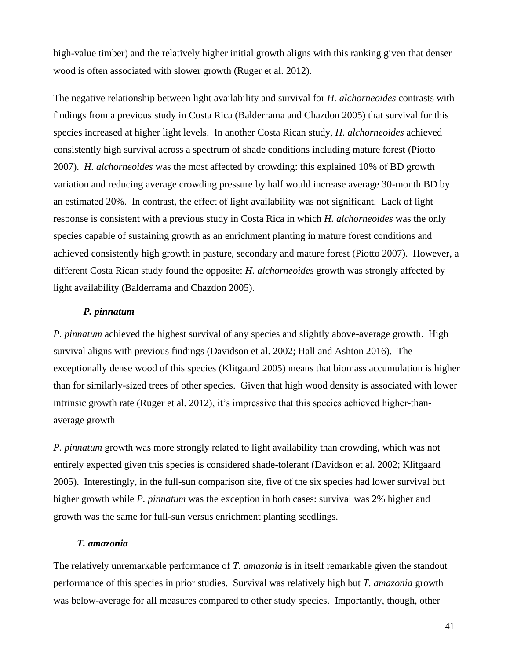high-value timber) and the relatively higher initial growth aligns with this ranking given that denser wood is often associated with slower growth (Ruger et al. 2012).

The negative relationship between light availability and survival for *H. alchorneoides* contrasts with findings from a previous study in Costa Rica (Balderrama and Chazdon 2005) that survival for this species increased at higher light levels. In another Costa Rican study, *H. alchorneoides* achieved consistently high survival across a spectrum of shade conditions including mature forest (Piotto 2007). *H. alchorneoides* was the most affected by crowding: this explained 10% of BD growth variation and reducing average crowding pressure by half would increase average 30-month BD by an estimated 20%. In contrast, the effect of light availability was not significant. Lack of light response is consistent with a previous study in Costa Rica in which *H. alchorneoides* was the only species capable of sustaining growth as an enrichment planting in mature forest conditions and achieved consistently high growth in pasture, secondary and mature forest (Piotto 2007). However, a different Costa Rican study found the opposite: *H. alchorneoides* growth was strongly affected by light availability (Balderrama and Chazdon 2005).

## *P. pinnatum*

*P. pinnatum* achieved the highest survival of any species and slightly above-average growth. High survival aligns with previous findings (Davidson et al. 2002; Hall and Ashton 2016). The exceptionally dense wood of this species (Klitgaard 2005) means that biomass accumulation is higher than for similarly-sized trees of other species. Given that high wood density is associated with lower intrinsic growth rate (Ruger et al. 2012), it's impressive that this species achieved higher-thanaverage growth

*P. pinnatum* growth was more strongly related to light availability than crowding, which was not entirely expected given this species is considered shade-tolerant (Davidson et al. 2002; Klitgaard 2005). Interestingly, in the full-sun comparison site, five of the six species had lower survival but higher growth while *P. pinnatum* was the exception in both cases: survival was 2% higher and growth was the same for full-sun versus enrichment planting seedlings.

#### *T. amazonia*

The relatively unremarkable performance of *T. amazonia* is in itself remarkable given the standout performance of this species in prior studies. Survival was relatively high but *T. amazonia* growth was below-average for all measures compared to other study species. Importantly, though, other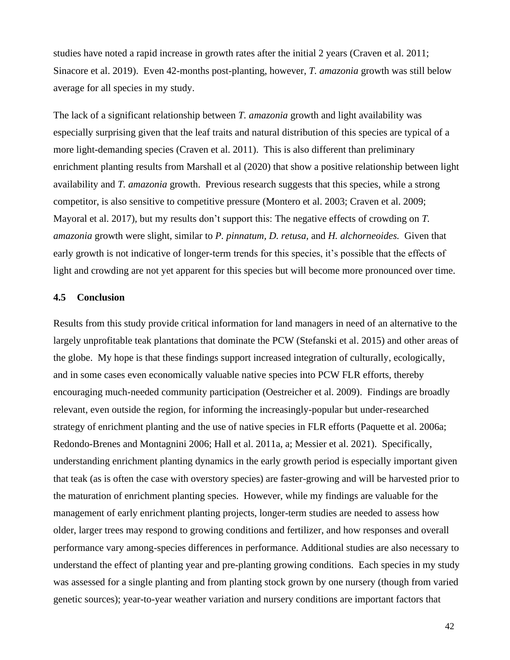studies have noted a rapid increase in growth rates after the initial 2 years (Craven et al. 2011; Sinacore et al. 2019). Even 42-months post-planting, however, *T. amazonia* growth was still below average for all species in my study.

The lack of a significant relationship between *T. amazonia* growth and light availability was especially surprising given that the leaf traits and natural distribution of this species are typical of a more light-demanding species (Craven et al. 2011). This is also different than preliminary enrichment planting results from Marshall et al (2020) that show a positive relationship between light availability and *T. amazonia* growth. Previous research suggests that this species, while a strong competitor, is also sensitive to competitive pressure (Montero et al. 2003; Craven et al. 2009; Mayoral et al. 2017), but my results don't support this: The negative effects of crowding on *T. amazonia* growth were slight, similar to *P. pinnatum, D. retusa,* and *H. alchorneoides.* Given that early growth is not indicative of longer-term trends for this species, it's possible that the effects of light and crowding are not yet apparent for this species but will become more pronounced over time.

## <span id="page-42-0"></span>**4.5 Conclusion**

Results from this study provide critical information for land managers in need of an alternative to the largely unprofitable teak plantations that dominate the PCW (Stefanski et al. 2015) and other areas of the globe. My hope is that these findings support increased integration of culturally, ecologically, and in some cases even economically valuable native species into PCW FLR efforts, thereby encouraging much-needed community participation (Oestreicher et al. 2009). Findings are broadly relevant, even outside the region, for informing the increasingly-popular but under-researched strategy of enrichment planting and the use of native species in FLR efforts (Paquette et al. 2006a; Redondo-Brenes and Montagnini 2006; Hall et al. 2011a, a; Messier et al. 2021). Specifically, understanding enrichment planting dynamics in the early growth period is especially important given that teak (as is often the case with overstory species) are faster-growing and will be harvested prior to the maturation of enrichment planting species. However, while my findings are valuable for the management of early enrichment planting projects, longer-term studies are needed to assess how older, larger trees may respond to growing conditions and fertilizer, and how responses and overall performance vary among-species differences in performance. Additional studies are also necessary to understand the effect of planting year and pre-planting growing conditions. Each species in my study was assessed for a single planting and from planting stock grown by one nursery (though from varied genetic sources); year-to-year weather variation and nursery conditions are important factors that

42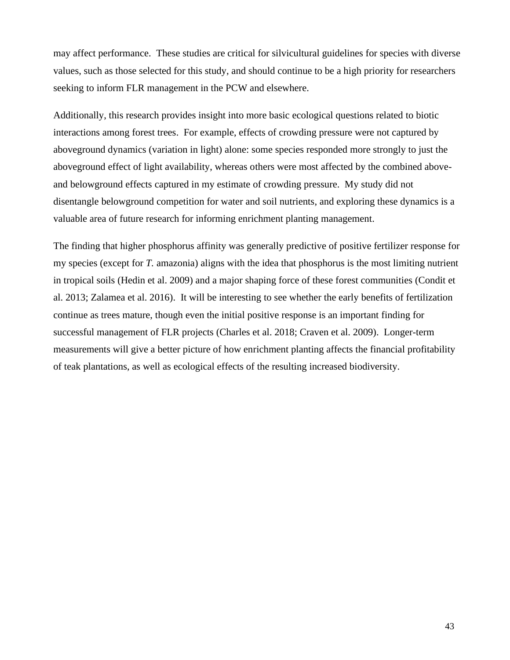may affect performance. These studies are critical for silvicultural guidelines for species with diverse values, such as those selected for this study, and should continue to be a high priority for researchers seeking to inform FLR management in the PCW and elsewhere.

Additionally, this research provides insight into more basic ecological questions related to biotic interactions among forest trees. For example, effects of crowding pressure were not captured by aboveground dynamics (variation in light) alone: some species responded more strongly to just the aboveground effect of light availability, whereas others were most affected by the combined aboveand belowground effects captured in my estimate of crowding pressure. My study did not disentangle belowground competition for water and soil nutrients, and exploring these dynamics is a valuable area of future research for informing enrichment planting management.

The finding that higher phosphorus affinity was generally predictive of positive fertilizer response for my species (except for *T.* amazonia) aligns with the idea that phosphorus is the most limiting nutrient in tropical soils (Hedin et al. 2009) and a major shaping force of these forest communities (Condit et al. 2013; Zalamea et al. 2016). It will be interesting to see whether the early benefits of fertilization continue as trees mature, though even the initial positive response is an important finding for successful management of FLR projects (Charles et al. 2018; Craven et al. 2009). Longer-term measurements will give a better picture of how enrichment planting affects the financial profitability of teak plantations, as well as ecological effects of the resulting increased biodiversity.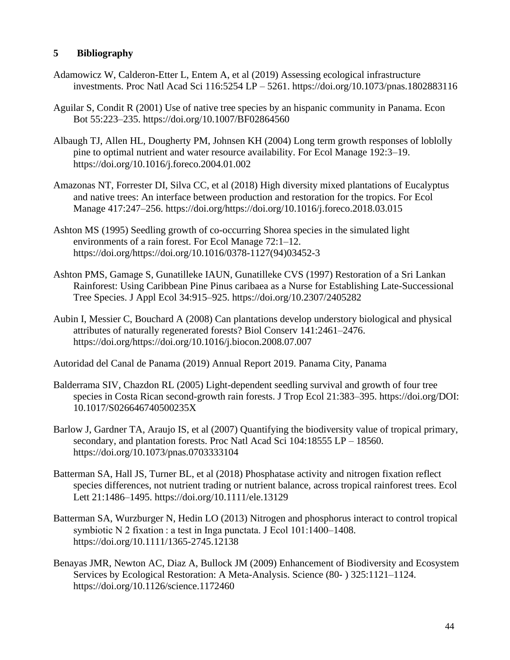# <span id="page-44-0"></span>**5 Bibliography**

- Adamowicz W, Calderon-Etter L, Entem A, et al (2019) Assessing ecological infrastructure investments. Proc Natl Acad Sci 116:5254 LP – 5261. https://doi.org/10.1073/pnas.1802883116
- Aguilar S, Condit R (2001) Use of native tree species by an hispanic community in Panama. Econ Bot 55:223–235. https://doi.org/10.1007/BF02864560
- Albaugh TJ, Allen HL, Dougherty PM, Johnsen KH (2004) Long term growth responses of loblolly pine to optimal nutrient and water resource availability. For Ecol Manage 192:3–19. https://doi.org/10.1016/j.foreco.2004.01.002
- Amazonas NT, Forrester DI, Silva CC, et al (2018) High diversity mixed plantations of Eucalyptus and native trees: An interface between production and restoration for the tropics. For Ecol Manage 417:247–256. https://doi.org/https://doi.org/10.1016/j.foreco.2018.03.015
- Ashton MS (1995) Seedling growth of co-occurring Shorea species in the simulated light environments of a rain forest. For Ecol Manage 72:1–12. https://doi.org/https://doi.org/10.1016/0378-1127(94)03452-3
- Ashton PMS, Gamage S, Gunatilleke IAUN, Gunatilleke CVS (1997) Restoration of a Sri Lankan Rainforest: Using Caribbean Pine Pinus caribaea as a Nurse for Establishing Late-Successional Tree Species. J Appl Ecol 34:915–925. https://doi.org/10.2307/2405282
- Aubin I, Messier C, Bouchard A (2008) Can plantations develop understory biological and physical attributes of naturally regenerated forests? Biol Conserv 141:2461–2476. https://doi.org/https://doi.org/10.1016/j.biocon.2008.07.007
- Autoridad del Canal de Panama (2019) Annual Report 2019. Panama City, Panama
- Balderrama SIV, Chazdon RL (2005) Light-dependent seedling survival and growth of four tree species in Costa Rican second-growth rain forests. J Trop Ecol 21:383–395. https://doi.org/DOI: 10.1017/S026646740500235X
- Barlow J, Gardner TA, Araujo IS, et al (2007) Quantifying the biodiversity value of tropical primary, secondary, and plantation forests. Proc Natl Acad Sci 104:18555 LP – 18560. https://doi.org/10.1073/pnas.0703333104
- Batterman SA, Hall JS, Turner BL, et al (2018) Phosphatase activity and nitrogen fixation reflect species differences, not nutrient trading or nutrient balance, across tropical rainforest trees. Ecol Lett 21:1486–1495. https://doi.org/10.1111/ele.13129
- Batterman SA, Wurzburger N, Hedin LO (2013) Nitrogen and phosphorus interact to control tropical symbiotic N 2 fixation : a test in Inga punctata. J Ecol 101:1400–1408. https://doi.org/10.1111/1365-2745.12138
- Benayas JMR, Newton AC, Diaz A, Bullock JM (2009) Enhancement of Biodiversity and Ecosystem Services by Ecological Restoration: A Meta-Analysis. Science (80- ) 325:1121–1124. https://doi.org/10.1126/science.1172460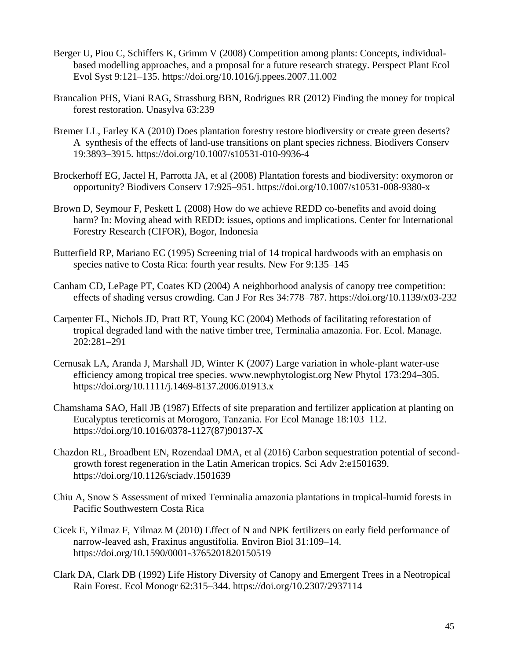- Berger U, Piou C, Schiffers K, Grimm V (2008) Competition among plants: Concepts, individualbased modelling approaches, and a proposal for a future research strategy. Perspect Plant Ecol Evol Syst 9:121–135. https://doi.org/10.1016/j.ppees.2007.11.002
- Brancalion PHS, Viani RAG, Strassburg BBN, Rodrigues RR (2012) Finding the money for tropical forest restoration. Unasylva 63:239
- Bremer LL, Farley KA (2010) Does plantation forestry restore biodiversity or create green deserts? A synthesis of the effects of land-use transitions on plant species richness. Biodivers Conserv 19:3893–3915. https://doi.org/10.1007/s10531-010-9936-4
- Brockerhoff EG, Jactel H, Parrotta JA, et al (2008) Plantation forests and biodiversity: oxymoron or opportunity? Biodivers Conserv 17:925–951. https://doi.org/10.1007/s10531-008-9380-x
- Brown D, Seymour F, Peskett L (2008) How do we achieve REDD co-benefits and avoid doing harm? In: Moving ahead with REDD: issues, options and implications. Center for International Forestry Research (CIFOR), Bogor, Indonesia
- Butterfield RP, Mariano EC (1995) Screening trial of 14 tropical hardwoods with an emphasis on species native to Costa Rica: fourth year results. New For 9:135–145
- Canham CD, LePage PT, Coates KD (2004) A neighborhood analysis of canopy tree competition: effects of shading versus crowding. Can J For Res 34:778–787. https://doi.org/10.1139/x03-232
- Carpenter FL, Nichols JD, Pratt RT, Young KC (2004) Methods of facilitating reforestation of tropical degraded land with the native timber tree, Terminalia amazonia. For. Ecol. Manage. 202:281–291
- Cernusak LA, Aranda J, Marshall JD, Winter K (2007) Large variation in whole-plant water-use efficiency among tropical tree species. www.newphytologist.org New Phytol 173:294–305. https://doi.org/10.1111/j.1469-8137.2006.01913.x
- Chamshama SAO, Hall JB (1987) Effects of site preparation and fertilizer application at planting on Eucalyptus tereticornis at Morogoro, Tanzania. For Ecol Manage 18:103–112. https://doi.org/10.1016/0378-1127(87)90137-X
- Chazdon RL, Broadbent EN, Rozendaal DMA, et al (2016) Carbon sequestration potential of secondgrowth forest regeneration in the Latin American tropics. Sci Adv 2:e1501639. https://doi.org/10.1126/sciadv.1501639
- Chiu A, Snow S Assessment of mixed Terminalia amazonia plantations in tropical-humid forests in Pacific Southwestern Costa Rica
- Cicek E, Yilmaz F, Yilmaz M (2010) Effect of N and NPK fertilizers on early field performance of narrow-leaved ash, Fraxinus angustifolia. Environ Biol 31:109–14. https://doi.org/10.1590/0001-3765201820150519
- Clark DA, Clark DB (1992) Life History Diversity of Canopy and Emergent Trees in a Neotropical Rain Forest. Ecol Monogr 62:315–344. https://doi.org/10.2307/2937114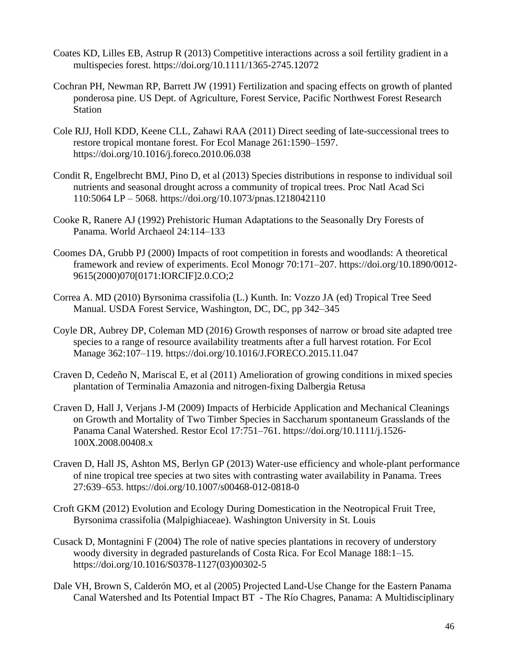- Coates KD, Lilles EB, Astrup R (2013) Competitive interactions across a soil fertility gradient in a multispecies forest. https://doi.org/10.1111/1365-2745.12072
- Cochran PH, Newman RP, Barrett JW (1991) Fertilization and spacing effects on growth of planted ponderosa pine. US Dept. of Agriculture, Forest Service, Pacific Northwest Forest Research Station
- Cole RJJ, Holl KDD, Keene CLL, Zahawi RAA (2011) Direct seeding of late-successional trees to restore tropical montane forest. For Ecol Manage 261:1590–1597. https://doi.org/10.1016/j.foreco.2010.06.038
- Condit R, Engelbrecht BMJ, Pino D, et al (2013) Species distributions in response to individual soil nutrients and seasonal drought across a community of tropical trees. Proc Natl Acad Sci 110:5064 LP – 5068. https://doi.org/10.1073/pnas.1218042110
- Cooke R, Ranere AJ (1992) Prehistoric Human Adaptations to the Seasonally Dry Forests of Panama. World Archaeol 24:114–133
- Coomes DA, Grubb PJ (2000) Impacts of root competition in forests and woodlands: A theoretical framework and review of experiments. Ecol Monogr 70:171–207. https://doi.org/10.1890/0012- 9615(2000)070[0171:IORCIF]2.0.CO;2
- Correa A. MD (2010) Byrsonima crassifolia (L.) Kunth. In: Vozzo JA (ed) Tropical Tree Seed Manual. USDA Forest Service, Washington, DC, DC, pp 342–345
- Coyle DR, Aubrey DP, Coleman MD (2016) Growth responses of narrow or broad site adapted tree species to a range of resource availability treatments after a full harvest rotation. For Ecol Manage 362:107–119. https://doi.org/10.1016/J.FORECO.2015.11.047
- Craven D, Cedeño N, Mariscal E, et al (2011) Amelioration of growing conditions in mixed species plantation of Terminalia Amazonia and nitrogen-fixing Dalbergia Retusa
- Craven D, Hall J, Verjans J-M (2009) Impacts of Herbicide Application and Mechanical Cleanings on Growth and Mortality of Two Timber Species in Saccharum spontaneum Grasslands of the Panama Canal Watershed. Restor Ecol 17:751–761. https://doi.org/10.1111/j.1526- 100X.2008.00408.x
- Craven D, Hall JS, Ashton MS, Berlyn GP (2013) Water-use efficiency and whole-plant performance of nine tropical tree species at two sites with contrasting water availability in Panama. Trees 27:639–653. https://doi.org/10.1007/s00468-012-0818-0
- Croft GKM (2012) Evolution and Ecology During Domestication in the Neotropical Fruit Tree, Byrsonima crassifolia (Malpighiaceae). Washington University in St. Louis
- Cusack D, Montagnini F (2004) The role of native species plantations in recovery of understory woody diversity in degraded pasturelands of Costa Rica. For Ecol Manage 188:1–15. https://doi.org/10.1016/S0378-1127(03)00302-5
- Dale VH, Brown S, Calderón MO, et al (2005) Projected Land-Use Change for the Eastern Panama Canal Watershed and Its Potential Impact BT - The Río Chagres, Panama: A Multidisciplinary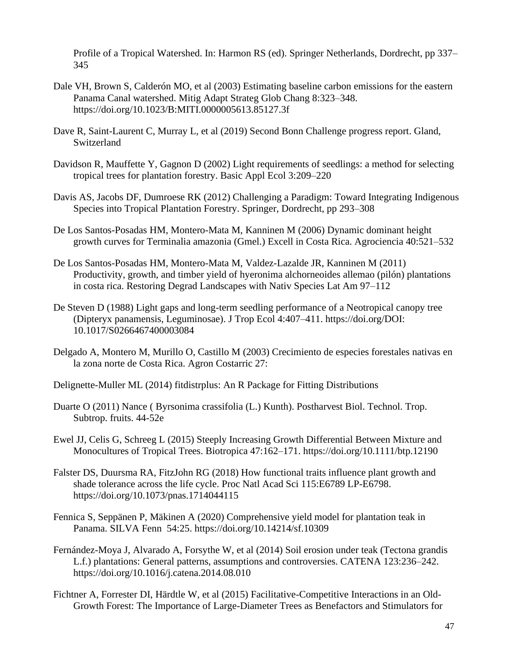Profile of a Tropical Watershed. In: Harmon RS (ed). Springer Netherlands, Dordrecht, pp 337– 345

- Dale VH, Brown S, Calderón MO, et al (2003) Estimating baseline carbon emissions for the eastern Panama Canal watershed. Mitig Adapt Strateg Glob Chang 8:323–348. https://doi.org/10.1023/B:MITI.0000005613.85127.3f
- Dave R, Saint-Laurent C, Murray L, et al (2019) Second Bonn Challenge progress report. Gland, Switzerland
- Davidson R, Mauffette Y, Gagnon D (2002) Light requirements of seedlings: a method for selecting tropical trees for plantation forestry. Basic Appl Ecol 3:209–220
- Davis AS, Jacobs DF, Dumroese RK (2012) Challenging a Paradigm: Toward Integrating Indigenous Species into Tropical Plantation Forestry. Springer, Dordrecht, pp 293–308
- De Los Santos-Posadas HM, Montero-Mata M, Kanninen M (2006) Dynamic dominant height growth curves for Terminalia amazonia (Gmel.) Excell in Costa Rica. Agrociencia 40:521–532
- De Los Santos-Posadas HM, Montero-Mata M, Valdez-Lazalde JR, Kanninen M (2011) Productivity, growth, and timber yield of hyeronima alchorneoides allemao (pilón) plantations in costa rica. Restoring Degrad Landscapes with Nativ Species Lat Am 97–112
- De Steven D (1988) Light gaps and long-term seedling performance of a Neotropical canopy tree (Dipteryx panamensis, Leguminosae). J Trop Ecol 4:407–411. https://doi.org/DOI: 10.1017/S0266467400003084
- Delgado A, Montero M, Murillo O, Castillo M (2003) Crecimiento de especies forestales nativas en la zona norte de Costa Rica. Agron Costarric 27:
- Delignette-Muller ML (2014) fitdistrplus: An R Package for Fitting Distributions
- Duarte O (2011) Nance ( Byrsonima crassifolia (L.) Kunth). Postharvest Biol. Technol. Trop. Subtrop. fruits. 44-52e
- Ewel JJ, Celis G, Schreeg L (2015) Steeply Increasing Growth Differential Between Mixture and Monocultures of Tropical Trees. Biotropica 47:162–171. https://doi.org/10.1111/btp.12190
- Falster DS, Duursma RA, FitzJohn RG (2018) How functional traits influence plant growth and shade tolerance across the life cycle. Proc Natl Acad Sci 115:E6789 LP-E6798. https://doi.org/10.1073/pnas.1714044115
- Fennica S, Seppänen P, Mäkinen A (2020) Comprehensive yield model for plantation teak in Panama. SILVA Fenn 54:25. https://doi.org/10.14214/sf.10309
- Fernández-Moya J, Alvarado A, Forsythe W, et al (2014) Soil erosion under teak (Tectona grandis L.f.) plantations: General patterns, assumptions and controversies. CATENA 123:236–242. https://doi.org/10.1016/j.catena.2014.08.010
- Fichtner A, Forrester DI, Härdtle W, et al (2015) Facilitative-Competitive Interactions in an Old-Growth Forest: The Importance of Large-Diameter Trees as Benefactors and Stimulators for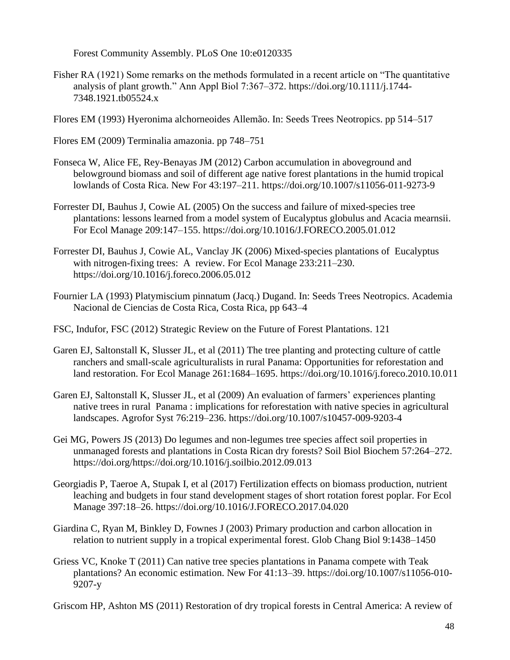Forest Community Assembly. PLoS One 10:e0120335

- Fisher RA (1921) Some remarks on the methods formulated in a recent article on "The quantitative analysis of plant growth." Ann Appl Biol 7:367–372. https://doi.org/10.1111/j.1744- 7348.1921.tb05524.x
- Flores EM (1993) Hyeronima alchorneoides Allemão. In: Seeds Trees Neotropics. pp 514–517
- Flores EM (2009) Terminalia amazonia. pp 748–751
- Fonseca W, Alice FE, Rey-Benayas JM (2012) Carbon accumulation in aboveground and belowground biomass and soil of different age native forest plantations in the humid tropical lowlands of Costa Rica. New For 43:197–211. https://doi.org/10.1007/s11056-011-9273-9
- Forrester DI, Bauhus J, Cowie AL (2005) On the success and failure of mixed-species tree plantations: lessons learned from a model system of Eucalyptus globulus and Acacia mearnsii. For Ecol Manage 209:147–155. https://doi.org/10.1016/J.FORECO.2005.01.012
- Forrester DI, Bauhus J, Cowie AL, Vanclay JK (2006) Mixed-species plantations of Eucalyptus with nitrogen-fixing trees: A review. For Ecol Manage 233:211–230. https://doi.org/10.1016/j.foreco.2006.05.012
- Fournier LA (1993) Platymiscium pinnatum (Jacq.) Dugand. In: Seeds Trees Neotropics. Academia Nacional de Ciencias de Costa Rica, Costa Rica, pp 643–4
- FSC, Indufor, FSC (2012) Strategic Review on the Future of Forest Plantations. 121
- Garen EJ, Saltonstall K, Slusser JL, et al (2011) The tree planting and protecting culture of cattle ranchers and small-scale agriculturalists in rural Panama: Opportunities for reforestation and land restoration. For Ecol Manage 261:1684–1695. https://doi.org/10.1016/j.foreco.2010.10.011
- Garen EJ, Saltonstall K, Slusser JL, et al (2009) An evaluation of farmers' experiences planting native trees in rural Panama : implications for reforestation with native species in agricultural landscapes. Agrofor Syst 76:219–236. https://doi.org/10.1007/s10457-009-9203-4
- Gei MG, Powers JS (2013) Do legumes and non-legumes tree species affect soil properties in unmanaged forests and plantations in Costa Rican dry forests? Soil Biol Biochem 57:264–272. https://doi.org/https://doi.org/10.1016/j.soilbio.2012.09.013
- Georgiadis P, Taeroe A, Stupak I, et al (2017) Fertilization effects on biomass production, nutrient leaching and budgets in four stand development stages of short rotation forest poplar. For Ecol Manage 397:18–26. https://doi.org/10.1016/J.FORECO.2017.04.020
- Giardina C, Ryan M, Binkley D, Fownes J (2003) Primary production and carbon allocation in relation to nutrient supply in a tropical experimental forest. Glob Chang Biol 9:1438–1450
- Griess VC, Knoke T (2011) Can native tree species plantations in Panama compete with Teak plantations? An economic estimation. New For 41:13–39. https://doi.org/10.1007/s11056-010- 9207-y

Griscom HP, Ashton MS (2011) Restoration of dry tropical forests in Central America: A review of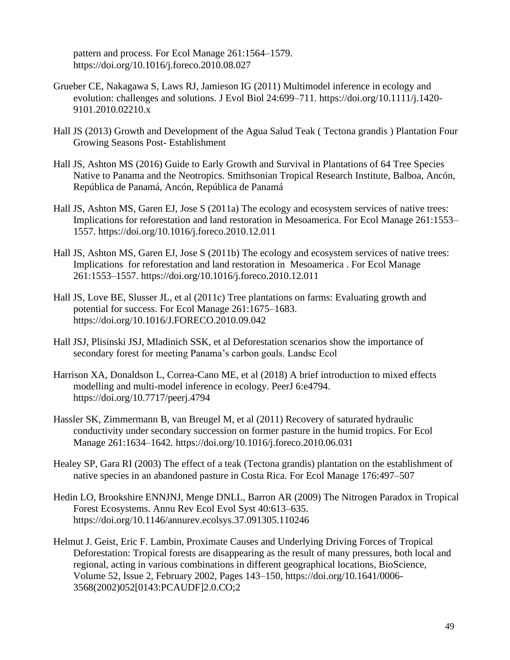pattern and process. For Ecol Manage 261:1564–1579. https://doi.org/10.1016/j.foreco.2010.08.027

- Grueber CE, Nakagawa S, Laws RJ, Jamieson IG (2011) Multimodel inference in ecology and evolution: challenges and solutions. J Evol Biol 24:699–711. https://doi.org/10.1111/j.1420- 9101.2010.02210.x
- Hall JS (2013) Growth and Development of the Agua Salud Teak ( Tectona grandis ) Plantation Four Growing Seasons Post- Establishment
- Hall JS, Ashton MS (2016) Guide to Early Growth and Survival in Plantations of 64 Tree Species Native to Panama and the Neotropics. Smithsonian Tropical Research Institute, Balboa, Ancón, República de Panamá, Ancón, República de Panamá
- Hall JS, Ashton MS, Garen EJ, Jose S (2011a) The ecology and ecosystem services of native trees: Implications for reforestation and land restoration in Mesoamerica. For Ecol Manage 261:1553– 1557. https://doi.org/10.1016/j.foreco.2010.12.011
- Hall JS, Ashton MS, Garen EJ, Jose S (2011b) The ecology and ecosystem services of native trees: Implications for reforestation and land restoration in Mesoamerica . For Ecol Manage 261:1553–1557. https://doi.org/10.1016/j.foreco.2010.12.011
- Hall JS, Love BE, Slusser JL, et al (2011c) Tree plantations on farms: Evaluating growth and potential for success. For Ecol Manage 261:1675–1683. https://doi.org/10.1016/J.FORECO.2010.09.042
- Hall JSJ, Plisinski JSJ, Mladinich SSK, et al Deforestation scenarios show the importance of secondary forest for meeting Panama's carbon goals. Landsc Ecol
- Harrison XA, Donaldson L, Correa-Cano ME, et al (2018) A brief introduction to mixed effects modelling and multi-model inference in ecology. PeerJ 6:e4794. https://doi.org/10.7717/peerj.4794
- Hassler SK, Zimmermann B, van Breugel M, et al (2011) Recovery of saturated hydraulic conductivity under secondary succession on former pasture in the humid tropics. For Ecol Manage 261:1634–1642. https://doi.org/10.1016/j.foreco.2010.06.031
- Healey SP, Gara RI (2003) The effect of a teak (Tectona grandis) plantation on the establishment of native species in an abandoned pasture in Costa Rica. For Ecol Manage 176:497–507
- Hedin LO, Brookshire ENNJNJ, Menge DNLL, Barron AR (2009) The Nitrogen Paradox in Tropical Forest Ecosystems. Annu Rev Ecol Evol Syst 40:613–635. https://doi.org/10.1146/annurev.ecolsys.37.091305.110246
- Helmut J. Geist, Eric F. Lambin, Proximate Causes and Underlying Driving Forces of Tropical Deforestation: Tropical forests are disappearing as the result of many pressures, both local and regional, acting in various combinations in different geographical locations, BioScience, Volume 52, Issue 2, February 2002, Pages 143–150, https://doi.org/10.1641/0006- 3568(2002)052[0143:PCAUDF]2.0.CO;2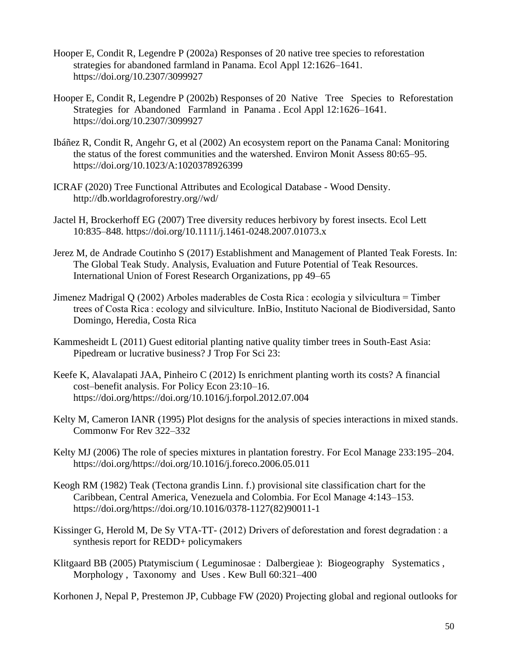- Hooper E, Condit R, Legendre P (2002a) Responses of 20 native tree species to reforestation strategies for abandoned farmland in Panama. Ecol Appl 12:1626–1641. https://doi.org/10.2307/3099927
- Hooper E, Condit R, Legendre P (2002b) Responses of 20 Native Tree Species to Reforestation Strategies for Abandoned Farmland in Panama . Ecol Appl 12:1626–1641. https://doi.org/10.2307/3099927
- Ibáñez R, Condit R, Angehr G, et al (2002) An ecosystem report on the Panama Canal: Monitoring the status of the forest communities and the watershed. Environ Monit Assess 80:65–95. https://doi.org/10.1023/A:1020378926399
- ICRAF (2020) Tree Functional Attributes and Ecological Database Wood Density. http://db.worldagroforestry.org//wd/
- Jactel H, Brockerhoff EG (2007) Tree diversity reduces herbivory by forest insects. Ecol Lett 10:835–848. https://doi.org/10.1111/j.1461-0248.2007.01073.x
- Jerez M, de Andrade Coutinho S (2017) Establishment and Management of Planted Teak Forests. In: The Global Teak Study. Analysis, Evaluation and Future Potential of Teak Resources. International Union of Forest Research Organizations, pp 49–65
- Jimenez Madrigal Q (2002) Arboles maderables de Costa Rica : ecologia y silvicultura = Timber trees of Costa Rica : ecology and silviculture. InBio, Instituto Nacional de Biodiversidad, Santo Domingo, Heredia, Costa Rica
- Kammesheidt L (2011) Guest editorial planting native quality timber trees in South-East Asia: Pipedream or lucrative business? J Trop For Sci 23:
- Keefe K, Alavalapati JAA, Pinheiro C (2012) Is enrichment planting worth its costs? A financial cost–benefit analysis. For Policy Econ 23:10–16. https://doi.org/https://doi.org/10.1016/j.forpol.2012.07.004
- Kelty M, Cameron IANR (1995) Plot designs for the analysis of species interactions in mixed stands. Commonw For Rev 322–332
- Kelty MJ (2006) The role of species mixtures in plantation forestry. For Ecol Manage 233:195–204. https://doi.org/https://doi.org/10.1016/j.foreco.2006.05.011
- Keogh RM (1982) Teak (Tectona grandis Linn. f.) provisional site classification chart for the Caribbean, Central America, Venezuela and Colombia. For Ecol Manage 4:143–153. https://doi.org/https://doi.org/10.1016/0378-1127(82)90011-1
- Kissinger G, Herold M, De Sy VTA-TT- (2012) Drivers of deforestation and forest degradation : a synthesis report for REDD+ policymakers
- Klitgaard BB (2005) Ptatymiscium ( Leguminosae : Dalbergieae ): Biogeography Systematics , Morphology , Taxonomy and Uses . Kew Bull 60:321–400

Korhonen J, Nepal P, Prestemon JP, Cubbage FW (2020) Projecting global and regional outlooks for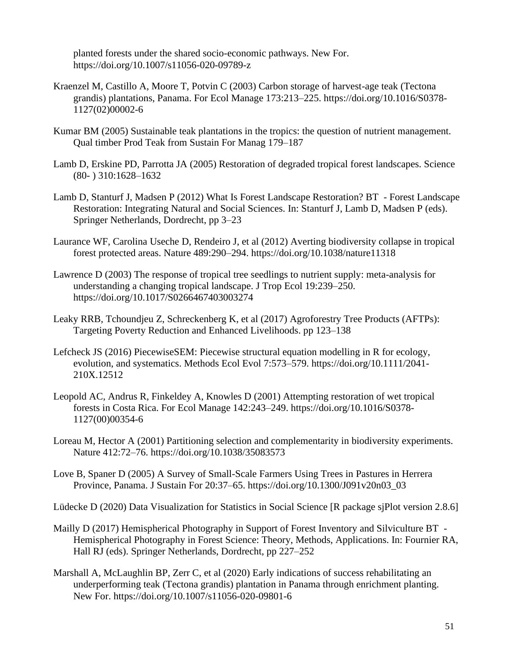planted forests under the shared socio-economic pathways. New For. https://doi.org/10.1007/s11056-020-09789-z

- Kraenzel M, Castillo A, Moore T, Potvin C (2003) Carbon storage of harvest-age teak (Tectona grandis) plantations, Panama. For Ecol Manage 173:213–225. https://doi.org/10.1016/S0378- 1127(02)00002-6
- Kumar BM (2005) Sustainable teak plantations in the tropics: the question of nutrient management. Qual timber Prod Teak from Sustain For Manag 179–187
- Lamb D, Erskine PD, Parrotta JA (2005) Restoration of degraded tropical forest landscapes. Science (80- ) 310:1628–1632
- Lamb D, Stanturf J, Madsen P (2012) What Is Forest Landscape Restoration? BT Forest Landscape Restoration: Integrating Natural and Social Sciences. In: Stanturf J, Lamb D, Madsen P (eds). Springer Netherlands, Dordrecht, pp 3–23
- Laurance WF, Carolina Useche D, Rendeiro J, et al (2012) Averting biodiversity collapse in tropical forest protected areas. Nature 489:290–294. https://doi.org/10.1038/nature11318
- Lawrence D (2003) The response of tropical tree seedlings to nutrient supply: meta-analysis for understanding a changing tropical landscape. J Trop Ecol 19:239–250. https://doi.org/10.1017/S0266467403003274
- Leaky RRB, Tchoundjeu Z, Schreckenberg K, et al (2017) Agroforestry Tree Products (AFTPs): Targeting Poverty Reduction and Enhanced Livelihoods. pp 123–138
- Lefcheck JS (2016) PiecewiseSEM: Piecewise structural equation modelling in R for ecology, evolution, and systematics. Methods Ecol Evol 7:573–579. https://doi.org/10.1111/2041- 210X.12512
- Leopold AC, Andrus R, Finkeldey A, Knowles D (2001) Attempting restoration of wet tropical forests in Costa Rica. For Ecol Manage 142:243–249. https://doi.org/10.1016/S0378- 1127(00)00354-6
- Loreau M, Hector A (2001) Partitioning selection and complementarity in biodiversity experiments. Nature 412:72–76. https://doi.org/10.1038/35083573
- Love B, Spaner D (2005) A Survey of Small-Scale Farmers Using Trees in Pastures in Herrera Province, Panama. J Sustain For 20:37–65. https://doi.org/10.1300/J091v20n03\_03

Lüdecke D (2020) Data Visualization for Statistics in Social Science [R package sjPlot version 2.8.6]

- Mailly D (2017) Hemispherical Photography in Support of Forest Inventory and Silviculture BT Hemispherical Photography in Forest Science: Theory, Methods, Applications. In: Fournier RA, Hall RJ (eds). Springer Netherlands, Dordrecht, pp 227–252
- Marshall A, McLaughlin BP, Zerr C, et al (2020) Early indications of success rehabilitating an underperforming teak (Tectona grandis) plantation in Panama through enrichment planting. New For. https://doi.org/10.1007/s11056-020-09801-6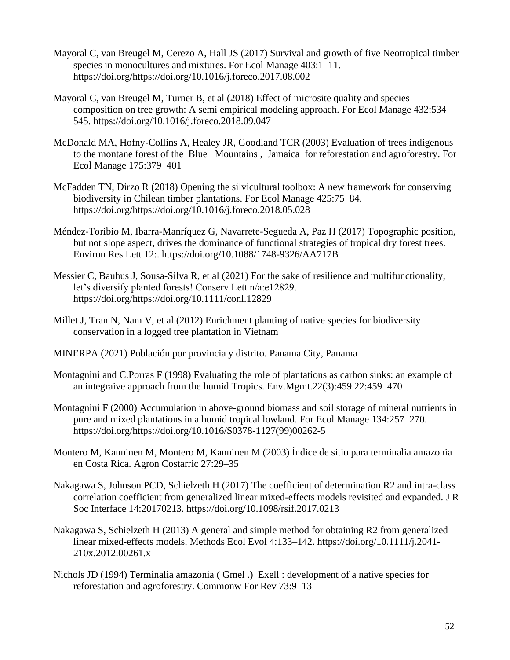- Mayoral C, van Breugel M, Cerezo A, Hall JS (2017) Survival and growth of five Neotropical timber species in monocultures and mixtures. For Ecol Manage 403:1–11. https://doi.org/https://doi.org/10.1016/j.foreco.2017.08.002
- Mayoral C, van Breugel M, Turner B, et al (2018) Effect of microsite quality and species composition on tree growth: A semi empirical modeling approach. For Ecol Manage 432:534– 545. https://doi.org/10.1016/j.foreco.2018.09.047
- McDonald MA, Hofny-Collins A, Healey JR, Goodland TCR (2003) Evaluation of trees indigenous to the montane forest of the Blue Mountains , Jamaica for reforestation and agroforestry. For Ecol Manage 175:379–401
- McFadden TN, Dirzo R (2018) Opening the silvicultural toolbox: A new framework for conserving biodiversity in Chilean timber plantations. For Ecol Manage 425:75–84. https://doi.org/https://doi.org/10.1016/j.foreco.2018.05.028
- Méndez-Toribio M, Ibarra-Manríquez G, Navarrete-Segueda A, Paz H (2017) Topographic position, but not slope aspect, drives the dominance of functional strategies of tropical dry forest trees. Environ Res Lett 12:. https://doi.org/10.1088/1748-9326/AA717B
- Messier C, Bauhus J, Sousa-Silva R, et al (2021) For the sake of resilience and multifunctionality, let's diversify planted forests! Conserv Lett n/a:e12829. https://doi.org/https://doi.org/10.1111/conl.12829
- Millet J, Tran N, Nam V, et al (2012) Enrichment planting of native species for biodiversity conservation in a logged tree plantation in Vietnam
- MINERPA (2021) Población por provincia y distrito. Panama City, Panama
- Montagnini and C.Porras F (1998) Evaluating the role of plantations as carbon sinks: an example of an integraive approach from the humid Tropics. Env.Mgmt.22(3):459 22:459–470
- Montagnini F (2000) Accumulation in above-ground biomass and soil storage of mineral nutrients in pure and mixed plantations in a humid tropical lowland. For Ecol Manage 134:257–270. https://doi.org/https://doi.org/10.1016/S0378-1127(99)00262-5
- Montero M, Kanninen M, Montero M, Kanninen M (2003) Índice de sitio para terminalia amazonia en Costa Rica. Agron Costarric 27:29–35
- Nakagawa S, Johnson PCD, Schielzeth H (2017) The coefficient of determination R2 and intra-class correlation coefficient from generalized linear mixed-effects models revisited and expanded. J R Soc Interface 14:20170213. https://doi.org/10.1098/rsif.2017.0213
- Nakagawa S, Schielzeth H (2013) A general and simple method for obtaining R2 from generalized linear mixed-effects models. Methods Ecol Evol 4:133–142. https://doi.org/10.1111/j.2041- 210x.2012.00261.x
- Nichols JD (1994) Terminalia amazonia ( Gmel .) Exell : development of a native species for reforestation and agroforestry. Commonw For Rev 73:9–13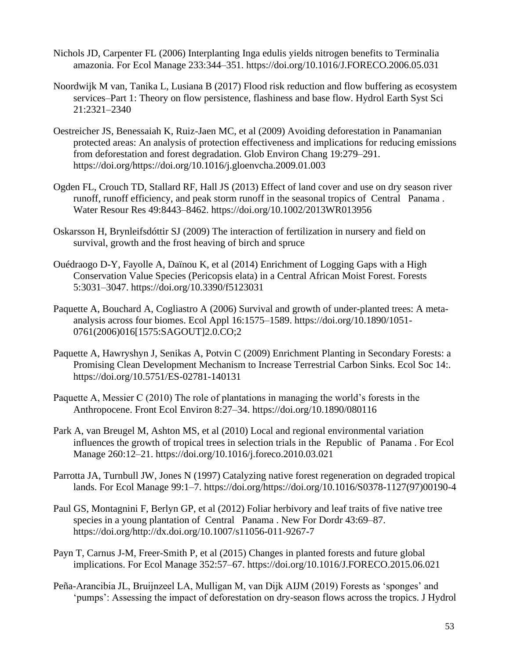- Nichols JD, Carpenter FL (2006) Interplanting Inga edulis yields nitrogen benefits to Terminalia amazonia. For Ecol Manage 233:344–351. https://doi.org/10.1016/J.FORECO.2006.05.031
- Noordwijk M van, Tanika L, Lusiana B (2017) Flood risk reduction and flow buffering as ecosystem services–Part 1: Theory on flow persistence, flashiness and base flow. Hydrol Earth Syst Sci 21:2321–2340
- Oestreicher JS, Benessaiah K, Ruiz-Jaen MC, et al (2009) Avoiding deforestation in Panamanian protected areas: An analysis of protection effectiveness and implications for reducing emissions from deforestation and forest degradation. Glob Environ Chang 19:279–291. https://doi.org/https://doi.org/10.1016/j.gloenvcha.2009.01.003
- Ogden FL, Crouch TD, Stallard RF, Hall JS (2013) Effect of land cover and use on dry season river runoff, runoff efficiency, and peak storm runoff in the seasonal tropics of Central Panama . Water Resour Res 49:8443–8462. https://doi.org/10.1002/2013WR013956
- Oskarsson H, Brynleifsdóttir SJ (2009) The interaction of fertilization in nursery and field on survival, growth and the frost heaving of birch and spruce
- Ouédraogo D-Y, Fayolle A, Daïnou K, et al (2014) Enrichment of Logging Gaps with a High Conservation Value Species (Pericopsis elata) in a Central African Moist Forest. Forests 5:3031–3047. https://doi.org/10.3390/f5123031
- Paquette A, Bouchard A, Cogliastro A (2006) Survival and growth of under-planted trees: A metaanalysis across four biomes. Ecol Appl 16:1575–1589. https://doi.org/10.1890/1051- 0761(2006)016[1575:SAGOUT]2.0.CO;2
- Paquette A, Hawryshyn J, Senikas A, Potvin C (2009) Enrichment Planting in Secondary Forests: a Promising Clean Development Mechanism to Increase Terrestrial Carbon Sinks. Ecol Soc 14:. https://doi.org/10.5751/ES-02781-140131
- Paquette A, Messier C (2010) The role of plantations in managing the world's forests in the Anthropocene. Front Ecol Environ 8:27–34. https://doi.org/10.1890/080116
- Park A, van Breugel M, Ashton MS, et al (2010) Local and regional environmental variation influences the growth of tropical trees in selection trials in the Republic of Panama . For Ecol Manage 260:12–21. https://doi.org/10.1016/j.foreco.2010.03.021
- Parrotta JA, Turnbull JW, Jones N (1997) Catalyzing native forest regeneration on degraded tropical lands. For Ecol Manage 99:1–7. https://doi.org/https://doi.org/10.1016/S0378-1127(97)00190-4
- Paul GS, Montagnini F, Berlyn GP, et al (2012) Foliar herbivory and leaf traits of five native tree species in a young plantation of Central Panama . New For Dordr 43:69–87. https://doi.org/http://dx.doi.org/10.1007/s11056-011-9267-7
- Payn T, Carnus J-M, Freer-Smith P, et al (2015) Changes in planted forests and future global implications. For Ecol Manage 352:57–67. https://doi.org/10.1016/J.FORECO.2015.06.021
- Peña-Arancibia JL, Bruijnzeel LA, Mulligan M, van Dijk AIJM (2019) Forests as 'sponges' and 'pumps': Assessing the impact of deforestation on dry-season flows across the tropics. J Hydrol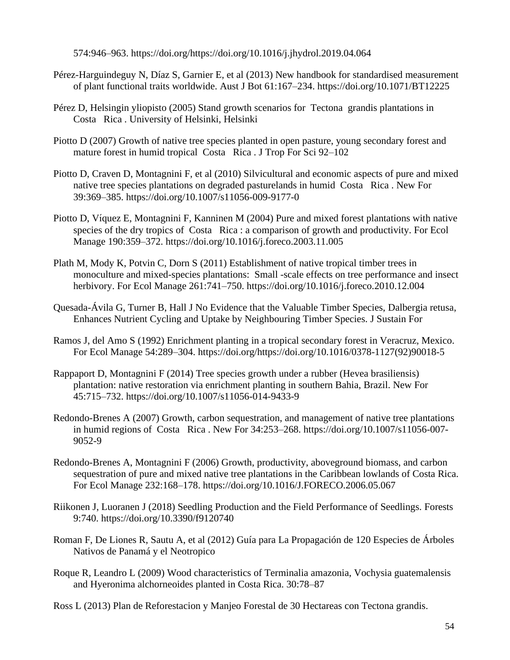574:946–963. https://doi.org/https://doi.org/10.1016/j.jhydrol.2019.04.064

- Pérez-Harguindeguy N, Díaz S, Garnier E, et al (2013) New handbook for standardised measurement of plant functional traits worldwide. Aust J Bot 61:167–234. https://doi.org/10.1071/BT12225
- Pérez D, Helsingin yliopisto (2005) Stand growth scenarios for Tectona grandis plantations in Costa Rica . University of Helsinki, Helsinki
- Piotto D (2007) Growth of native tree species planted in open pasture, young secondary forest and mature forest in humid tropical Costa Rica . J Trop For Sci 92–102
- Piotto D, Craven D, Montagnini F, et al (2010) Silvicultural and economic aspects of pure and mixed native tree species plantations on degraded pasturelands in humid Costa Rica . New For 39:369–385. https://doi.org/10.1007/s11056-009-9177-0
- Piotto D, Víquez E, Montagnini F, Kanninen M (2004) Pure and mixed forest plantations with native species of the dry tropics of Costa Rica : a comparison of growth and productivity. For Ecol Manage 190:359–372. https://doi.org/10.1016/j.foreco.2003.11.005
- Plath M, Mody K, Potvin C, Dorn S (2011) Establishment of native tropical timber trees in monoculture and mixed-species plantations: Small -scale effects on tree performance and insect herbivory. For Ecol Manage 261:741–750. https://doi.org/10.1016/j.foreco.2010.12.004
- Quesada-Ávila G, Turner B, Hall J No Evidence that the Valuable Timber Species, Dalbergia retusa, Enhances Nutrient Cycling and Uptake by Neighbouring Timber Species. J Sustain For
- Ramos J, del Amo S (1992) Enrichment planting in a tropical secondary forest in Veracruz, Mexico. For Ecol Manage 54:289–304. https://doi.org/https://doi.org/10.1016/0378-1127(92)90018-5
- Rappaport D, Montagnini F (2014) Tree species growth under a rubber (Hevea brasiliensis) plantation: native restoration via enrichment planting in southern Bahia, Brazil. New For 45:715–732. https://doi.org/10.1007/s11056-014-9433-9
- Redondo-Brenes A (2007) Growth, carbon sequestration, and management of native tree plantations in humid regions of Costa Rica . New For 34:253–268. https://doi.org/10.1007/s11056-007- 9052-9
- Redondo-Brenes A, Montagnini F (2006) Growth, productivity, aboveground biomass, and carbon sequestration of pure and mixed native tree plantations in the Caribbean lowlands of Costa Rica. For Ecol Manage 232:168–178. https://doi.org/10.1016/J.FORECO.2006.05.067
- Riikonen J, Luoranen J (2018) Seedling Production and the Field Performance of Seedlings. Forests 9:740. https://doi.org/10.3390/f9120740
- Roman F, De Liones R, Sautu A, et al (2012) Guía para La Propagación de 120 Especies de Árboles Nativos de Panamá y el Neotropico
- Roque R, Leandro L (2009) Wood characteristics of Terminalia amazonia, Vochysia guatemalensis and Hyeronima alchorneoides planted in Costa Rica. 30:78–87
- Ross L (2013) Plan de Reforestacion y Manjeo Forestal de 30 Hectareas con Tectona grandis.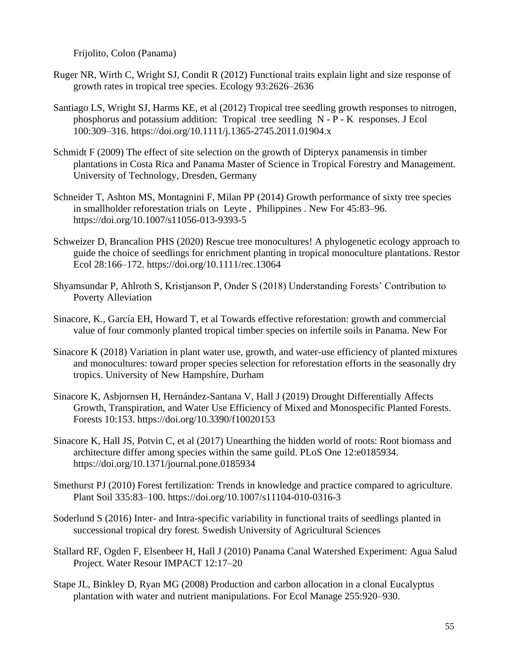Frijolito, Colon (Panama)

- Ruger NR, Wirth C, Wright SJ, Condit R (2012) Functional traits explain light and size response of growth rates in tropical tree species. Ecology 93:2626–2636
- Santiago LS, Wright SJ, Harms KE, et al (2012) Tropical tree seedling growth responses to nitrogen, phosphorus and potassium addition: Tropical tree seedling N - P - K responses. J Ecol 100:309–316. https://doi.org/10.1111/j.1365-2745.2011.01904.x
- Schmidt F (2009) The effect of site selection on the growth of Dipteryx panamensis in timber plantations in Costa Rica and Panama Master of Science in Tropical Forestry and Management. University of Technology, Dresden, Germany
- Schneider T, Ashton MS, Montagnini F, Milan PP (2014) Growth performance of sixty tree species in smallholder reforestation trials on Leyte , Philippines . New For 45:83–96. https://doi.org/10.1007/s11056-013-9393-5
- Schweizer D, Brancalion PHS (2020) Rescue tree monocultures! A phylogenetic ecology approach to guide the choice of seedlings for enrichment planting in tropical monoculture plantations. Restor Ecol 28:166–172. https://doi.org/10.1111/rec.13064
- Shyamsundar P, Ahlroth S, Kristjanson P, Onder S (2018) Understanding Forests' Contribution to Poverty Alleviation
- Sinacore, K., García EH, Howard T, et al Towards effective reforestation: growth and commercial value of four commonly planted tropical timber species on infertile soils in Panama. New For
- Sinacore K (2018) Variation in plant water use, growth, and water-use efficiency of planted mixtures and monocultures: toward proper species selection for reforestation efforts in the seasonally dry tropics. University of New Hampshire, Durham
- Sinacore K, Asbjornsen H, Hernández-Santana V, Hall J (2019) Drought Differentially Affects Growth, Transpiration, and Water Use Efficiency of Mixed and Monospecific Planted Forests. Forests 10:153. https://doi.org/10.3390/f10020153
- Sinacore K, Hall JS, Potvin C, et al (2017) Unearthing the hidden world of roots: Root biomass and architecture differ among species within the same guild. PLoS One 12:e0185934. https://doi.org/10.1371/journal.pone.0185934
- Smethurst PJ (2010) Forest fertilization: Trends in knowledge and practice compared to agriculture. Plant Soil 335:83–100. https://doi.org/10.1007/s11104-010-0316-3
- Soderlund S (2016) Inter- and Intra-specific variability in functional traits of seedlings planted in successional tropical dry forest. Swedish University of Agricultural Sciences
- Stallard RF, Ogden F, Elsenbeer H, Hall J (2010) Panama Canal Watershed Experiment: Agua Salud Project. Water Resour IMPACT 12:17–20
- Stape JL, Binkley D, Ryan MG (2008) Production and carbon allocation in a clonal Eucalyptus plantation with water and nutrient manipulations. For Ecol Manage 255:920–930.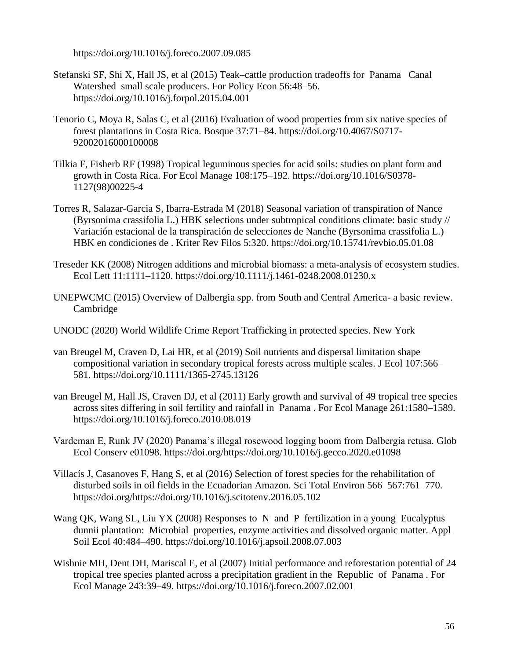https://doi.org/10.1016/j.foreco.2007.09.085

- Stefanski SF, Shi X, Hall JS, et al (2015) Teak–cattle production tradeoffs for Panama Canal Watershed small scale producers. For Policy Econ 56:48–56. https://doi.org/10.1016/j.forpol.2015.04.001
- Tenorio C, Moya R, Salas C, et al (2016) Evaluation of wood properties from six native species of forest plantations in Costa Rica. Bosque 37:71–84. https://doi.org/10.4067/S0717- 92002016000100008
- Tilkia F, Fisherb RF (1998) Tropical leguminous species for acid soils: studies on plant form and growth in Costa Rica. For Ecol Manage 108:175–192. https://doi.org/10.1016/S0378- 1127(98)00225-4
- Torres R, Salazar-Garcia S, Ibarra-Estrada M (2018) Seasonal variation of transpiration of Nance (Byrsonima crassifolia L.) HBK selections under subtropical conditions climate: basic study // Variación estacional de la transpiración de selecciones de Nanche (Byrsonima crassifolia L.) HBK en condiciones de . Kriter Rev Filos 5:320. https://doi.org/10.15741/revbio.05.01.08
- Treseder KK (2008) Nitrogen additions and microbial biomass: a meta-analysis of ecosystem studies. Ecol Lett 11:1111–1120. https://doi.org/10.1111/j.1461-0248.2008.01230.x
- UNEPWCMC (2015) Overview of Dalbergia spp. from South and Central America- a basic review. Cambridge
- UNODC (2020) World Wildlife Crime Report Trafficking in protected species. New York
- van Breugel M, Craven D, Lai HR, et al (2019) Soil nutrients and dispersal limitation shape compositional variation in secondary tropical forests across multiple scales. J Ecol 107:566– 581. https://doi.org/10.1111/1365-2745.13126
- van Breugel M, Hall JS, Craven DJ, et al (2011) Early growth and survival of 49 tropical tree species across sites differing in soil fertility and rainfall in Panama . For Ecol Manage 261:1580–1589. https://doi.org/10.1016/j.foreco.2010.08.019
- Vardeman E, Runk JV (2020) Panama's illegal rosewood logging boom from Dalbergia retusa. Glob Ecol Conserv e01098. https://doi.org/https://doi.org/10.1016/j.gecco.2020.e01098
- Villacís J, Casanoves F, Hang S, et al (2016) Selection of forest species for the rehabilitation of disturbed soils in oil fields in the Ecuadorian Amazon. Sci Total Environ 566–567:761–770. https://doi.org/https://doi.org/10.1016/j.scitotenv.2016.05.102
- Wang QK, Wang SL, Liu YX (2008) Responses to N and P fertilization in a young Eucalyptus dunnii plantation: Microbial properties, enzyme activities and dissolved organic matter. Appl Soil Ecol 40:484–490. https://doi.org/10.1016/j.apsoil.2008.07.003
- Wishnie MH, Dent DH, Mariscal E, et al (2007) Initial performance and reforestation potential of 24 tropical tree species planted across a precipitation gradient in the Republic of Panama . For Ecol Manage 243:39–49. https://doi.org/10.1016/j.foreco.2007.02.001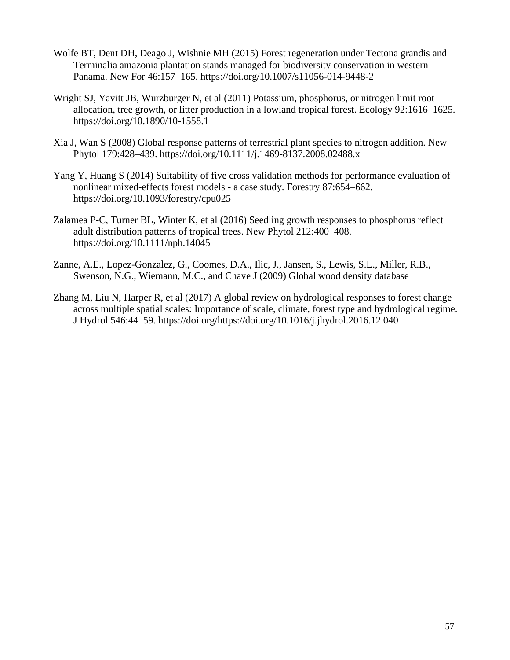- Wolfe BT, Dent DH, Deago J, Wishnie MH (2015) Forest regeneration under Tectona grandis and Terminalia amazonia plantation stands managed for biodiversity conservation in western Panama. New For 46:157–165. https://doi.org/10.1007/s11056-014-9448-2
- Wright SJ, Yavitt JB, Wurzburger N, et al (2011) Potassium, phosphorus, or nitrogen limit root allocation, tree growth, or litter production in a lowland tropical forest. Ecology 92:1616–1625. https://doi.org/10.1890/10-1558.1
- Xia J, Wan S (2008) Global response patterns of terrestrial plant species to nitrogen addition. New Phytol 179:428–439. https://doi.org/10.1111/j.1469-8137.2008.02488.x
- Yang Y, Huang S (2014) Suitability of five cross validation methods for performance evaluation of nonlinear mixed-effects forest models - a case study. Forestry 87:654–662. https://doi.org/10.1093/forestry/cpu025
- Zalamea P-C, Turner BL, Winter K, et al (2016) Seedling growth responses to phosphorus reflect adult distribution patterns of tropical trees. New Phytol 212:400–408. https://doi.org/10.1111/nph.14045
- Zanne, A.E., Lopez-Gonzalez, G., Coomes, D.A., Ilic, J., Jansen, S., Lewis, S.L., Miller, R.B., Swenson, N.G., Wiemann, M.C., and Chave J (2009) Global wood density database
- Zhang M, Liu N, Harper R, et al (2017) A global review on hydrological responses to forest change across multiple spatial scales: Importance of scale, climate, forest type and hydrological regime. J Hydrol 546:44–59. https://doi.org/https://doi.org/10.1016/j.jhydrol.2016.12.040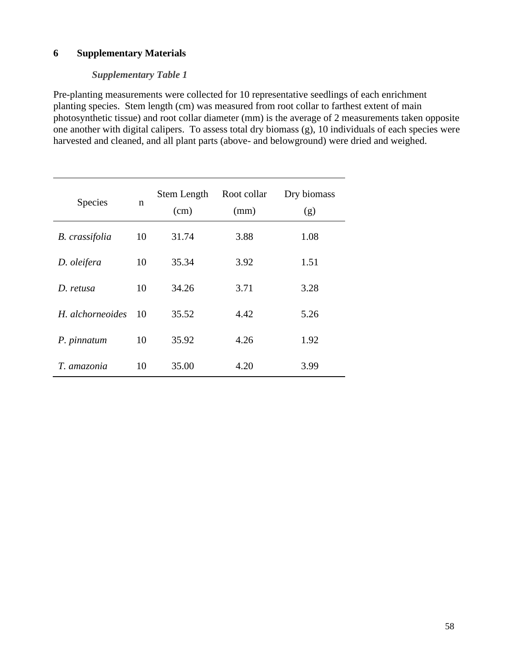# **6 Supplementary Materials**

## *Supplementary Table 1*

Pre-planting measurements were collected for 10 representative seedlings of each enrichment planting species. Stem length (cm) was measured from root collar to farthest extent of main photosynthetic tissue) and root collar diameter (mm) is the average of 2 measurements taken opposite one another with digital calipers. To assess total dry biomass (g), 10 individuals of each species were harvested and cleaned, and all plant parts (above- and belowground) were dried and weighed.

| <b>Species</b>        | n  | Stem Length<br>(cm) | Root collar<br>(mm) | Dry biomass<br>(g) |
|-----------------------|----|---------------------|---------------------|--------------------|
| <b>B.</b> crassifolia | 10 | 31.74               | 3.88                | 1.08               |
| D. oleifera           | 10 | 35.34               | 3.92                | 1.51               |
| D. retusa             | 10 | 34.26               | 3.71                | 3.28               |
| H. alchorneoides      | 10 | 35.52               | 4.42                | 5.26               |
| P. pinnatum           | 10 | 35.92               | 4.26                | 1.92               |
| T. amazonia           | 10 | 35.00               | 4.20                | 3.99               |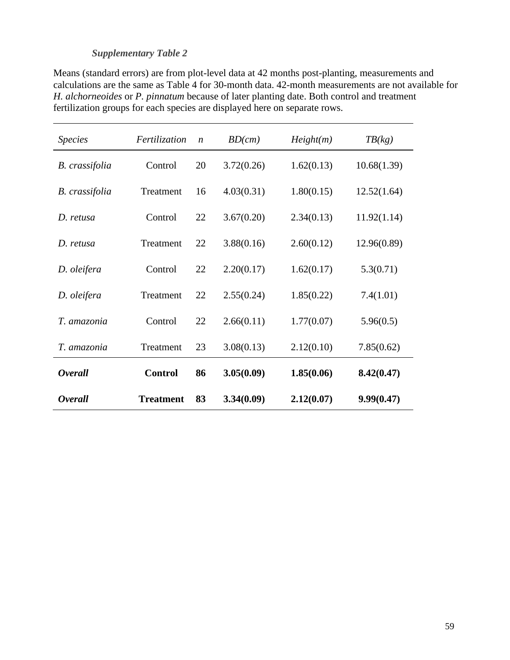## *Supplementary Table 2*

Means (standard errors) are from plot-level data at 42 months post-planting, measurements and calculations are the same as Table 4 for 30-month data. 42-month measurements are not available for *H. alchorneoides* or *P. pinnatum* because of later planting date. Both control and treatment fertilization groups for each species are displayed here on separate rows.

| <b>Species</b>        | Fertilization    | $\boldsymbol{n}$ | BD(cm)     | Height(m)  | TB(kg)      |
|-----------------------|------------------|------------------|------------|------------|-------------|
| <b>B.</b> crassifolia | Control          | 20               | 3.72(0.26) | 1.62(0.13) | 10.68(1.39) |
| B. crassifolia        | Treatment        | 16               | 4.03(0.31) | 1.80(0.15) | 12.52(1.64) |
| D. retusa             | Control          | 22               | 3.67(0.20) | 2.34(0.13) | 11.92(1.14) |
| D. retusa             | Treatment        | 22               | 3.88(0.16) | 2.60(0.12) | 12.96(0.89) |
| D. oleifera           | Control          | 22               | 2.20(0.17) | 1.62(0.17) | 5.3(0.71)   |
| D. oleifera           | Treatment        | 22               | 2.55(0.24) | 1.85(0.22) | 7.4(1.01)   |
| T. amazonia           | Control          | 22               | 2.66(0.11) | 1.77(0.07) | 5.96(0.5)   |
| T. amazonia           | Treatment        | 23               | 3.08(0.13) | 2.12(0.10) | 7.85(0.62)  |
| <b>Overall</b>        | <b>Control</b>   | 86               | 3.05(0.09) | 1.85(0.06) | 8.42(0.47)  |
| <b>Overall</b>        | <b>Treatment</b> | 83               | 3.34(0.09) | 2.12(0.07) | 9.99(0.47)  |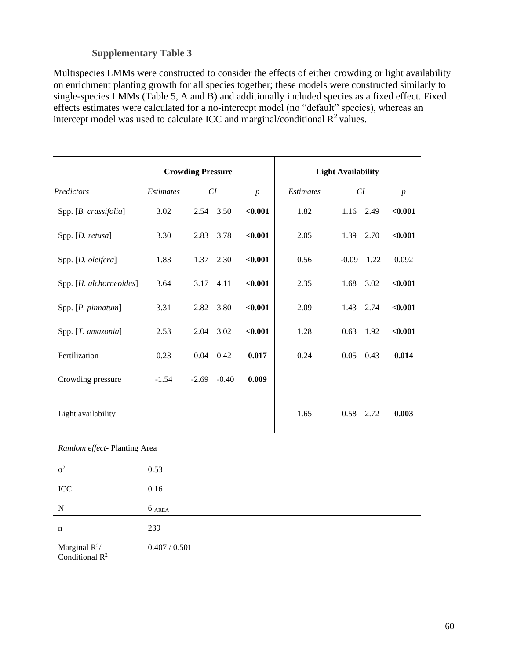## **Supplementary Table 3**

Multispecies LMMs were constructed to consider the effects of either crowding or light availability on enrichment planting growth for all species together; these models were constructed similarly to single-species LMMs (Table 5, A and B) and additionally included species as a fixed effect. Fixed effects estimates were calculated for a no-intercept model (no "default" species), whereas an intercept model was used to calculate ICC and marginal/conditional  $\mathbb{R}^2$  values.

|                              |           | <b>Crowding Pressure</b>  |                  |           | <b>Light Availability</b> |                 |
|------------------------------|-----------|---------------------------|------------------|-----------|---------------------------|-----------------|
| Predictors                   | Estimates | ${\cal C\hspace{-.1em}I}$ | $\boldsymbol{p}$ | Estimates | ${\cal C\hspace{-.1em}I}$ | $p_{\parallel}$ |
| Spp. [B. crassifolia]        | 3.02      | $2.54 - 3.50$             | $0.001$          | 1.82      | $1.16 - 2.49$             | < 0.001         |
| Spp. [D. retusa]             | 3.30      | $2.83 - 3.78$             | $0.001$          | 2.05      | $1.39 - 2.70$             | $0.001$         |
| Spp. [D. oleifera]           | 1.83      | $1.37 - 2.30$             | $0.001$          | 0.56      | $-0.09 - 1.22$            | 0.092           |
| Spp. [H. alchorneoides]      | 3.64      | $3.17 - 4.11$             | $0.001$          | 2.35      | $1.68 - 3.02$             | $0.001$         |
| Spp. [P. pinnatum]           | 3.31      | $2.82 - 3.80$             | $0.001$          | 2.09      | $1.43 - 2.74$             | $0.001$         |
| Spp. [T. amazonia]           | 2.53      | $2.04 - 3.02$             | $0.001$          | 1.28      | $0.63 - 1.92$             | $0.001$         |
| Fertilization                | 0.23      | $0.04 - 0.42$             | 0.017            | 0.24      | $0.05 - 0.43$             | 0.014           |
| Crowding pressure            | $-1.54$   | $-2.69 - -0.40$           | 0.009            |           |                           |                 |
| Light availability           |           |                           |                  | 1.65      | $0.58 - 2.72$             | 0.003           |
| Random effect- Planting Area |           |                           |                  |           |                           |                 |
| $\sigma^2$                   | 0.53      |                           |                  |           |                           |                 |
| ICC                          | 0.16      |                           |                  |           |                           |                 |
| ${\bf N}$                    | $6$ AREA  |                           |                  |           |                           |                 |

n 239 Marginal  $R^2/$ 0.407 / 0.501

Conditional  $\mathbb{R}^2$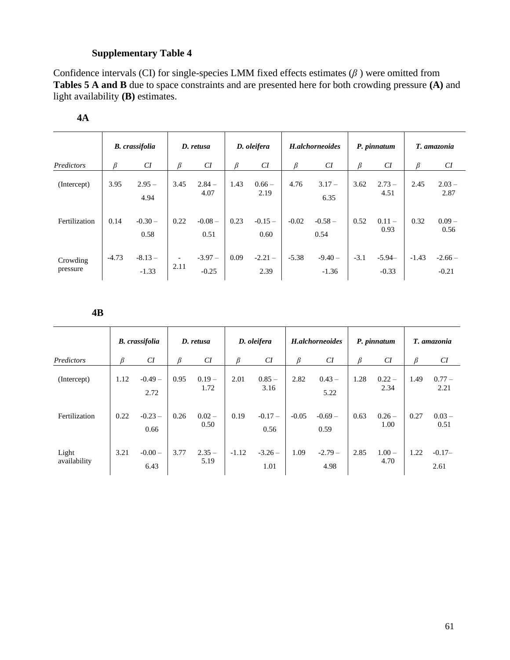# **Supplementary Table 4**

Confidence intervals (CI) for single-species LMM fixed effects estimates (*β* ) were omitted from **Tables 5 A and B** due to space constraints and are presented here for both crowding pressure **(A)** and light availability **(B)** estimates.

|                      |         | <b>B.</b> crassifolia |                                  | D. retusa           |      | D. oleifera      |         | H.alchorneoides     |        | P. pinnatum         |         | T. amazonia         |
|----------------------|---------|-----------------------|----------------------------------|---------------------|------|------------------|---------|---------------------|--------|---------------------|---------|---------------------|
| Predictors           | ß       | CI                    | β                                | CI                  | ß    | CI               | ß       | CI                  | β      | CI                  | β       | CI                  |
| (Intercept)          | 3.95    | $2.95 -$<br>4.94      | 3.45                             | $2.84 -$<br>4.07    | 1.43 | $0.66 -$<br>2.19 | 4.76    | $3.17 -$<br>6.35    | 3.62   | $2.73 -$<br>4.51    | 2.45    | $2.03 -$<br>2.87    |
| Fertilization        | 0.14    | $-0.30-$<br>0.58      | 0.22                             | $-0.08-$<br>0.51    | 0.23 | $-0.15-$<br>0.60 | $-0.02$ | $-0.58-$<br>0.54    | 0.52   | $0.11 -$<br>0.93    | 0.32    | $0.09 -$<br>0.56    |
| Crowding<br>pressure | $-4.73$ | $-8.13-$<br>$-1.33$   | $\overline{\phantom{a}}$<br>2.11 | $-3.97-$<br>$-0.25$ | 0.09 | $-2.21-$<br>2.39 | $-5.38$ | $-9.40-$<br>$-1.36$ | $-3.1$ | $-5.94-$<br>$-0.33$ | $-1.43$ | $-2.66-$<br>$-0.21$ |

## **4A**

**4B**

|                       |      | <b>B.</b> crassifolia |      | D. retusa        |         | D. oleifera      |         | H.alchorneoides  |      | P. pinnatum      |      | T. amazonia      |
|-----------------------|------|-----------------------|------|------------------|---------|------------------|---------|------------------|------|------------------|------|------------------|
| Predictors            | β    | CI                    | ß    | CI               | β       | CI               | β       | CI               | β    | CI               | β    | CI               |
| (Intercept)           | 1.12 | $-0.49-$<br>2.72      | 0.95 | $0.19 -$<br>1.72 | 2.01    | $0.85 -$<br>3.16 | 2.82    | $0.43 -$<br>5.22 | 1.28 | $0.22 -$<br>2.34 | 1.49 | $0.77 -$<br>2.21 |
| Fertilization         | 0.22 | $-0.23-$<br>0.66      | 0.26 | $0.02 -$<br>0.50 | 0.19    | $-0.17-$<br>0.56 | $-0.05$ | $-0.69-$<br>0.59 | 0.63 | $0.26 -$<br>1.00 | 0.27 | $0.03 -$<br>0.51 |
| Light<br>availability | 3.21 | $-0.00-$<br>6.43      | 3.77 | $2.35 -$<br>5.19 | $-1.12$ | $-3.26-$<br>1.01 | 1.09    | $-2.79-$<br>4.98 | 2.85 | $1.00 -$<br>4.70 | 1.22 | $-0.17-$<br>2.61 |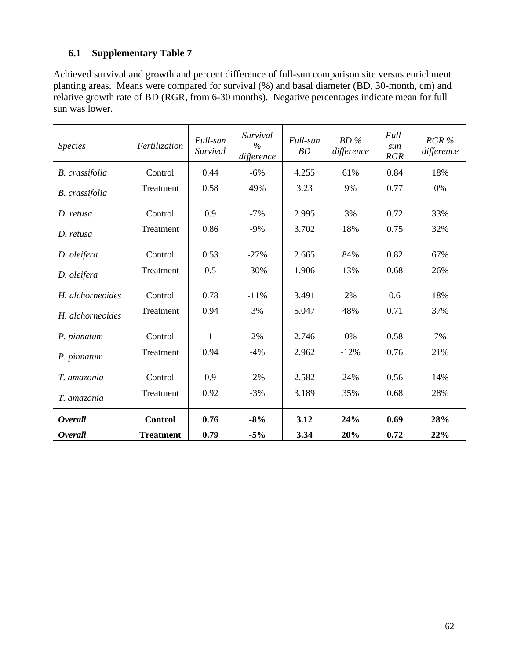# **6.1 Supplementary Table 7**

Achieved survival and growth and percent difference of full-sun comparison site versus enrichment planting areas. Means were compared for survival (%) and basal diameter (BD, 30-month, cm) and relative growth rate of BD (RGR, from 6-30 months). Negative percentages indicate mean for full sun was lower.

| <b>Species</b>   | Fertilization    | Full-sun<br>Survival | Survival<br>$\%$<br>difference | Full-sun<br><b>BD</b> | $BD\%$<br>difference | Full-<br>sun<br><b>RGR</b> | RGR %<br>difference |
|------------------|------------------|----------------------|--------------------------------|-----------------------|----------------------|----------------------------|---------------------|
| B. crassifolia   | Control          | 0.44                 | $-6%$                          | 4.255                 | 61%                  | 0.84                       | 18%                 |
| B. crassifolia   | Treatment        | 0.58                 | 49%                            | 3.23                  | 9%                   | 0.77                       | 0%                  |
| D. retusa        | Control          | 0.9                  | $-7%$                          | 2.995                 | 3%                   | 0.72                       | 33%                 |
| D. retusa        | Treatment        | 0.86                 | $-9%$                          | 3.702                 | 18%                  | 0.75                       | 32%                 |
| D. oleifera      | Control          | 0.53                 | $-27%$                         | 2.665                 | 84%                  | 0.82                       | 67%                 |
| D. oleifera      | Treatment        | 0.5                  | $-30%$                         | 1.906                 | 13%                  | 0.68                       | 26%                 |
| H. alchorneoides | Control          | 0.78                 | $-11%$                         | 3.491                 | 2%                   | 0.6                        | 18%                 |
| H. alchorneoides | Treatment        | 0.94                 | 3%                             | 5.047                 | 48%                  | 0.71                       | 37%                 |
| P. pinnatum      | Control          | 1                    | 2%                             | 2.746                 | $0\%$                | 0.58                       | 7%                  |
| P. pinnatum      | Treatment        | 0.94                 | $-4%$                          | 2.962                 | $-12%$               | 0.76                       | 21%                 |
| T. amazonia      | Control          | 0.9                  | $-2\%$                         | 2.582                 | 24%                  | 0.56                       | 14%                 |
| T. amazonia      | Treatment        | 0.92                 | $-3%$                          | 3.189                 | 35%                  | 0.68                       | 28%                 |
| <b>Overall</b>   | <b>Control</b>   | 0.76                 | $-8%$                          | 3.12                  | 24%                  | 0.69                       | 28%                 |
| <i>Overall</i>   | <b>Treatment</b> | 0.79                 | $-5%$                          | 3.34                  | 20%                  | 0.72                       | 22%                 |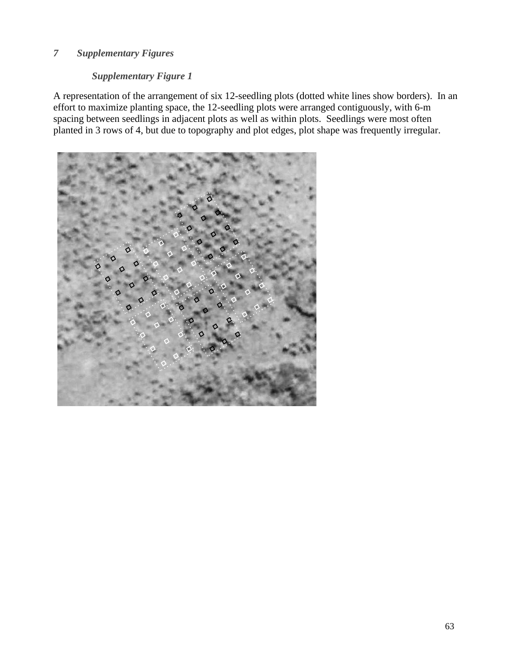# *7 Supplementary Figures*

# *Supplementary Figure 1*

A representation of the arrangement of six 12-seedling plots (dotted white lines show borders). In an effort to maximize planting space, the 12-seedling plots were arranged contiguously, with 6-m spacing between seedlings in adjacent plots as well as within plots. Seedlings were most often planted in 3 rows of 4, but due to topography and plot edges, plot shape was frequently irregular.

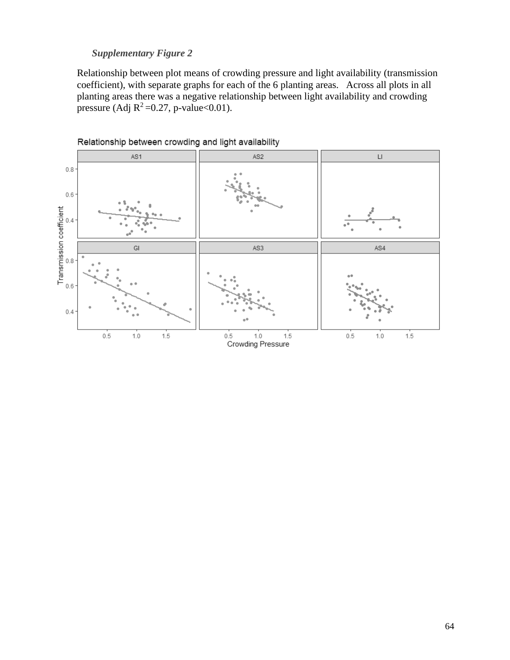# *Supplementary Figure 2*

Relationship between plot means of crowding pressure and light availability (transmission coefficient), with separate graphs for each of the 6 planting areas. Across all plots in all planting areas there was a negative relationship between light availability and crowding pressure (Adj  $R^2$ =0.27, p-value<0.01).



Relationship between crowding and light availability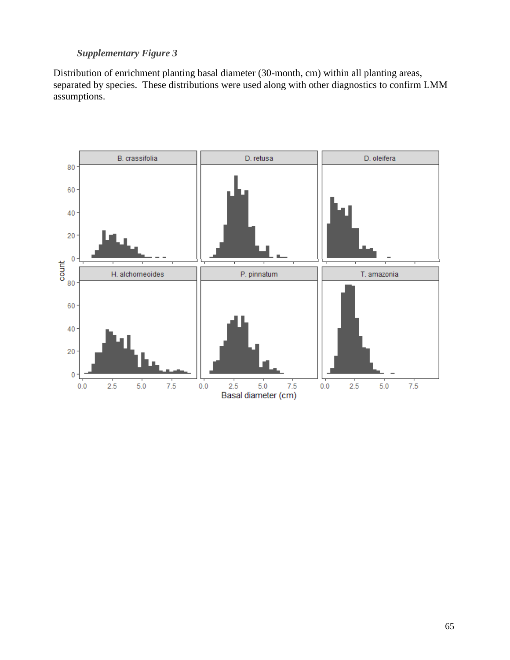# *Supplementary Figure 3*

Distribution of enrichment planting basal diameter (30-month, cm) within all planting areas, separated by species. These distributions were used along with other diagnostics to confirm LMM assumptions.

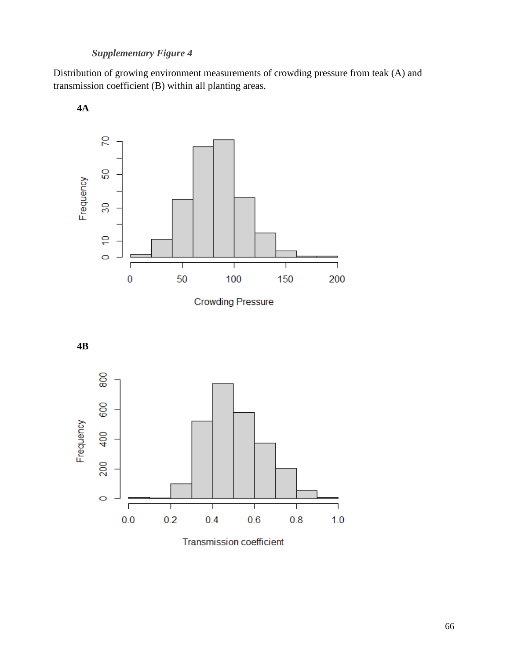# *Supplementary Figure 4*

Distribution of growing environment measurements of crowding pressure from teak (A) and transmission coefficient (B) within all planting areas.